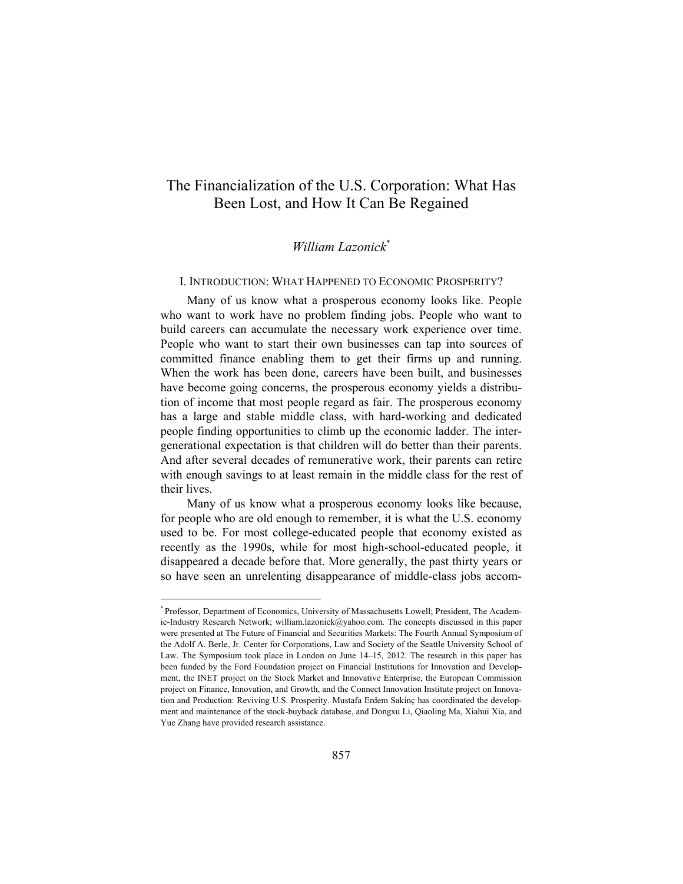# The Financialization of the U.S. Corporation: What Has Been Lost, and How It Can Be Regained

# *William Lazonick*\*

#### I. INTRODUCTION: WHAT HAPPENED TO ECONOMIC PROSPERITY?

Many of us know what a prosperous economy looks like. People who want to work have no problem finding jobs. People who want to build careers can accumulate the necessary work experience over time. People who want to start their own businesses can tap into sources of committed finance enabling them to get their firms up and running. When the work has been done, careers have been built, and businesses have become going concerns, the prosperous economy yields a distribution of income that most people regard as fair. The prosperous economy has a large and stable middle class, with hard-working and dedicated people finding opportunities to climb up the economic ladder. The intergenerational expectation is that children will do better than their parents. And after several decades of remunerative work, their parents can retire with enough savings to at least remain in the middle class for the rest of their lives.

Many of us know what a prosperous economy looks like because, for people who are old enough to remember, it is what the U.S. economy used to be. For most college-educated people that economy existed as recently as the 1990s, while for most high-school-educated people, it disappeared a decade before that. More generally, the past thirty years or so have seen an unrelenting disappearance of middle-class jobs accom-

<sup>\*</sup> Professor, Department of Economics, University of Massachusetts Lowell; President, The Academic-Industry Research Network; william.lazonick@yahoo.com. The concepts discussed in this paper were presented at The Future of Financial and Securities Markets: The Fourth Annual Symposium of the Adolf A. Berle, Jr. Center for Corporations, Law and Society of the Seattle University School of Law. The Symposium took place in London on June 14–15, 2012. The research in this paper has been funded by the Ford Foundation project on Financial Institutions for Innovation and Development, the INET project on the Stock Market and Innovative Enterprise, the European Commission project on Finance, Innovation, and Growth, and the Connect Innovation Institute project on Innovation and Production: Reviving U.S. Prosperity. Mustafa Erdem Sakinç has coordinated the development and maintenance of the stock-buyback database, and Dongxu Li, Qiaoling Ma, Xiahui Xia, and Yue Zhang have provided research assistance.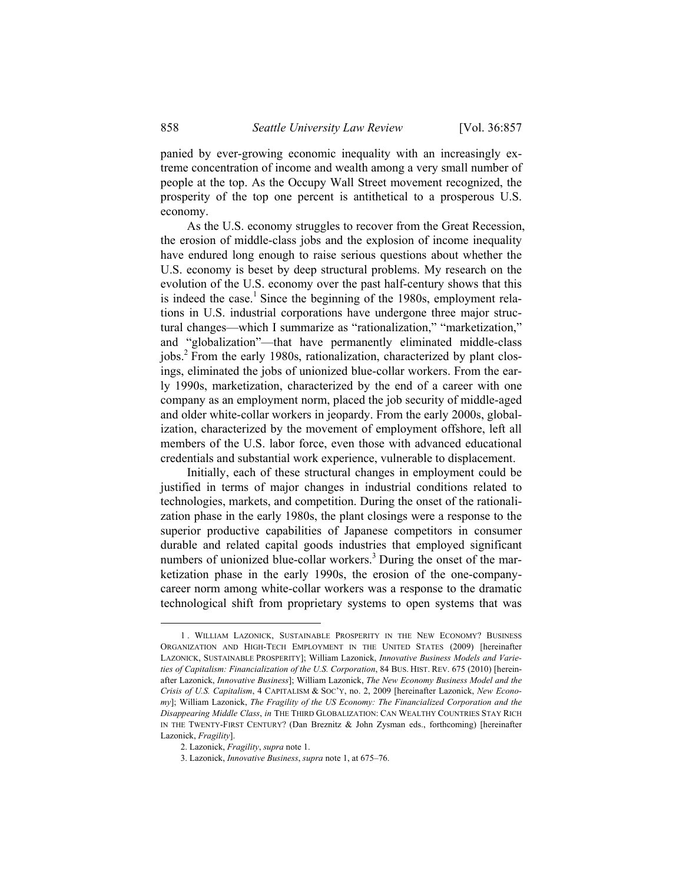panied by ever-growing economic inequality with an increasingly extreme concentration of income and wealth among a very small number of people at the top. As the Occupy Wall Street movement recognized, the prosperity of the top one percent is antithetical to a prosperous U.S. economy.

As the U.S. economy struggles to recover from the Great Recession, the erosion of middle-class jobs and the explosion of income inequality have endured long enough to raise serious questions about whether the U.S. economy is beset by deep structural problems. My research on the evolution of the U.S. economy over the past half-century shows that this is indeed the case.<sup>1</sup> Since the beginning of the 1980s, employment relations in U.S. industrial corporations have undergone three major structural changes—which I summarize as "rationalization," "marketization," and "globalization"—that have permanently eliminated middle-class jobs.<sup>2</sup> From the early 1980s, rationalization, characterized by plant closings, eliminated the jobs of unionized blue-collar workers. From the early 1990s, marketization, characterized by the end of a career with one company as an employment norm, placed the job security of middle-aged and older white-collar workers in jeopardy. From the early 2000s, globalization, characterized by the movement of employment offshore, left all members of the U.S. labor force, even those with advanced educational credentials and substantial work experience, vulnerable to displacement.

Initially, each of these structural changes in employment could be justified in terms of major changes in industrial conditions related to technologies, markets, and competition. During the onset of the rationalization phase in the early 1980s, the plant closings were a response to the superior productive capabilities of Japanese competitors in consumer durable and related capital goods industries that employed significant numbers of unionized blue-collar workers.<sup>3</sup> During the onset of the marketization phase in the early 1990s, the erosion of the one-companycareer norm among white-collar workers was a response to the dramatic technological shift from proprietary systems to open systems that was

 <sup>1.</sup> WILLIAM LAZONICK, SUSTAINABLE PROSPERITY IN THE NEW ECONOMY? BUSINESS ORGANIZATION AND HIGH-TECH EMPLOYMENT IN THE UNITED STATES (2009) [hereinafter LAZONICK, SUSTAINABLE PROSPERITY]; William Lazonick, *Innovative Business Models and Varieties of Capitalism: Financialization of the U.S. Corporation*, 84 BUS. HIST. REV. 675 (2010) [hereinafter Lazonick, *Innovative Business*]; William Lazonick, *The New Economy Business Model and the Crisis of U.S. Capitalism*, 4 CAPITALISM & SOC'Y, no. 2, 2009 [hereinafter Lazonick, *New Economy*]; William Lazonick, *The Fragility of the US Economy: The Financialized Corporation and the Disappearing Middle Class*, *in* THE THIRD GLOBALIZATION: CAN WEALTHY COUNTRIES STAY RICH IN THE TWENTY-FIRST CENTURY? (Dan Breznitz & John Zysman eds., forthcoming) [hereinafter Lazonick, *Fragility*].

 <sup>2.</sup> Lazonick, *Fragility*, *supra* note 1.

 <sup>3.</sup> Lazonick, *Innovative Business*, *supra* note 1, at 675–76.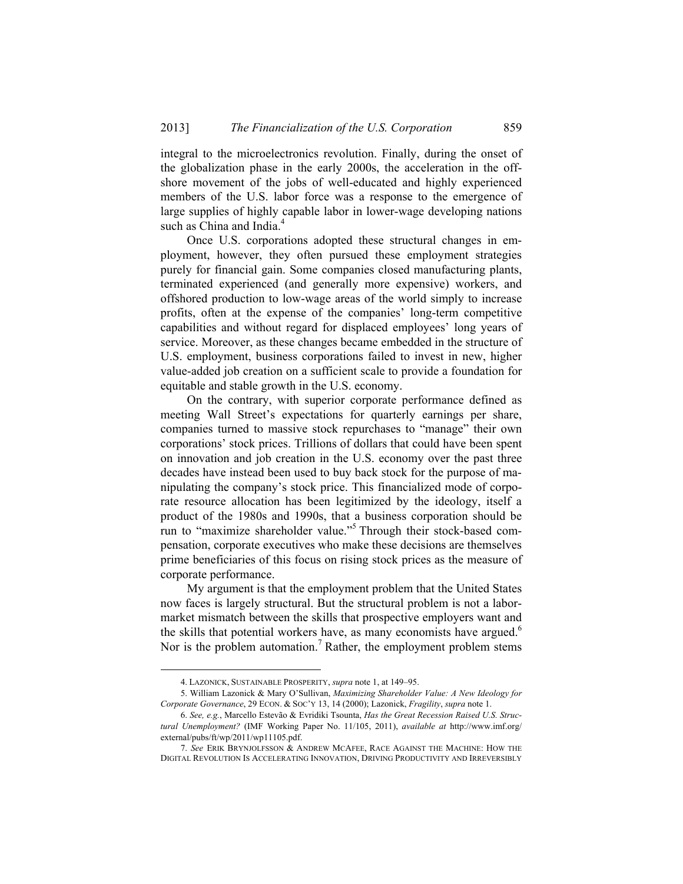integral to the microelectronics revolution. Finally, during the onset of the globalization phase in the early 2000s, the acceleration in the offshore movement of the jobs of well-educated and highly experienced members of the U.S. labor force was a response to the emergence of large supplies of highly capable labor in lower-wage developing nations such as China and India.<sup>4</sup>

Once U.S. corporations adopted these structural changes in employment, however, they often pursued these employment strategies purely for financial gain. Some companies closed manufacturing plants, terminated experienced (and generally more expensive) workers, and offshored production to low-wage areas of the world simply to increase profits, often at the expense of the companies' long-term competitive capabilities and without regard for displaced employees' long years of service. Moreover, as these changes became embedded in the structure of U.S. employment, business corporations failed to invest in new, higher value-added job creation on a sufficient scale to provide a foundation for equitable and stable growth in the U.S. economy.

On the contrary, with superior corporate performance defined as meeting Wall Street's expectations for quarterly earnings per share, companies turned to massive stock repurchases to "manage" their own corporations' stock prices. Trillions of dollars that could have been spent on innovation and job creation in the U.S. economy over the past three decades have instead been used to buy back stock for the purpose of manipulating the company's stock price. This financialized mode of corporate resource allocation has been legitimized by the ideology, itself a product of the 1980s and 1990s, that a business corporation should be run to "maximize shareholder value."5 Through their stock-based compensation, corporate executives who make these decisions are themselves prime beneficiaries of this focus on rising stock prices as the measure of corporate performance.

My argument is that the employment problem that the United States now faces is largely structural. But the structural problem is not a labormarket mismatch between the skills that prospective employers want and the skills that potential workers have, as many economists have argued.<sup>6</sup> Nor is the problem automation.<sup>7</sup> Rather, the employment problem stems

 <sup>4.</sup> LAZONICK, SUSTAINABLE PROSPERITY, *supra* note 1, at 149–95.

 <sup>5.</sup> William Lazonick & Mary O'Sullivan, *Maximizing Shareholder Value: A New Ideology for Corporate Governance*, 29 ECON. & SOC'Y 13, 14 (2000); Lazonick, *Fragility*, *supra* note 1.

 <sup>6.</sup> *See, e.g.*, Marcello Estevão & Evridiki Tsounta, *Has the Great Recession Raised U.S. Structural Unemployment?* (IMF Working Paper No. 11/105, 2011), *available at* http://www.imf.org/ external/pubs/ft/wp/2011/wp11105.pdf.

<sup>7.</sup> *See* ERIK BRYNJOLFSSON & ANDREW MCAFEE, RACE AGAINST THE MACHINE: HOW THE DIGITAL REVOLUTION IS ACCELERATING INNOVATION, DRIVING PRODUCTIVITY AND IRREVERSIBLY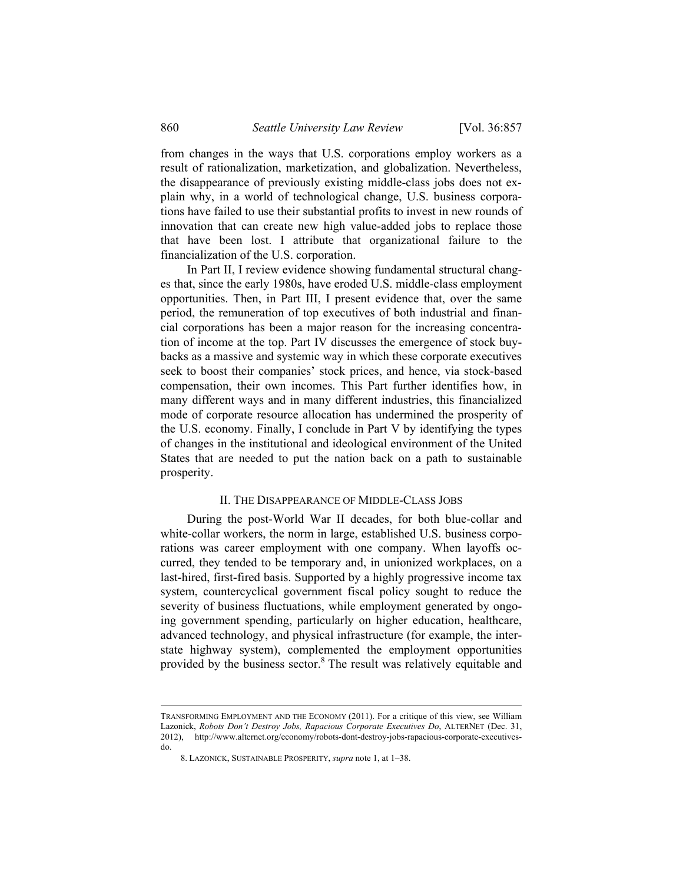from changes in the ways that U.S. corporations employ workers as a result of rationalization, marketization, and globalization. Nevertheless, the disappearance of previously existing middle-class jobs does not explain why, in a world of technological change, U.S. business corporations have failed to use their substantial profits to invest in new rounds of innovation that can create new high value-added jobs to replace those that have been lost. I attribute that organizational failure to the financialization of the U.S. corporation.

In Part II, I review evidence showing fundamental structural changes that, since the early 1980s, have eroded U.S. middle-class employment opportunities. Then, in Part III, I present evidence that, over the same period, the remuneration of top executives of both industrial and financial corporations has been a major reason for the increasing concentration of income at the top. Part IV discusses the emergence of stock buybacks as a massive and systemic way in which these corporate executives seek to boost their companies' stock prices, and hence, via stock-based compensation, their own incomes. This Part further identifies how, in many different ways and in many different industries, this financialized mode of corporate resource allocation has undermined the prosperity of the U.S. economy. Finally, I conclude in Part V by identifying the types of changes in the institutional and ideological environment of the United States that are needed to put the nation back on a path to sustainable prosperity.

#### II. THE DISAPPEARANCE OF MIDDLE-CLASS JOBS

During the post-World War II decades, for both blue-collar and white-collar workers, the norm in large, established U.S. business corporations was career employment with one company. When layoffs occurred, they tended to be temporary and, in unionized workplaces, on a last-hired, first-fired basis. Supported by a highly progressive income tax system, countercyclical government fiscal policy sought to reduce the severity of business fluctuations, while employment generated by ongoing government spending, particularly on higher education, healthcare, advanced technology, and physical infrastructure (for example, the interstate highway system), complemented the employment opportunities provided by the business sector.<sup>8</sup> The result was relatively equitable and

TRANSFORMING EMPLOYMENT AND THE ECONOMY (2011). For a critique of this view, see William Lazonick, *Robots Don't Destroy Jobs, Rapacious Corporate Executives Do*, ALTERNET (Dec. 31, 2012), http://www.alternet.org/economy/robots-dont-destroy-jobs-rapacious-corporate-executivesdo.

 <sup>8.</sup> LAZONICK, SUSTAINABLE PROSPERITY, *supra* note 1, at 1–38.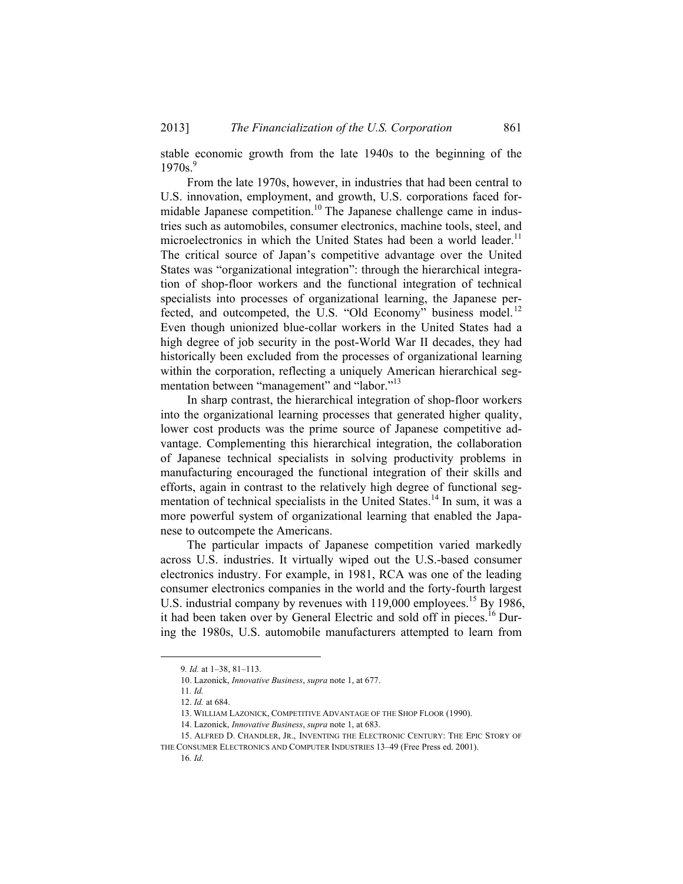stable economic growth from the late 1940s to the beginning of the  $1970s.<sup>9</sup>$ 

From the late 1970s, however, in industries that had been central to U.S. innovation, employment, and growth, U.S. corporations faced formidable Japanese competition.<sup>10</sup> The Japanese challenge came in industries such as automobiles, consumer electronics, machine tools, steel, and microelectronics in which the United States had been a world leader.<sup>11</sup> The critical source of Japan's competitive advantage over the United States was "organizational integration": through the hierarchical integration of shop-floor workers and the functional integration of technical specialists into processes of organizational learning, the Japanese perfected, and outcompeted, the U.S. "Old Economy" business model.<sup>12</sup> Even though unionized blue-collar workers in the United States had a high degree of job security in the post-World War II decades, they had historically been excluded from the processes of organizational learning within the corporation, reflecting a uniquely American hierarchical segmentation between "management" and "labor."<sup>13</sup>

In sharp contrast, the hierarchical integration of shop-floor workers into the organizational learning processes that generated higher quality, lower cost products was the prime source of Japanese competitive advantage. Complementing this hierarchical integration, the collaboration of Japanese technical specialists in solving productivity problems in manufacturing encouraged the functional integration of their skills and efforts, again in contrast to the relatively high degree of functional segmentation of technical specialists in the United States.<sup>14</sup> In sum, it was a more powerful system of organizational learning that enabled the Japanese to outcompete the Americans.

The particular impacts of Japanese competition varied markedly across U.S. industries. It virtually wiped out the U.S.-based consumer electronics industry. For example, in 1981, RCA was one of the leading consumer electronics companies in the world and the forty-fourth largest U.S. industrial company by revenues with 119,000 employees.<sup>15</sup> By 1986, it had been taken over by General Electric and sold off in pieces.<sup>16</sup> During the 1980s, U.S. automobile manufacturers attempted to learn from

 <sup>9</sup>*. Id.* at 1–38, 81–113.

 <sup>10.</sup> Lazonick, *Innovative Business*, *supra* note 1, at 677.

<sup>11</sup>*. Id.*

 <sup>12.</sup> *Id.* at 684.

 <sup>13.</sup> WILLIAM LAZONICK, COMPETITIVE ADVANTAGE OF THE SHOP FLOOR (1990).

 <sup>14.</sup> Lazonick, *Innovative Business*, *supra* note 1, at 683.

 <sup>15.</sup> ALFRED D. CHANDLER, JR., INVENTING THE ELECTRONIC CENTURY: THE EPIC STORY OF THE CONSUMER ELECTRONICS AND COMPUTER INDUSTRIES 13–49 (Free Press ed. 2001).

<sup>16</sup>*. Id*.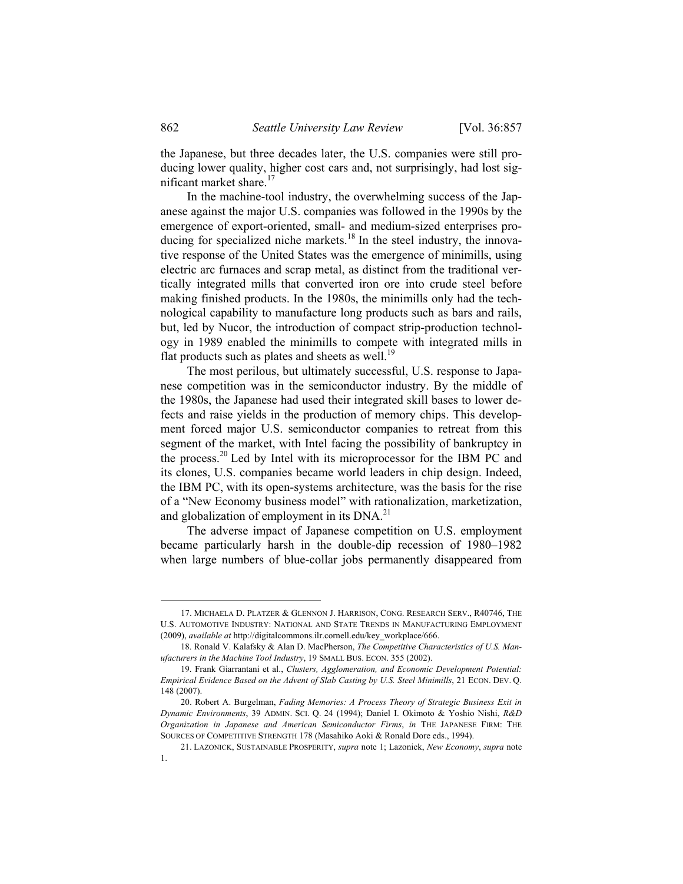the Japanese, but three decades later, the U.S. companies were still producing lower quality, higher cost cars and, not surprisingly, had lost significant market share.<sup>17</sup>

In the machine-tool industry, the overwhelming success of the Japanese against the major U.S. companies was followed in the 1990s by the emergence of export-oriented, small- and medium-sized enterprises producing for specialized niche markets.<sup>18</sup> In the steel industry, the innovative response of the United States was the emergence of minimills, using electric arc furnaces and scrap metal, as distinct from the traditional vertically integrated mills that converted iron ore into crude steel before making finished products. In the 1980s, the minimills only had the technological capability to manufacture long products such as bars and rails, but, led by Nucor, the introduction of compact strip-production technology in 1989 enabled the minimills to compete with integrated mills in flat products such as plates and sheets as well.<sup>19</sup>

The most perilous, but ultimately successful, U.S. response to Japanese competition was in the semiconductor industry. By the middle of the 1980s, the Japanese had used their integrated skill bases to lower defects and raise yields in the production of memory chips. This development forced major U.S. semiconductor companies to retreat from this segment of the market, with Intel facing the possibility of bankruptcy in the process.20 Led by Intel with its microprocessor for the IBM PC and its clones, U.S. companies became world leaders in chip design. Indeed, the IBM PC, with its open-systems architecture, was the basis for the rise of a "New Economy business model" with rationalization, marketization, and globalization of employment in its  $DNA.<sup>21</sup>$ 

The adverse impact of Japanese competition on U.S. employment became particularly harsh in the double-dip recession of 1980–1982 when large numbers of blue-collar jobs permanently disappeared from

 <sup>17.</sup> MICHAELA D. PLATZER & GLENNON J. HARRISON, CONG. RESEARCH SERV., R40746, THE U.S. AUTOMOTIVE INDUSTRY: NATIONAL AND STATE TRENDS IN MANUFACTURING EMPLOYMENT (2009), *available at* http://digitalcommons.ilr.cornell.edu/key\_workplace/666.

 <sup>18.</sup> Ronald V. Kalafsky & Alan D. MacPherson, *The Competitive Characteristics of U.S. Manufacturers in the Machine Tool Industry*, 19 SMALL BUS. ECON. 355 (2002).

 <sup>19.</sup> Frank Giarrantani et al., *Clusters, Agglomeration, and Economic Development Potential: Empirical Evidence Based on the Advent of Slab Casting by U.S. Steel Minimills*, 21 ECON. DEV. Q. 148 (2007).

 <sup>20.</sup> Robert A. Burgelman, *Fading Memories: A Process Theory of Strategic Business Exit in Dynamic Environments*, 39 ADMIN. SCI. Q. 24 (1994); Daniel I. Okimoto & Yoshio Nishi, *R&D Organization in Japanese and American Semiconductor Firms*, *in* THE JAPANESE FIRM: THE SOURCES OF COMPETITIVE STRENGTH 178 (Masahiko Aoki & Ronald Dore eds., 1994).

 <sup>21.</sup> LAZONICK, SUSTAINABLE PROSPERITY, *supra* note 1; Lazonick, *New Economy*, *supra* note 1.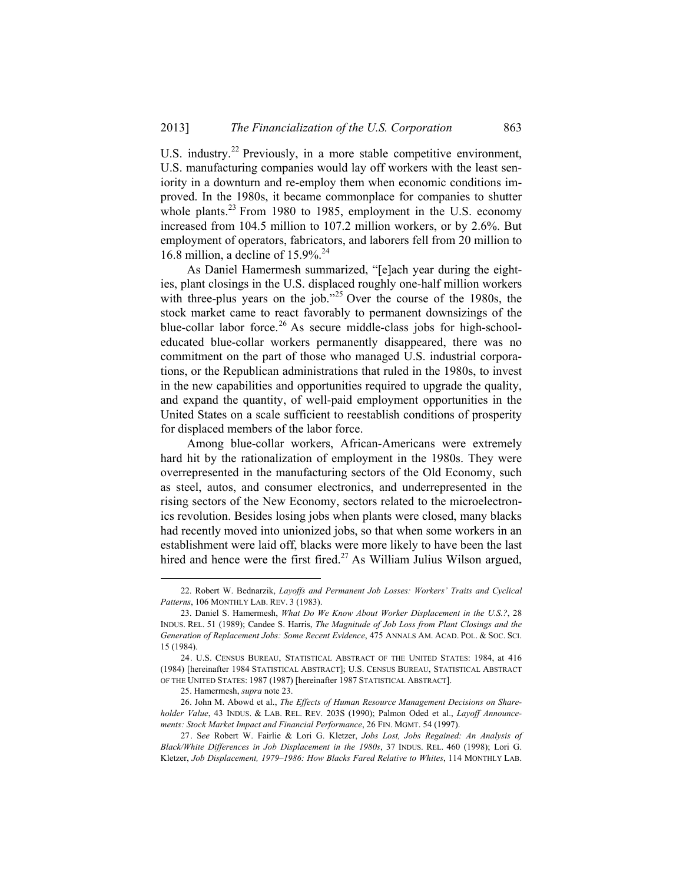U.S. industry.<sup>22</sup> Previously, in a more stable competitive environment, U.S. manufacturing companies would lay off workers with the least seniority in a downturn and re-employ them when economic conditions improved. In the 1980s, it became commonplace for companies to shutter whole plants. $^{23}$  From 1980 to 1985, employment in the U.S. economy increased from 104.5 million to 107.2 million workers, or by 2.6%. But employment of operators, fabricators, and laborers fell from 20 million to 16.8 million, a decline of  $15.9\%$ <sup>24</sup>

As Daniel Hamermesh summarized, "[e]ach year during the eighties, plant closings in the U.S. displaced roughly one-half million workers with three-plus years on the job."<sup>25</sup> Over the course of the 1980s, the stock market came to react favorably to permanent downsizings of the blue-collar labor force.<sup>26</sup> As secure middle-class jobs for high-schooleducated blue-collar workers permanently disappeared, there was no commitment on the part of those who managed U.S. industrial corporations, or the Republican administrations that ruled in the 1980s, to invest in the new capabilities and opportunities required to upgrade the quality, and expand the quantity, of well-paid employment opportunities in the United States on a scale sufficient to reestablish conditions of prosperity for displaced members of the labor force.

Among blue-collar workers, African-Americans were extremely hard hit by the rationalization of employment in the 1980s. They were overrepresented in the manufacturing sectors of the Old Economy, such as steel, autos, and consumer electronics, and underrepresented in the rising sectors of the New Economy, sectors related to the microelectronics revolution. Besides losing jobs when plants were closed, many blacks had recently moved into unionized jobs, so that when some workers in an establishment were laid off, blacks were more likely to have been the last hired and hence were the first fired.<sup>27</sup> As William Julius Wilson argued,

 <sup>22.</sup> Robert W. Bednarzik, *Layoffs and Permanent Job Losses: Workers' Traits and Cyclical Patterns*, 106 MONTHLY LAB. REV. 3 (1983).

 <sup>23.</sup> Daniel S. Hamermesh, *What Do We Know About Worker Displacement in the U.S.?*, 28 INDUS. REL. 51 (1989); Candee S. Harris, *The Magnitude of Job Loss from Plant Closings and the Generation of Replacement Jobs: Some Recent Evidence*, 475 ANNALS AM. ACAD. POL. & SOC. SCI. 15 (1984).

 <sup>24.</sup> U.S. CENSUS BUREAU, STATISTICAL ABSTRACT OF THE UNITED STATES: 1984, at 416 (1984) [hereinafter 1984 STATISTICAL ABSTRACT]; U.S. CENSUS BUREAU, STATISTICAL ABSTRACT OF THE UNITED STATES: 1987 (1987) [hereinafter 1987 STATISTICAL ABSTRACT].

 <sup>25.</sup> Hamermesh, *supra* note 23.

 <sup>26.</sup> John M. Abowd et al., *The Effects of Human Resource Management Decisions on Shareholder Value*, 43 INDUS. & LAB. REL. REV. 203S (1990); Palmon Oded et al., *Layoff Announcements: Stock Market Impact and Financial Performance*, 26 FIN. MGMT. 54 (1997).

 <sup>27.</sup> S*ee* Robert W. Fairlie & Lori G. Kletzer, *Jobs Lost, Jobs Regained: An Analysis of Black/White Differences in Job Displacement in the 1980s*, 37 INDUS. REL. 460 (1998); Lori G. Kletzer, *Job Displacement, 1979–1986: How Blacks Fared Relative to Whites*, 114 MONTHLY LAB.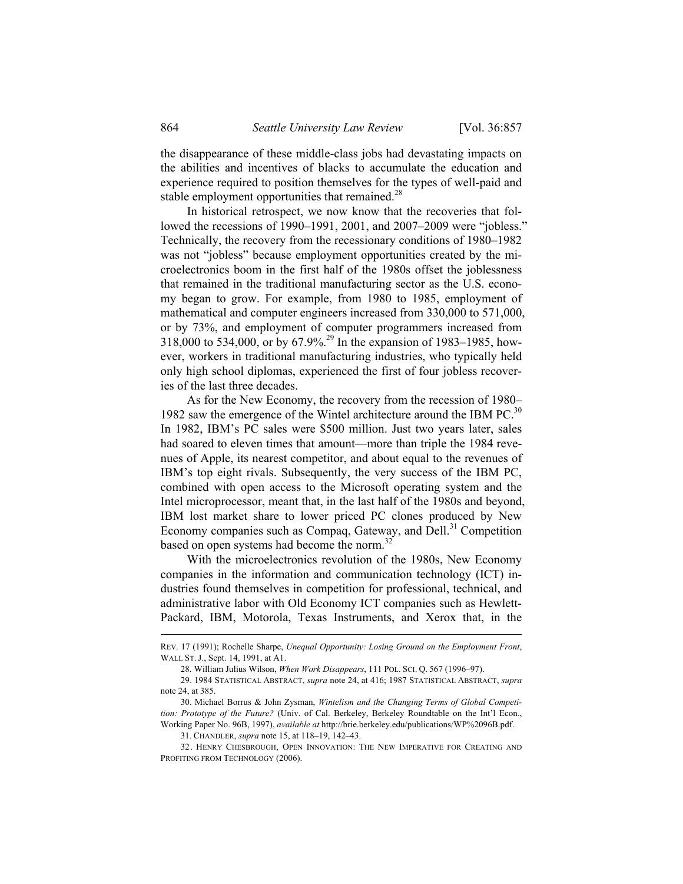the disappearance of these middle-class jobs had devastating impacts on the abilities and incentives of blacks to accumulate the education and experience required to position themselves for the types of well-paid and stable employment opportunities that remained. $^{28}$ 

In historical retrospect, we now know that the recoveries that followed the recessions of 1990–1991, 2001, and 2007–2009 were "jobless." Technically, the recovery from the recessionary conditions of 1980–1982 was not "jobless" because employment opportunities created by the microelectronics boom in the first half of the 1980s offset the joblessness that remained in the traditional manufacturing sector as the U.S. economy began to grow. For example, from 1980 to 1985, employment of mathematical and computer engineers increased from 330,000 to 571,000, or by 73%, and employment of computer programmers increased from 318,000 to 534,000, or by 67.9%.29 In the expansion of 1983–1985, however, workers in traditional manufacturing industries, who typically held only high school diplomas, experienced the first of four jobless recoveries of the last three decades.

As for the New Economy, the recovery from the recession of 1980– 1982 saw the emergence of the Wintel architecture around the IBM PC. $30$ In 1982, IBM's PC sales were \$500 million. Just two years later, sales had soared to eleven times that amount—more than triple the 1984 revenues of Apple, its nearest competitor, and about equal to the revenues of IBM's top eight rivals. Subsequently, the very success of the IBM PC, combined with open access to the Microsoft operating system and the Intel microprocessor, meant that, in the last half of the 1980s and beyond, IBM lost market share to lower priced PC clones produced by New Economy companies such as Compaq, Gateway, and Dell.<sup>31</sup> Competition based on open systems had become the norm.<sup>32</sup>

With the microelectronics revolution of the 1980s, New Economy companies in the information and communication technology (ICT) industries found themselves in competition for professional, technical, and administrative labor with Old Economy ICT companies such as Hewlett-Packard, IBM, Motorola, Texas Instruments, and Xerox that, in the

REV. 17 (1991); Rochelle Sharpe, *Unequal Opportunity: Losing Ground on the Employment Front*, WALL ST. J., Sept. 14, 1991, at A1.

 <sup>28.</sup> William Julius Wilson, *When Work Disappears*, 111 POL. SCI. Q. 567 (1996–97).

 <sup>29. 1984</sup> STATISTICAL ABSTRACT, *supra* note 24, at 416; 1987 STATISTICAL ABSTRACT, *supra* note 24, at 385.

 <sup>30.</sup> Michael Borrus & John Zysman, *Wintelism and the Changing Terms of Global Competition: Prototype of the Future?* (Univ. of Cal. Berkeley, Berkeley Roundtable on the Int'l Econ., Working Paper No. 96B, 1997), *available at* http://brie.berkeley.edu/publications/WP%2096B.pdf.

 <sup>31.</sup> CHANDLER, *supra* note 15, at 118–19, 142–43.

 <sup>32.</sup> HENRY CHESBROUGH, OPEN INNOVATION: THE NEW IMPERATIVE FOR CREATING AND PROFITING FROM TECHNOLOGY (2006).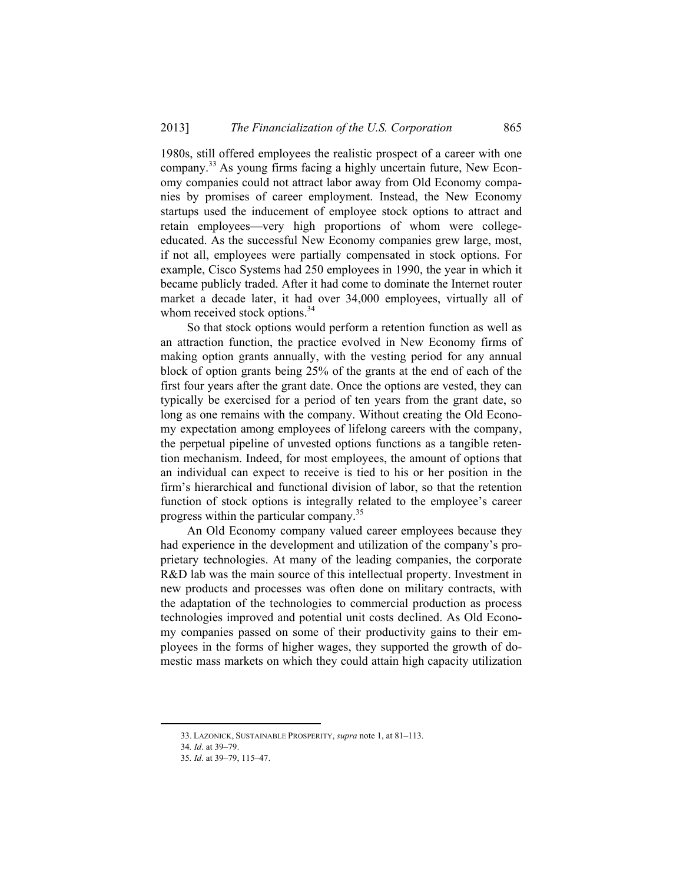1980s, still offered employees the realistic prospect of a career with one company.33 As young firms facing a highly uncertain future, New Economy companies could not attract labor away from Old Economy companies by promises of career employment. Instead, the New Economy startups used the inducement of employee stock options to attract and retain employees—very high proportions of whom were collegeeducated. As the successful New Economy companies grew large, most, if not all, employees were partially compensated in stock options. For example, Cisco Systems had 250 employees in 1990, the year in which it became publicly traded. After it had come to dominate the Internet router market a decade later, it had over 34,000 employees, virtually all of whom received stock options.<sup>34</sup>

So that stock options would perform a retention function as well as an attraction function, the practice evolved in New Economy firms of making option grants annually, with the vesting period for any annual block of option grants being 25% of the grants at the end of each of the first four years after the grant date. Once the options are vested, they can typically be exercised for a period of ten years from the grant date, so long as one remains with the company. Without creating the Old Economy expectation among employees of lifelong careers with the company, the perpetual pipeline of unvested options functions as a tangible retention mechanism. Indeed, for most employees, the amount of options that an individual can expect to receive is tied to his or her position in the firm's hierarchical and functional division of labor, so that the retention function of stock options is integrally related to the employee's career progress within the particular company.35

An Old Economy company valued career employees because they had experience in the development and utilization of the company's proprietary technologies. At many of the leading companies, the corporate R&D lab was the main source of this intellectual property. Investment in new products and processes was often done on military contracts, with the adaptation of the technologies to commercial production as process technologies improved and potential unit costs declined. As Old Economy companies passed on some of their productivity gains to their employees in the forms of higher wages, they supported the growth of domestic mass markets on which they could attain high capacity utilization

 <sup>33.</sup> LAZONICK, SUSTAINABLE PROSPERITY, *supra* note 1, at 81–113.

<sup>34</sup>*. Id*. at 39–79.

<sup>35</sup>*. Id*. at 39–79, 115–47.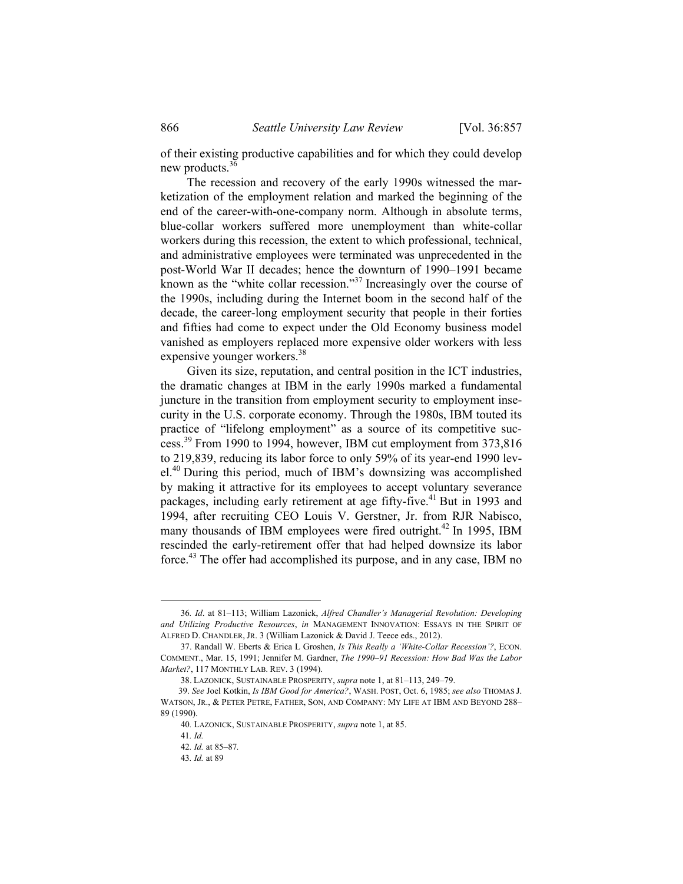of their existing productive capabilities and for which they could develop new products.<sup>36</sup>

The recession and recovery of the early 1990s witnessed the marketization of the employment relation and marked the beginning of the end of the career-with-one-company norm. Although in absolute terms, blue-collar workers suffered more unemployment than white-collar workers during this recession, the extent to which professional, technical, and administrative employees were terminated was unprecedented in the post-World War II decades; hence the downturn of 1990–1991 became known as the "white collar recession."<sup>37</sup> Increasingly over the course of the 1990s, including during the Internet boom in the second half of the decade, the career-long employment security that people in their forties and fifties had come to expect under the Old Economy business model vanished as employers replaced more expensive older workers with less expensive younger workers.<sup>38</sup>

Given its size, reputation, and central position in the ICT industries, the dramatic changes at IBM in the early 1990s marked a fundamental juncture in the transition from employment security to employment insecurity in the U.S. corporate economy. Through the 1980s, IBM touted its practice of "lifelong employment" as a source of its competitive success.39 From 1990 to 1994, however, IBM cut employment from 373,816 to 219,839, reducing its labor force to only 59% of its year-end 1990 level.<sup>40</sup> During this period, much of IBM's downsizing was accomplished by making it attractive for its employees to accept voluntary severance packages, including early retirement at age fifty-five.<sup>41</sup> But in 1993 and 1994, after recruiting CEO Louis V. Gerstner, Jr. from RJR Nabisco, many thousands of IBM employees were fired outright.<sup>42</sup> In 1995, IBM rescinded the early-retirement offer that had helped downsize its labor force.43 The offer had accomplished its purpose, and in any case, IBM no

 <sup>36</sup>*. Id*. at 81–113; William Lazonick, *Alfred Chandler's Managerial Revolution: Developing and Utilizing Productive Resources*, *in* MANAGEMENT INNOVATION: ESSAYS IN THE SPIRIT OF ALFRED D. CHANDLER, JR. 3 (William Lazonick & David J. Teece eds., 2012).

 <sup>37.</sup> Randall W. Eberts & Erica L Groshen, *Is This Really a 'White-Collar Recession'?*, ECON. COMMENT., Mar. 15, 1991; Jennifer M. Gardner, *The 1990–91 Recession: How Bad Was the Labor Market?*, 117 MONTHLY LAB. REV. 3 (1994).

 <sup>38.</sup> LAZONICK, SUSTAINABLE PROSPERITY, *supra* note 1, at 81–113, 249–79.

<sup>39.</sup> *See* Joel Kotkin, *Is IBM Good for America?*, WASH. POST, Oct. 6, 1985; *see also* THOMAS J. WATSON, JR., & PETER PETRE, FATHER, SON, AND COMPANY: MY LIFE AT IBM AND BEYOND 288– 89 (1990).

<sup>40</sup>*.* LAZONICK, SUSTAINABLE PROSPERITY, *supra* note 1, at 85.

<sup>41</sup>*. Id.* 

<sup>42</sup>*. Id.* at 85–87*.*

<sup>43</sup>*. Id.* at 89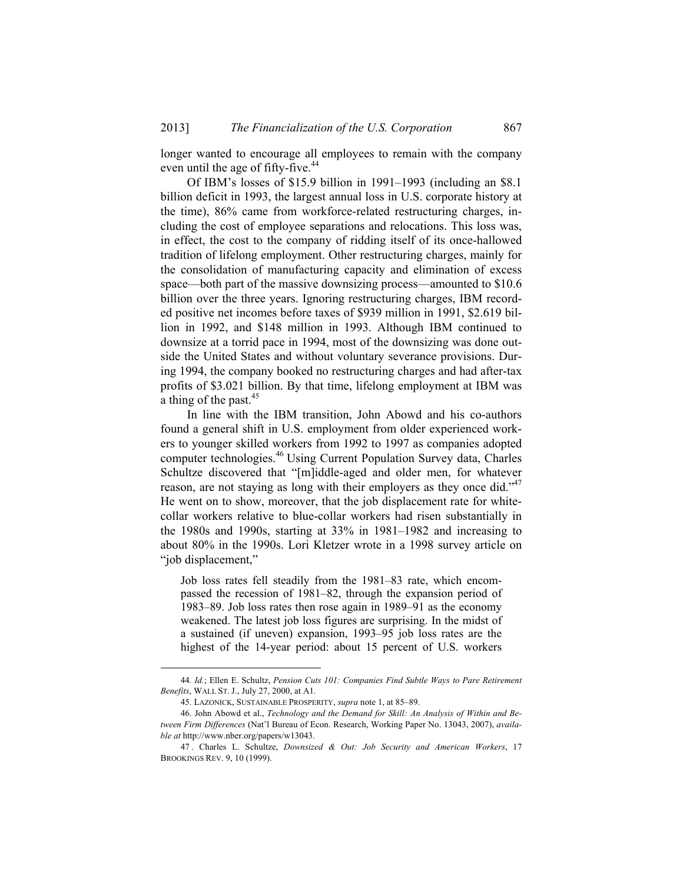longer wanted to encourage all employees to remain with the company even until the age of fifty-five.<sup>44</sup>

Of IBM's losses of \$15.9 billion in 1991–1993 (including an \$8.1 billion deficit in 1993, the largest annual loss in U.S. corporate history at the time), 86% came from workforce-related restructuring charges, including the cost of employee separations and relocations. This loss was, in effect, the cost to the company of ridding itself of its once-hallowed tradition of lifelong employment. Other restructuring charges, mainly for the consolidation of manufacturing capacity and elimination of excess space—both part of the massive downsizing process—amounted to \$10.6 billion over the three years. Ignoring restructuring charges, IBM recorded positive net incomes before taxes of \$939 million in 1991, \$2.619 billion in 1992, and \$148 million in 1993. Although IBM continued to downsize at a torrid pace in 1994, most of the downsizing was done outside the United States and without voluntary severance provisions. During 1994, the company booked no restructuring charges and had after-tax profits of \$3.021 billion. By that time, lifelong employment at IBM was a thing of the past. $45$ 

In line with the IBM transition, John Abowd and his co-authors found a general shift in U.S. employment from older experienced workers to younger skilled workers from 1992 to 1997 as companies adopted computer technologies.46 Using Current Population Survey data, Charles Schultze discovered that "[m]iddle-aged and older men, for whatever reason, are not staying as long with their employers as they once did."<sup>47</sup> He went on to show, moreover, that the job displacement rate for whitecollar workers relative to blue-collar workers had risen substantially in the 1980s and 1990s, starting at 33% in 1981–1982 and increasing to about 80% in the 1990s. Lori Kletzer wrote in a 1998 survey article on "job displacement,"

Job loss rates fell steadily from the 1981–83 rate, which encompassed the recession of 1981–82, through the expansion period of 1983–89. Job loss rates then rose again in 1989–91 as the economy weakened. The latest job loss figures are surprising. In the midst of a sustained (if uneven) expansion, 1993–95 job loss rates are the highest of the 14-year period: about 15 percent of U.S. workers

 <sup>44</sup>*. Id.*; Ellen E. Schultz, *Pension Cuts 101: Companies Find Subtle Ways to Pare Retirement Benefits*, WALL ST. J., July 27, 2000, at A1*.*

<sup>45</sup>*.* LAZONICK, SUSTAINABLE PROSPERITY, *supra* note 1, at 85–89.

 <sup>46.</sup> John Abowd et al., *Technology and the Demand for Skill: An Analysis of Within and Between Firm Differences* (Nat'l Bureau of Econ. Research, Working Paper No. 13043, 2007), *available at* http://www.nber.org/papers/w13043.

 <sup>47 .</sup> Charles L. Schultze, *Downsized & Out: Job Security and American Workers*, 17 BROOKINGS REV. 9, 10 (1999).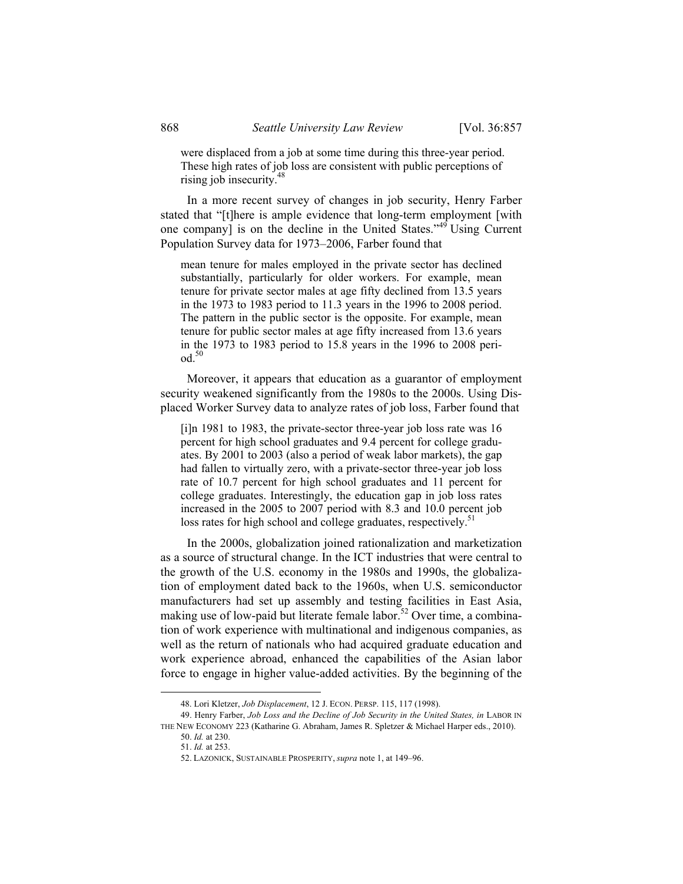were displaced from a job at some time during this three-year period. These high rates of job loss are consistent with public perceptions of rising job insecurity.<sup>48</sup>

In a more recent survey of changes in job security, Henry Farber stated that "[t]here is ample evidence that long-term employment [with one company] is on the decline in the United States."49 Using Current Population Survey data for 1973–2006, Farber found that

mean tenure for males employed in the private sector has declined substantially, particularly for older workers. For example, mean tenure for private sector males at age fifty declined from 13.5 years in the 1973 to 1983 period to 11.3 years in the 1996 to 2008 period. The pattern in the public sector is the opposite. For example, mean tenure for public sector males at age fifty increased from 13.6 years in the 1973 to 1983 period to 15.8 years in the 1996 to 2008 peri- $\mathrm{od.}^{50}$ 

Moreover, it appears that education as a guarantor of employment security weakened significantly from the 1980s to the 2000s. Using Displaced Worker Survey data to analyze rates of job loss, Farber found that

[i]n 1981 to 1983, the private-sector three-year job loss rate was 16 percent for high school graduates and 9.4 percent for college graduates. By 2001 to 2003 (also a period of weak labor markets), the gap had fallen to virtually zero, with a private-sector three-year job loss rate of 10.7 percent for high school graduates and 11 percent for college graduates. Interestingly, the education gap in job loss rates increased in the 2005 to 2007 period with 8.3 and 10.0 percent job loss rates for high school and college graduates, respectively.<sup>51</sup>

In the 2000s, globalization joined rationalization and marketization as a source of structural change. In the ICT industries that were central to the growth of the U.S. economy in the 1980s and 1990s, the globalization of employment dated back to the 1960s, when U.S. semiconductor manufacturers had set up assembly and testing facilities in East Asia, making use of low-paid but literate female labor.<sup>52</sup> Over time, a combination of work experience with multinational and indigenous companies, as well as the return of nationals who had acquired graduate education and work experience abroad, enhanced the capabilities of the Asian labor force to engage in higher value-added activities. By the beginning of the

 <sup>48.</sup> Lori Kletzer, *Job Displacement*, 12 J. ECON. PERSP. 115, 117 (1998).

 <sup>49.</sup> Henry Farber, *Job Loss and the Decline of Job Security in the United States, in* LABOR IN THE NEW ECONOMY 223 (Katharine G. Abraham, James R. Spletzer & Michael Harper eds., 2010).

<sup>50.</sup> *Id.* at 230.

<sup>51.</sup> *Id.* at 253.

 <sup>52.</sup> LAZONICK, SUSTAINABLE PROSPERITY, *supra* note 1, at 149–96.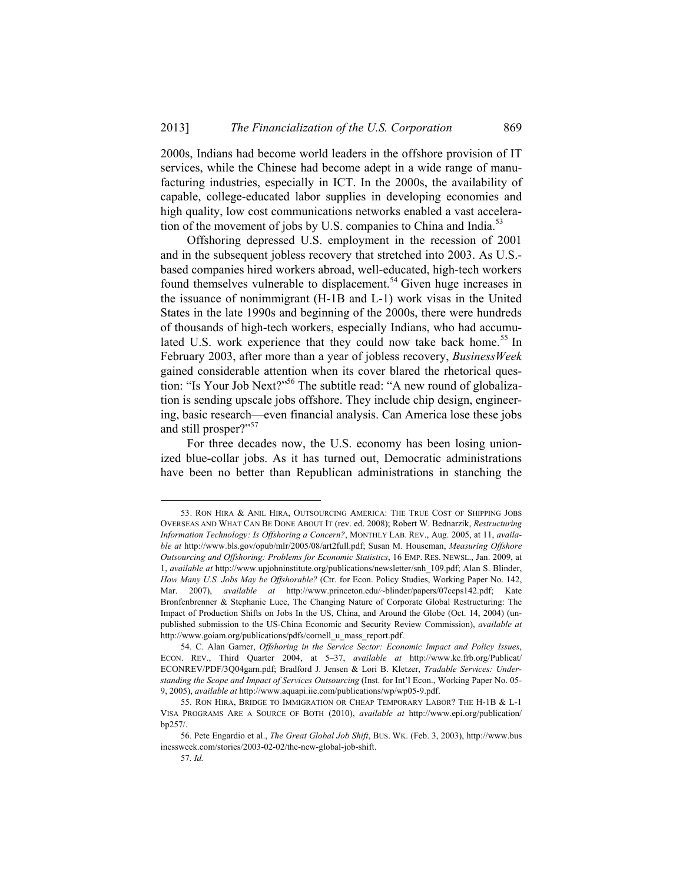2000s, Indians had become world leaders in the offshore provision of IT services, while the Chinese had become adept in a wide range of manufacturing industries, especially in ICT. In the 2000s, the availability of capable, college-educated labor supplies in developing economies and high quality, low cost communications networks enabled a vast acceleration of the movement of jobs by U.S. companies to China and India.<sup>53</sup>

Offshoring depressed U.S. employment in the recession of 2001 and in the subsequent jobless recovery that stretched into 2003. As U.S. based companies hired workers abroad, well-educated, high-tech workers found themselves vulnerable to displacement.<sup>54</sup> Given huge increases in the issuance of nonimmigrant (H-1B and L-1) work visas in the United States in the late 1990s and beginning of the 2000s, there were hundreds of thousands of high-tech workers, especially Indians, who had accumulated U.S. work experience that they could now take back home.<sup>55</sup> In February 2003, after more than a year of jobless recovery, *BusinessWeek* gained considerable attention when its cover blared the rhetorical question: "Is Your Job Next?"56 The subtitle read: "A new round of globalization is sending upscale jobs offshore. They include chip design, engineering, basic research—even financial analysis. Can America lose these jobs and still prosper?"<sup>57</sup>

For three decades now, the U.S. economy has been losing unionized blue-collar jobs. As it has turned out, Democratic administrations have been no better than Republican administrations in stanching the

 <sup>53.</sup> RON HIRA & ANIL HIRA, OUTSOURCING AMERICA: THE TRUE COST OF SHIPPING JOBS OVERSEAS AND WHAT CAN BE DONE ABOUT IT (rev. ed. 2008); Robert W. Bednarzik, *Restructuring Information Technology: Is Offshoring a Concern?*, MONTHLY LAB. REV., Aug. 2005, at 11, *available at* http://www.bls.gov/opub/mlr/2005/08/art2full.pdf; Susan M. Houseman, *Measuring Offshore Outsourcing and Offshoring: Problems for Economic Statistics*, 16 EMP. RES. NEWSL., Jan. 2009, at 1, *available at* http://www.upjohninstitute.org/publications/newsletter/snh\_109.pdf; Alan S. Blinder, *How Many U.S. Jobs May be Offshorable?* (Ctr. for Econ. Policy Studies, Working Paper No. 142, Mar. 2007), *available at* http://www.princeton.edu/~blinder/papers/07ceps142.pdf; Kate Bronfenbrenner & Stephanie Luce, The Changing Nature of Corporate Global Restructuring: The Impact of Production Shifts on Jobs In the US, China, and Around the Globe (Oct. 14, 2004) (unpublished submission to the US-China Economic and Security Review Commission), *available at* http://www.goiam.org/publications/pdfs/cornell\_u\_mass\_report.pdf.

 <sup>54.</sup> C. Alan Garner, *Offshoring in the Service Sector: Economic Impact and Policy Issues*, ECON. REV., Third Quarter 2004, at 5–37, *available at* http://www.kc.frb.org/Publicat/ ECONREV/PDF/3Q04garn.pdf; Bradford J. Jensen & Lori B. Kletzer, *Tradable Services: Understanding the Scope and Impact of Services Outsourcing* (Inst. for Int'l Econ., Working Paper No. 05- 9, 2005), *available at* http://www.aquapi.iie.com/publications/wp/wp05-9.pdf.

 <sup>55.</sup> RON HIRA, BRIDGE TO IMMIGRATION OR CHEAP TEMPORARY LABOR? THE H-1B & L-1 VISA PROGRAMS ARE A SOURCE OF BOTH (2010), *available at* http://www.epi.org/publication/ bp257/.

 <sup>56.</sup> Pete Engardio et al., *The Great Global Job Shift*, BUS. WK. (Feb. 3, 2003), http://www.bus inessweek.com/stories/2003-02-02/the-new-global-job-shift.

<sup>57</sup>*. Id.*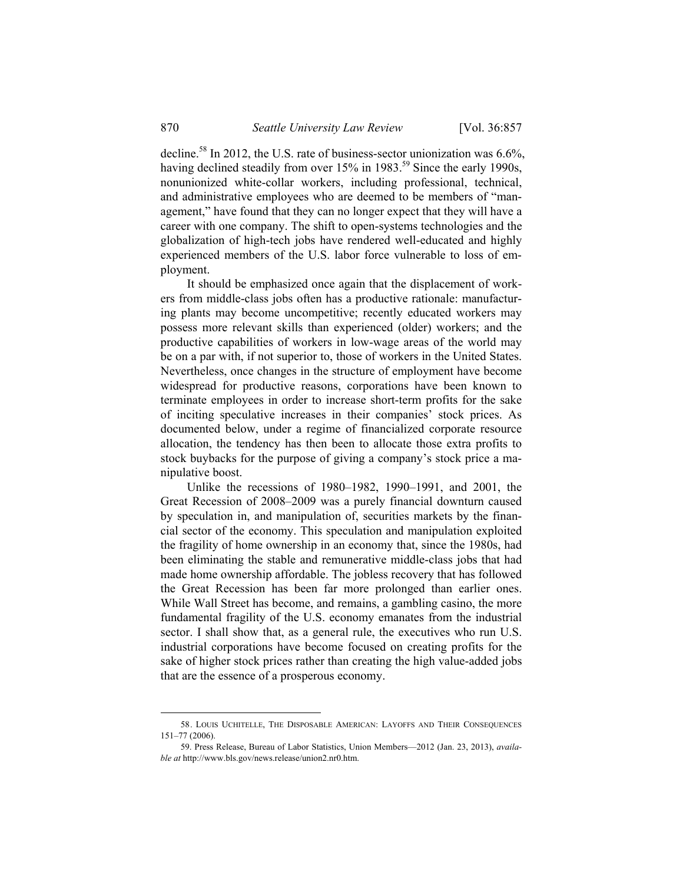decline.<sup>58</sup> In 2012, the U.S. rate of business-sector unionization was  $6.6\%$ , having declined steadily from over 15% in 1983.<sup>59</sup> Since the early 1990s. nonunionized white-collar workers, including professional, technical, and administrative employees who are deemed to be members of "management," have found that they can no longer expect that they will have a career with one company. The shift to open-systems technologies and the globalization of high-tech jobs have rendered well-educated and highly experienced members of the U.S. labor force vulnerable to loss of employment.

It should be emphasized once again that the displacement of workers from middle-class jobs often has a productive rationale: manufacturing plants may become uncompetitive; recently educated workers may possess more relevant skills than experienced (older) workers; and the productive capabilities of workers in low-wage areas of the world may be on a par with, if not superior to, those of workers in the United States. Nevertheless, once changes in the structure of employment have become widespread for productive reasons, corporations have been known to terminate employees in order to increase short-term profits for the sake of inciting speculative increases in their companies' stock prices. As documented below, under a regime of financialized corporate resource allocation, the tendency has then been to allocate those extra profits to stock buybacks for the purpose of giving a company's stock price a manipulative boost.

Unlike the recessions of 1980–1982, 1990–1991, and 2001, the Great Recession of 2008–2009 was a purely financial downturn caused by speculation in, and manipulation of, securities markets by the financial sector of the economy. This speculation and manipulation exploited the fragility of home ownership in an economy that, since the 1980s, had been eliminating the stable and remunerative middle-class jobs that had made home ownership affordable. The jobless recovery that has followed the Great Recession has been far more prolonged than earlier ones. While Wall Street has become, and remains, a gambling casino, the more fundamental fragility of the U.S. economy emanates from the industrial sector. I shall show that, as a general rule, the executives who run U.S. industrial corporations have become focused on creating profits for the sake of higher stock prices rather than creating the high value-added jobs that are the essence of a prosperous economy.

 <sup>58.</sup> LOUIS UCHITELLE, THE DISPOSABLE AMERICAN: LAYOFFS AND THEIR CONSEQUENCES 151–77 (2006).

 <sup>59.</sup> Press Release, Bureau of Labor Statistics, Union Members—2012 (Jan. 23, 2013), *available at* http://www.bls.gov/news.release/union2.nr0.htm.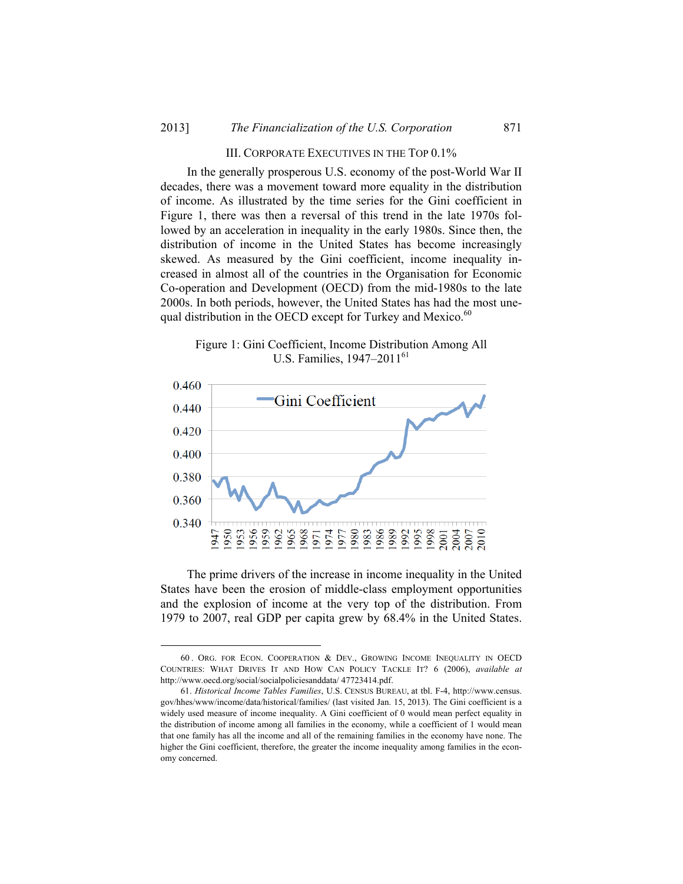#### III. CORPORATE EXECUTIVES IN THE TOP 0.1%

In the generally prosperous U.S. economy of the post-World War II decades, there was a movement toward more equality in the distribution of income. As illustrated by the time series for the Gini coefficient in Figure 1, there was then a reversal of this trend in the late 1970s followed by an acceleration in inequality in the early 1980s. Since then, the distribution of income in the United States has become increasingly skewed. As measured by the Gini coefficient, income inequality increased in almost all of the countries in the Organisation for Economic Co-operation and Development (OECD) from the mid-1980s to the late 2000s. In both periods, however, the United States has had the most unequal distribution in the OECD except for Turkey and Mexico.<sup>60</sup>

Figure 1: Gini Coefficient, Income Distribution Among All U.S. Families,  $1947-2011^{61}$ 



The prime drivers of the increase in income inequality in the United States have been the erosion of middle-class employment opportunities and the explosion of income at the very top of the distribution. From 1979 to 2007, real GDP per capita grew by 68.4% in the United States.

 <sup>60 .</sup> ORG. FOR ECON. COOPERATION & DEV., GROWING INCOME INEQUALITY IN OECD COUNTRIES: WHAT DRIVES IT AND HOW CAN POLICY TACKLE IT? 6 (2006), *available at* http://www.oecd.org/social/socialpoliciesanddata/ 47723414.pdf.

 <sup>61.</sup> *Historical Income Tables Families*, U.S. CENSUS BUREAU, at tbl. F-4, http://www.census. gov/hhes/www/income/data/historical/families/ (last visited Jan. 15, 2013). The Gini coefficient is a widely used measure of income inequality. A Gini coefficient of 0 would mean perfect equality in the distribution of income among all families in the economy, while a coefficient of 1 would mean that one family has all the income and all of the remaining families in the economy have none. The higher the Gini coefficient, therefore, the greater the income inequality among families in the economy concerned.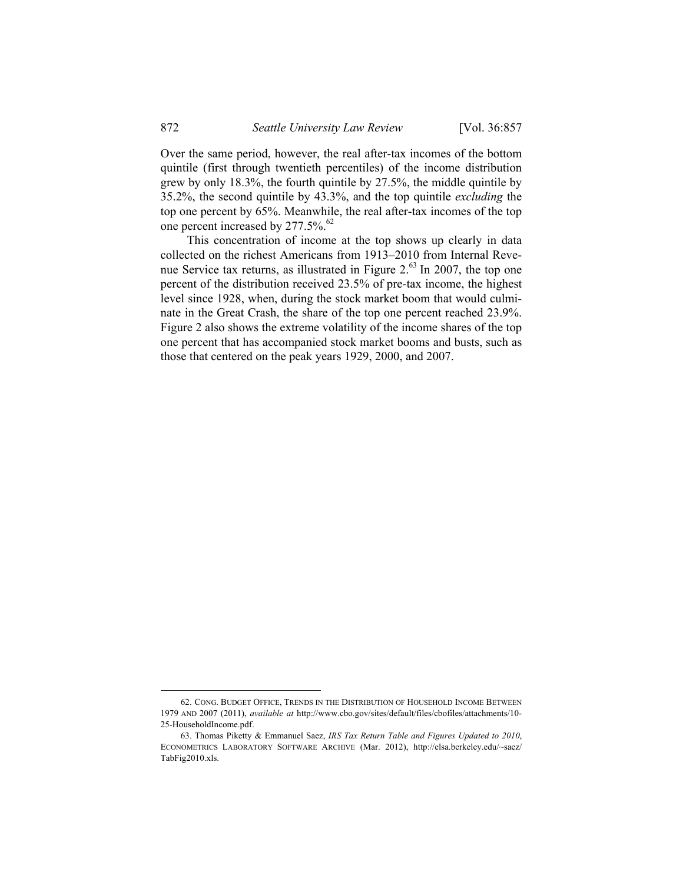Over the same period, however, the real after-tax incomes of the bottom quintile (first through twentieth percentiles) of the income distribution grew by only 18.3%, the fourth quintile by 27.5%, the middle quintile by 35.2%, the second quintile by 43.3%, and the top quintile *excluding* the top one percent by 65%. Meanwhile, the real after-tax incomes of the top one percent increased by 277.5%.<sup>62</sup>

This concentration of income at the top shows up clearly in data collected on the richest Americans from 1913–2010 from Internal Revenue Service tax returns, as illustrated in Figure 2.<sup>63</sup> In 2007, the top one percent of the distribution received 23.5% of pre-tax income, the highest level since 1928, when, during the stock market boom that would culminate in the Great Crash, the share of the top one percent reached 23.9%. Figure 2 also shows the extreme volatility of the income shares of the top one percent that has accompanied stock market booms and busts, such as those that centered on the peak years 1929, 2000, and 2007.

 <sup>62.</sup> CONG. BUDGET OFFICE, TRENDS IN THE DISTRIBUTION OF HOUSEHOLD INCOME BETWEEN 1979 AND 2007 (2011), *available at* http://www.cbo.gov/sites/default/files/cbofiles/attachments/10- 25-HouseholdIncome.pdf.

 <sup>63.</sup> Thomas Piketty & Emmanuel Saez, *IRS Tax Return Table and Figures Updated to 2010*, ECONOMETRICS LABORATORY SOFTWARE ARCHIVE (Mar. 2012), http://elsa.berkeley.edu/~saez/ TabFig2010.xls.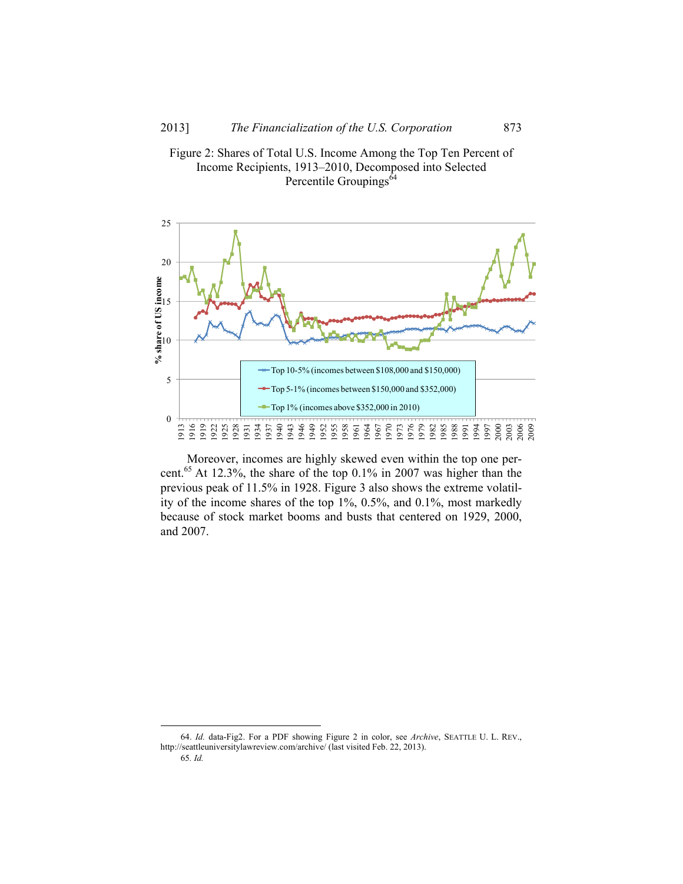



Moreover, incomes are highly skewed even within the top one percent.<sup>65</sup> At 12.3%, the share of the top 0.1% in 2007 was higher than the previous peak of 11.5% in 1928. Figure 3 also shows the extreme volatility of the income shares of the top 1%, 0.5%, and 0.1%, most markedly because of stock market booms and busts that centered on 1929, 2000, and 2007.

 64. *Id.* data-Fig2. For a PDF showing Figure 2 in color, see *Archive*, SEATTLE U. L. REV., http://seattleuniversitylawreview.com/archive/ (last visited Feb. 22, 2013). 65*. Id.*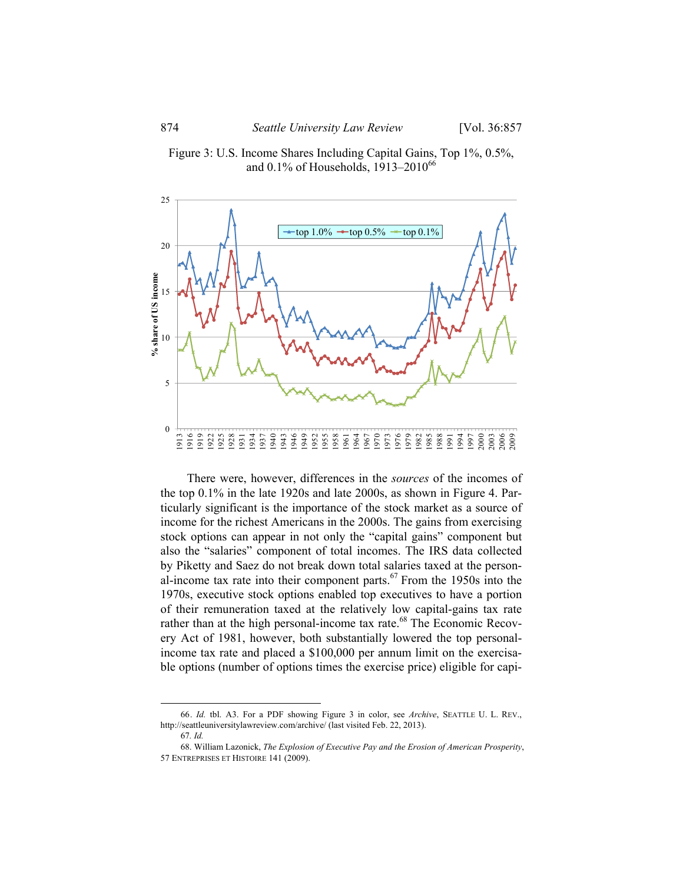



There were, however, differences in the *sources* of the incomes of the top 0.1% in the late 1920s and late 2000s, as shown in Figure 4. Particularly significant is the importance of the stock market as a source of income for the richest Americans in the 2000s. The gains from exercising stock options can appear in not only the "capital gains" component but also the "salaries" component of total incomes. The IRS data collected by Piketty and Saez do not break down total salaries taxed at the personal-income tax rate into their component parts.<sup>67</sup> From the 1950s into the 1970s, executive stock options enabled top executives to have a portion of their remuneration taxed at the relatively low capital-gains tax rate rather than at the high personal-income tax rate.<sup>68</sup> The Economic Recovery Act of 1981, however, both substantially lowered the top personalincome tax rate and placed a \$100,000 per annum limit on the exercisable options (number of options times the exercise price) eligible for capi-

 <sup>66.</sup> *Id.* tbl. A3. For a PDF showing Figure 3 in color, see *Archive*, SEATTLE U. L. REV., http://seattleuniversitylawreview.com/archive/ (last visited Feb. 22, 2013).

<sup>67</sup>*. Id.*

<sup>68.</sup> William Lazonick, *The Explosion of Executive Pay and the Erosion of American Prosperity*, 57 ENTREPRISES ET HISTOIRE 141 (2009).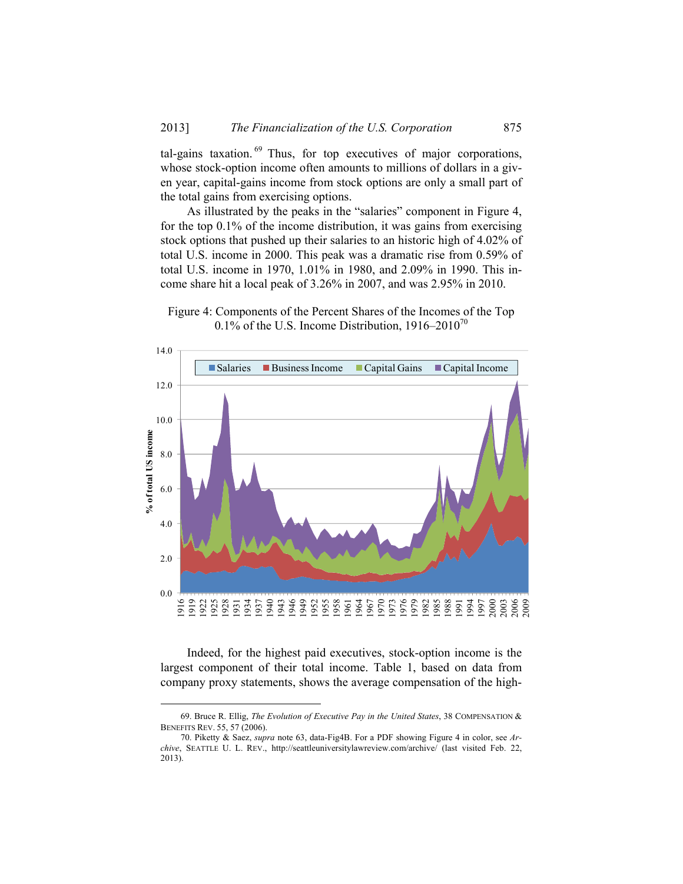tal-gains taxation.  $69$  Thus, for top executives of major corporations, whose stock-option income often amounts to millions of dollars in a given year, capital-gains income from stock options are only a small part of the total gains from exercising options.

As illustrated by the peaks in the "salaries" component in Figure 4, for the top 0.1% of the income distribution, it was gains from exercising stock options that pushed up their salaries to an historic high of 4.02% of total U.S. income in 2000. This peak was a dramatic rise from 0.59% of total U.S. income in 1970, 1.01% in 1980, and 2.09% in 1990. This income share hit a local peak of 3.26% in 2007, and was 2.95% in 2010.





Indeed, for the highest paid executives, stock-option income is the largest component of their total income. Table 1, based on data from company proxy statements, shows the average compensation of the high-

 <sup>69.</sup> Bruce R. Ellig, *The Evolution of Executive Pay in the United States*, 38 COMPENSATION & BENEFITS REV. 55, 57 (2006).

<sup>70.</sup> Piketty & Saez, *supra* note 63, data-Fig4B. For a PDF showing Figure 4 in color, see *Archive*, SEATTLE U. L. REV., http://seattleuniversitylawreview.com/archive/ (last visited Feb. 22, 2013).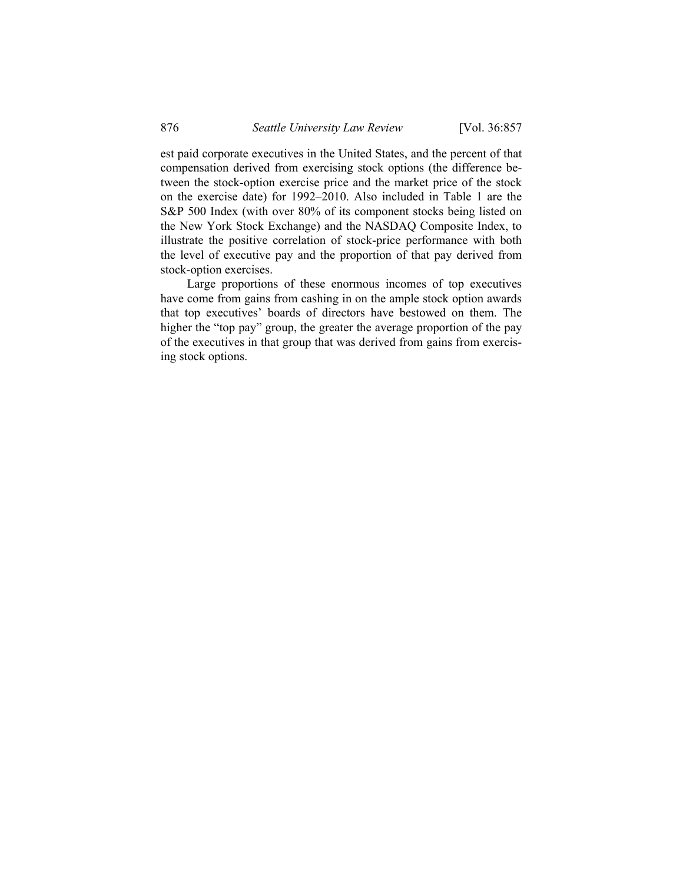est paid corporate executives in the United States, and the percent of that compensation derived from exercising stock options (the difference between the stock-option exercise price and the market price of the stock on the exercise date) for 1992–2010. Also included in Table 1 are the S&P 500 Index (with over 80% of its component stocks being listed on the New York Stock Exchange) and the NASDAQ Composite Index, to illustrate the positive correlation of stock-price performance with both the level of executive pay and the proportion of that pay derived from stock-option exercises.

Large proportions of these enormous incomes of top executives have come from gains from cashing in on the ample stock option awards that top executives' boards of directors have bestowed on them. The higher the "top pay" group, the greater the average proportion of the pay of the executives in that group that was derived from gains from exercising stock options.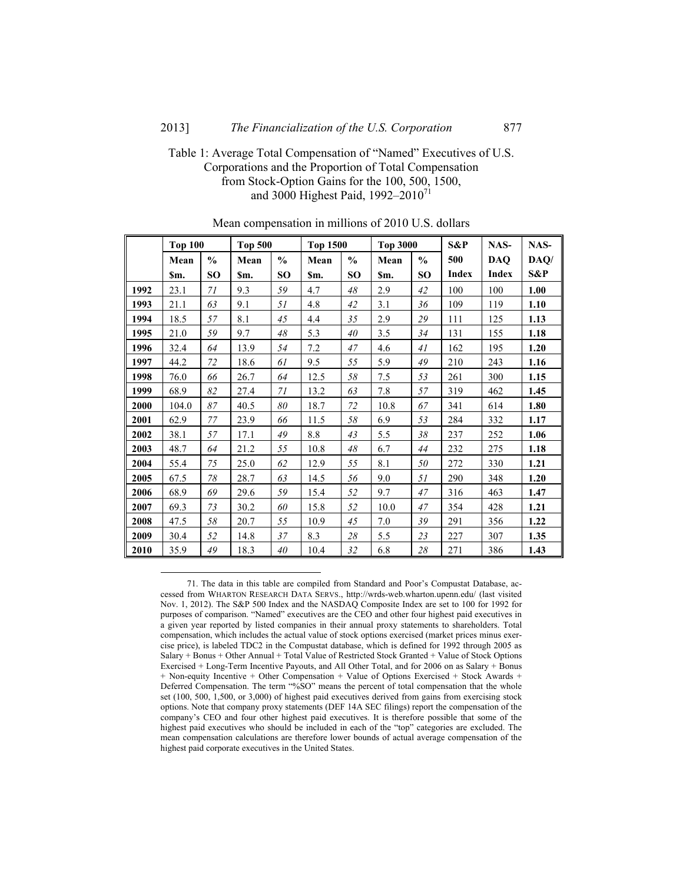#### 2013] *The Financialization of the U.S. Corporation* 877

# Table 1: Average Total Compensation of "Named" Executives of U.S. Corporations and the Proportion of Total Compensation from Stock-Option Gains for the 100, 500, 1500, and 3000 Highest Paid,  $1992 - 2010^{71}$

|      | <b>Top 100</b> |               | <b>Top 500</b> |               | <b>Top 1500</b> |               | <b>Top 3000</b> |               | S&P          | NAS-         | NAS- |
|------|----------------|---------------|----------------|---------------|-----------------|---------------|-----------------|---------------|--------------|--------------|------|
|      | Mean           | $\frac{0}{0}$ | Mean           | $\frac{0}{0}$ | Mean            | $\frac{0}{0}$ | Mean            | $\frac{0}{0}$ | 500          | <b>DAQ</b>   | DAQ/ |
|      | Sm.            | <b>SO</b>     | Sm.            | <b>SO</b>     | \$m.            | <b>SO</b>     | Sm.             | <b>SO</b>     | <b>Index</b> | <b>Index</b> | S&P  |
| 1992 | 23.1           | 71            | 9.3            | 59            | 4.7             | $48\,$        | 2.9             | 42            | 100          | 100          | 1.00 |
| 1993 | 21.1           | 63            | 9.1            | 51            | 4.8             | 42            | 3.1             | 36            | 109          | 119          | 1.10 |
| 1994 | 18.5           | 57            | 8.1            | 45            | 4.4             | 35            | 2.9             | 29            | 111          | 125          | 1.13 |
| 1995 | 21.0           | 59            | 9.7            | $48\,$        | 5.3             | 40            | 3.5             | 34            | 131          | 155          | 1.18 |
| 1996 | 32.4           | 64            | 13.9           | 54            | 7.2             | 47            | 4.6             | 41            | 162          | 195          | 1.20 |
| 1997 | 44.2           | $72\,$        | 18.6           | 61            | 9.5             | 55            | 5.9             | 49            | 210          | 243          | 1.16 |
| 1998 | 76.0           | 66            | 26.7           | 64            | 12.5            | 58            | 7.5             | 53            | 261          | 300          | 1.15 |
| 1999 | 68.9           | 82            | 27.4           | 71            | 13.2            | 63            | 7.8             | 57            | 319          | 462          | 1.45 |
| 2000 | 104.0          | 87            | 40.5           | 80            | 18.7            | 72            | 10.8            | 67            | 341          | 614          | 1.80 |
| 2001 | 62.9           | $77 \,$       | 23.9           | 66            | 11.5            | 58            | 6.9             | 53            | 284          | 332          | 1.17 |
| 2002 | 38.1           | 57            | 17.1           | 49            | 8.8             | 43            | 5.5             | 38            | 237          | 252          | 1.06 |
| 2003 | 48.7           | 64            | 21.2           | 55            | 10.8            | 48            | 6.7             | 44            | 232          | 275          | 1.18 |
| 2004 | 55.4           | 75            | 25.0           | 62            | 12.9            | 55            | 8.1             | 50            | 272          | 330          | 1.21 |
| 2005 | 67.5           | 78            | 28.7           | 63            | 14.5            | 56            | 9.0             | 51            | 290          | 348          | 1.20 |
| 2006 | 68.9           | 69            | 29.6           | 59            | 15.4            | 52            | 9.7             | 47            | 316          | 463          | 1.47 |
| 2007 | 69.3           | $73\,$        | 30.2           | 60            | 15.8            | 52            | 10.0            | 47            | 354          | 428          | 1.21 |
| 2008 | 47.5           | 58            | 20.7           | 55            | 10.9            | 45            | 7.0             | 39            | 291          | 356          | 1.22 |
| 2009 | 30.4           | 52            | 14.8           | 37            | 8.3             | 28            | 5.5             | 23            | 227          | 307          | 1.35 |
| 2010 | 35.9           | 49            | 18.3           | 40            | 10.4            | 32            | 6.8             | $28\,$        | 271          | 386          | 1.43 |

Mean compensation in millions of 2010 U.S. dollars

 71. The data in this table are compiled from Standard and Poor's Compustat Database, accessed from WHARTON RESEARCH DATA SERVS., http://wrds-web.wharton.upenn.edu/ (last visited Nov. 1, 2012). The S&P 500 Index and the NASDAQ Composite Index are set to 100 for 1992 for purposes of comparison. "Named" executives are the CEO and other four highest paid executives in a given year reported by listed companies in their annual proxy statements to shareholders. Total compensation, which includes the actual value of stock options exercised (market prices minus exercise price), is labeled TDC2 in the Compustat database, which is defined for 1992 through 2005 as Salary + Bonus + Other Annual + Total Value of Restricted Stock Granted + Value of Stock Options Exercised + Long-Term Incentive Payouts, and All Other Total, and for 2006 on as Salary + Bonus + Non-equity Incentive + Other Compensation + Value of Options Exercised + Stock Awards + Deferred Compensation. The term "%SO" means the percent of total compensation that the whole set (100, 500, 1,500, or 3,000) of highest paid executives derived from gains from exercising stock options. Note that company proxy statements (DEF 14A SEC filings) report the compensation of the company's CEO and four other highest paid executives. It is therefore possible that some of the highest paid executives who should be included in each of the "top" categories are excluded. The mean compensation calculations are therefore lower bounds of actual average compensation of the highest paid corporate executives in the United States.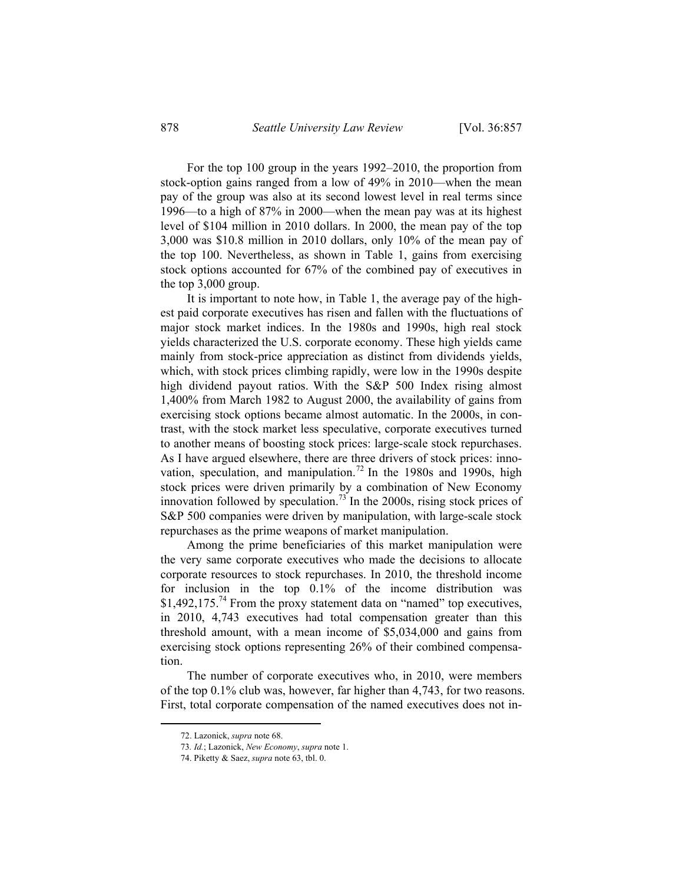For the top 100 group in the years 1992–2010, the proportion from stock-option gains ranged from a low of 49% in 2010—when the mean pay of the group was also at its second lowest level in real terms since 1996—to a high of 87% in 2000—when the mean pay was at its highest level of \$104 million in 2010 dollars. In 2000, the mean pay of the top 3,000 was \$10.8 million in 2010 dollars, only 10% of the mean pay of the top 100. Nevertheless, as shown in Table 1, gains from exercising stock options accounted for 67% of the combined pay of executives in the top 3,000 group.

It is important to note how, in Table 1, the average pay of the highest paid corporate executives has risen and fallen with the fluctuations of major stock market indices. In the 1980s and 1990s, high real stock yields characterized the U.S. corporate economy. These high yields came mainly from stock-price appreciation as distinct from dividends yields, which, with stock prices climbing rapidly, were low in the 1990s despite high dividend payout ratios. With the S&P 500 Index rising almost 1,400% from March 1982 to August 2000, the availability of gains from exercising stock options became almost automatic. In the 2000s, in contrast, with the stock market less speculative, corporate executives turned to another means of boosting stock prices: large-scale stock repurchases. As I have argued elsewhere, there are three drivers of stock prices: innovation, speculation, and manipulation.<sup>72</sup> In the 1980s and 1990s, high stock prices were driven primarily by a combination of New Economy innovation followed by speculation.<sup>73</sup> In the 2000s, rising stock prices of S&P 500 companies were driven by manipulation, with large-scale stock repurchases as the prime weapons of market manipulation.

Among the prime beneficiaries of this market manipulation were the very same corporate executives who made the decisions to allocate corporate resources to stock repurchases. In 2010, the threshold income for inclusion in the top 0.1% of the income distribution was \$1,492,175.<sup>74</sup> From the proxy statement data on "named" top executives, in 2010, 4,743 executives had total compensation greater than this threshold amount, with a mean income of \$5,034,000 and gains from exercising stock options representing 26% of their combined compensation.

The number of corporate executives who, in 2010, were members of the top 0.1% club was, however, far higher than 4,743, for two reasons. First, total corporate compensation of the named executives does not in-

 <sup>72.</sup> Lazonick, *supra* note 68.

<sup>73</sup>*. Id.*; Lazonick, *New Economy*, *supra* note 1.

 <sup>74.</sup> Piketty & Saez, *supra* note 63, tbl. 0.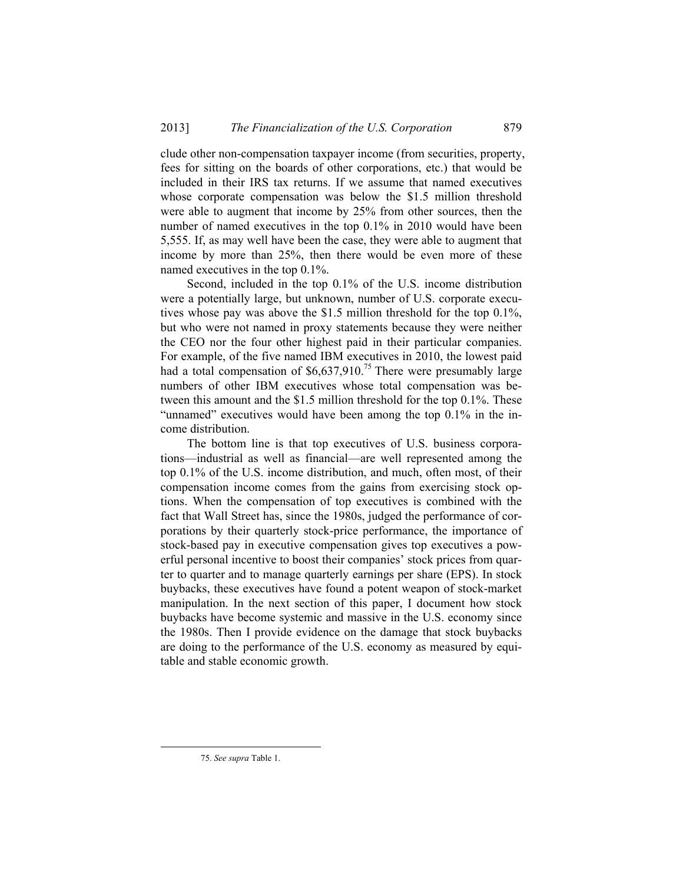clude other non-compensation taxpayer income (from securities, property, fees for sitting on the boards of other corporations, etc.) that would be included in their IRS tax returns. If we assume that named executives whose corporate compensation was below the \$1.5 million threshold were able to augment that income by 25% from other sources, then the number of named executives in the top 0.1% in 2010 would have been 5,555. If, as may well have been the case, they were able to augment that income by more than 25%, then there would be even more of these named executives in the top 0.1%.

Second, included in the top 0.1% of the U.S. income distribution were a potentially large, but unknown, number of U.S. corporate executives whose pay was above the \$1.5 million threshold for the top 0.1%, but who were not named in proxy statements because they were neither the CEO nor the four other highest paid in their particular companies. For example, of the five named IBM executives in 2010, the lowest paid had a total compensation of  $$6,637,910.<sup>75</sup>$  There were presumably large numbers of other IBM executives whose total compensation was between this amount and the \$1.5 million threshold for the top 0.1%. These "unnamed" executives would have been among the top 0.1% in the income distribution.

The bottom line is that top executives of U.S. business corporations—industrial as well as financial—are well represented among the top 0.1% of the U.S. income distribution, and much, often most, of their compensation income comes from the gains from exercising stock options. When the compensation of top executives is combined with the fact that Wall Street has, since the 1980s, judged the performance of corporations by their quarterly stock-price performance, the importance of stock-based pay in executive compensation gives top executives a powerful personal incentive to boost their companies' stock prices from quarter to quarter and to manage quarterly earnings per share (EPS). In stock buybacks, these executives have found a potent weapon of stock-market manipulation. In the next section of this paper, I document how stock buybacks have become systemic and massive in the U.S. economy since the 1980s. Then I provide evidence on the damage that stock buybacks are doing to the performance of the U.S. economy as measured by equitable and stable economic growth.

 <sup>75.</sup> *See supra* Table 1.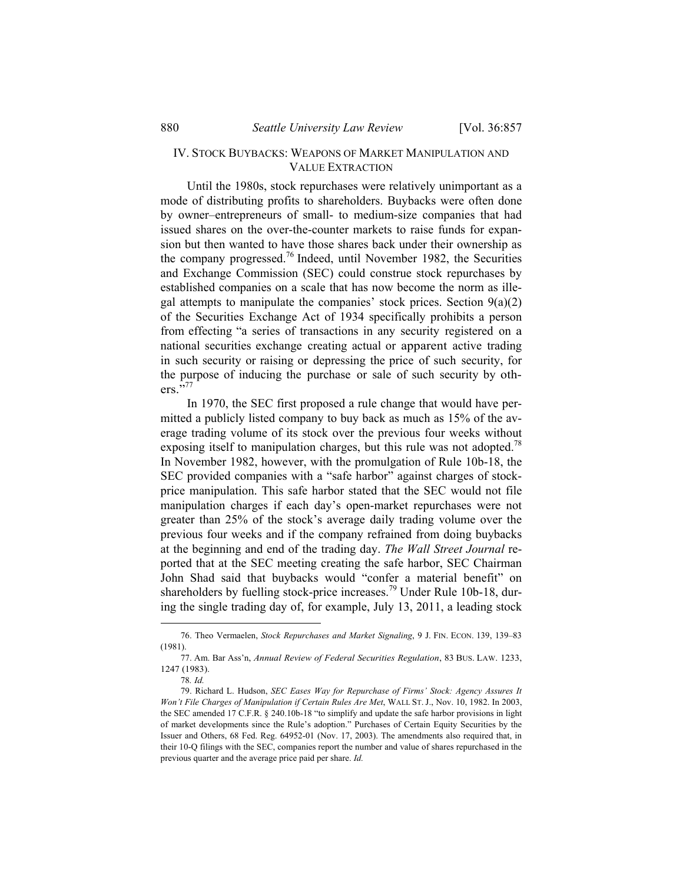### IV. STOCK BUYBACKS: WEAPONS OF MARKET MANIPULATION AND VALUE EXTRACTION

Until the 1980s, stock repurchases were relatively unimportant as a mode of distributing profits to shareholders. Buybacks were often done by owner–entrepreneurs of small- to medium-size companies that had issued shares on the over-the-counter markets to raise funds for expansion but then wanted to have those shares back under their ownership as the company progressed.76 Indeed, until November 1982, the Securities and Exchange Commission (SEC) could construe stock repurchases by established companies on a scale that has now become the norm as illegal attempts to manipulate the companies' stock prices. Section  $9(a)(2)$ of the Securities Exchange Act of 1934 specifically prohibits a person from effecting "a series of transactions in any security registered on a national securities exchange creating actual or apparent active trading in such security or raising or depressing the price of such security, for the purpose of inducing the purchase or sale of such security by oth $ers.$ <sup>5,77</sup>

In 1970, the SEC first proposed a rule change that would have permitted a publicly listed company to buy back as much as 15% of the average trading volume of its stock over the previous four weeks without exposing itself to manipulation charges, but this rule was not adopted.<sup>78</sup> In November 1982, however, with the promulgation of Rule 10b-18, the SEC provided companies with a "safe harbor" against charges of stockprice manipulation. This safe harbor stated that the SEC would not file manipulation charges if each day's open-market repurchases were not greater than 25% of the stock's average daily trading volume over the previous four weeks and if the company refrained from doing buybacks at the beginning and end of the trading day. *The Wall Street Journal* reported that at the SEC meeting creating the safe harbor, SEC Chairman John Shad said that buybacks would "confer a material benefit" on shareholders by fuelling stock-price increases.<sup>79</sup> Under Rule 10b-18, during the single trading day of, for example, July 13, 2011, a leading stock

 <sup>76.</sup> Theo Vermaelen, *Stock Repurchases and Market Signaling*, 9 J. FIN. ECON. 139, 139–83 (1981).

 <sup>77.</sup> Am. Bar Ass'n, *Annual Review of Federal Securities Regulation*, 83 BUS. LAW. 1233, 1247 (1983).

<sup>78</sup>*. Id.*

 <sup>79.</sup> Richard L. Hudson, *SEC Eases Way for Repurchase of Firms' Stock: Agency Assures It Won't File Charges of Manipulation if Certain Rules Are Met*, WALL ST. J., Nov. 10, 1982. In 2003, the SEC amended 17 C.F.R. § 240.10b-18 "to simplify and update the safe harbor provisions in light of market developments since the Rule's adoption." Purchases of Certain Equity Securities by the Issuer and Others, 68 Fed. Reg. 64952-01 (Nov. 17, 2003). The amendments also required that, in their 10-Q filings with the SEC, companies report the number and value of shares repurchased in the previous quarter and the average price paid per share. *Id.*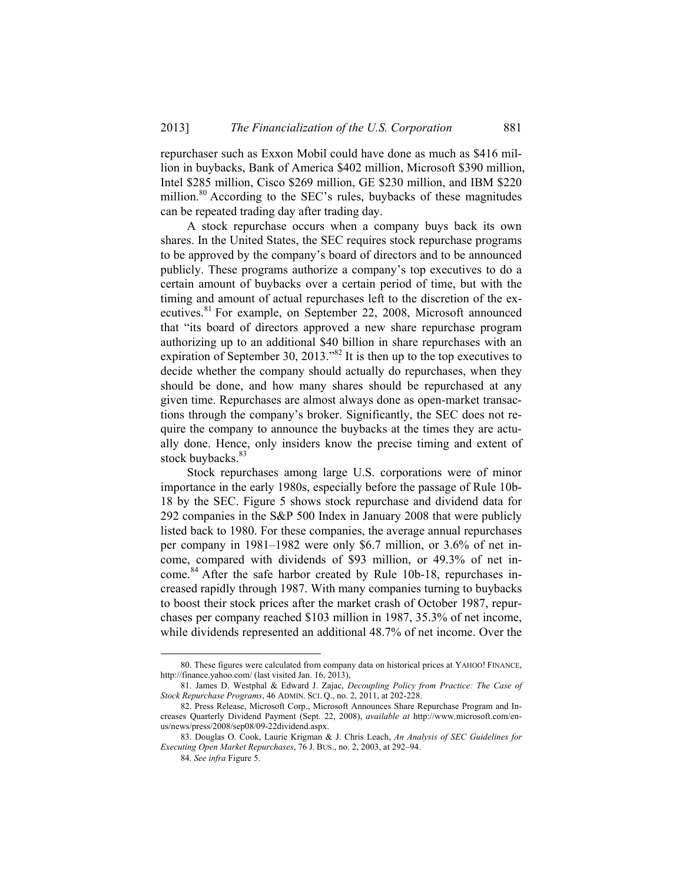repurchaser such as Exxon Mobil could have done as much as \$416 million in buybacks, Bank of America \$402 million, Microsoft \$390 million, Intel \$285 million, Cisco \$269 million, GE \$230 million, and IBM \$220 million.<sup>80</sup> According to the SEC's rules, buybacks of these magnitudes can be repeated trading day after trading day.

A stock repurchase occurs when a company buys back its own shares. In the United States, the SEC requires stock repurchase programs to be approved by the company's board of directors and to be announced publicly. These programs authorize a company's top executives to do a certain amount of buybacks over a certain period of time, but with the timing and amount of actual repurchases left to the discretion of the executives.<sup>81</sup> For example, on September 22, 2008, Microsoft announced that "its board of directors approved a new share repurchase program authorizing up to an additional \$40 billion in share repurchases with an expiration of September 30, 2013."82 It is then up to the top executives to decide whether the company should actually do repurchases, when they should be done, and how many shares should be repurchased at any given time. Repurchases are almost always done as open-market transactions through the company's broker. Significantly, the SEC does not require the company to announce the buybacks at the times they are actually done. Hence, only insiders know the precise timing and extent of stock buybacks.<sup>83</sup>

Stock repurchases among large U.S. corporations were of minor importance in the early 1980s, especially before the passage of Rule 10b-18 by the SEC. Figure 5 shows stock repurchase and dividend data for 292 companies in the S&P 500 Index in January 2008 that were publicly listed back to 1980. For these companies, the average annual repurchases per company in 1981–1982 were only \$6.7 million, or 3.6% of net income, compared with dividends of \$93 million, or 49.3% of net income.<sup>84</sup> After the safe harbor created by Rule 10b-18, repurchases increased rapidly through 1987. With many companies turning to buybacks to boost their stock prices after the market crash of October 1987, repurchases per company reached \$103 million in 1987, 35.3% of net income, while dividends represented an additional 48.7% of net income. Over the

 <sup>80.</sup> These figures were calculated from company data on historical prices at YAHOO! FINANCE, http://finance.yahoo.com/ (last visited Jan. 16, 2013),

<sup>81.</sup> James D. Westphal & Edward J. Zajac, *Decoupling Policy from Practice: The Case of Stock Repurchase Programs*, 46 ADMIN. SCI. Q., no. 2, 2011, at 202-228.

<sup>82.</sup> Press Release, Microsoft Corp., Microsoft Announces Share Repurchase Program and Increases Quarterly Dividend Payment (Sept. 22, 2008), *available at* http://www.microsoft.com/enus/news/press/2008/sep08/09-22dividend.aspx.

<sup>83.</sup> Douglas O. Cook, Laurie Krigman & J. Chris Leach, *An Analysis of SEC Guidelines for Executing Open Market Repurchases*, 76 J. BUS., no. 2, 2003, at 292–94.

<sup>84</sup>*. See infra* Figure 5.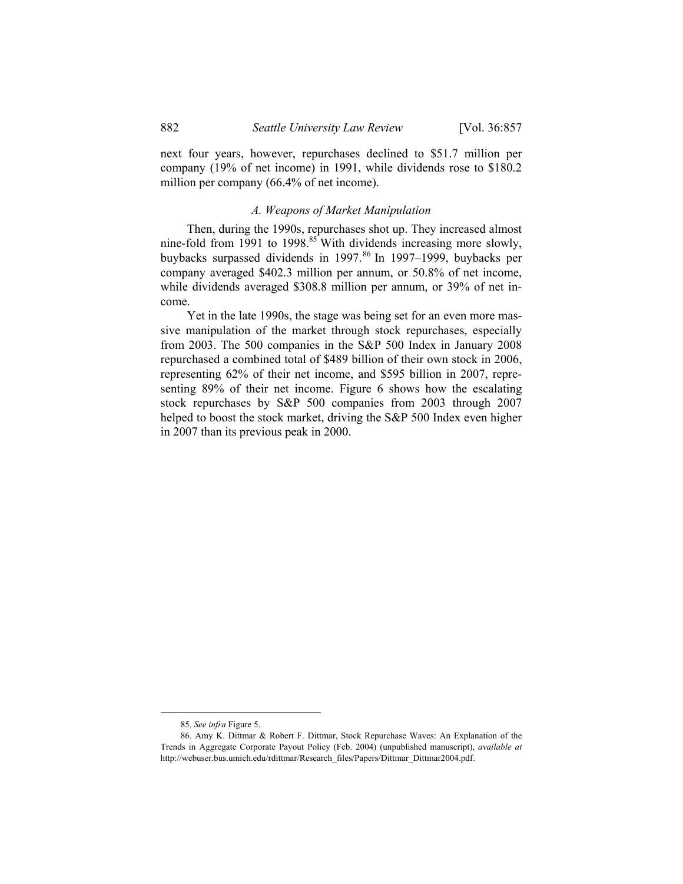next four years, however, repurchases declined to \$51.7 million per company (19% of net income) in 1991, while dividends rose to \$180.2 million per company (66.4% of net income).

#### *A. Weapons of Market Manipulation*

Then, during the 1990s, repurchases shot up. They increased almost nine-fold from 1991 to 1998.<sup>85</sup> With dividends increasing more slowly, buybacks surpassed dividends in 1997.<sup>86</sup> In 1997–1999, buybacks per company averaged \$402.3 million per annum, or 50.8% of net income, while dividends averaged \$308.8 million per annum, or 39% of net income.

Yet in the late 1990s, the stage was being set for an even more massive manipulation of the market through stock repurchases, especially from 2003. The 500 companies in the S&P 500 Index in January 2008 repurchased a combined total of \$489 billion of their own stock in 2006, representing 62% of their net income, and \$595 billion in 2007, representing 89% of their net income. Figure 6 shows how the escalating stock repurchases by S&P 500 companies from 2003 through 2007 helped to boost the stock market, driving the S&P 500 Index even higher in 2007 than its previous peak in 2000.

 <sup>85</sup>*. See infra* Figure 5.

 <sup>86.</sup> Amy K. Dittmar & Robert F. Dittmar, Stock Repurchase Waves: An Explanation of the Trends in Aggregate Corporate Payout Policy (Feb. 2004) (unpublished manuscript), *available at* http://webuser.bus.umich.edu/rdittmar/Research\_files/Papers/Dittmar\_Dittmar2004.pdf.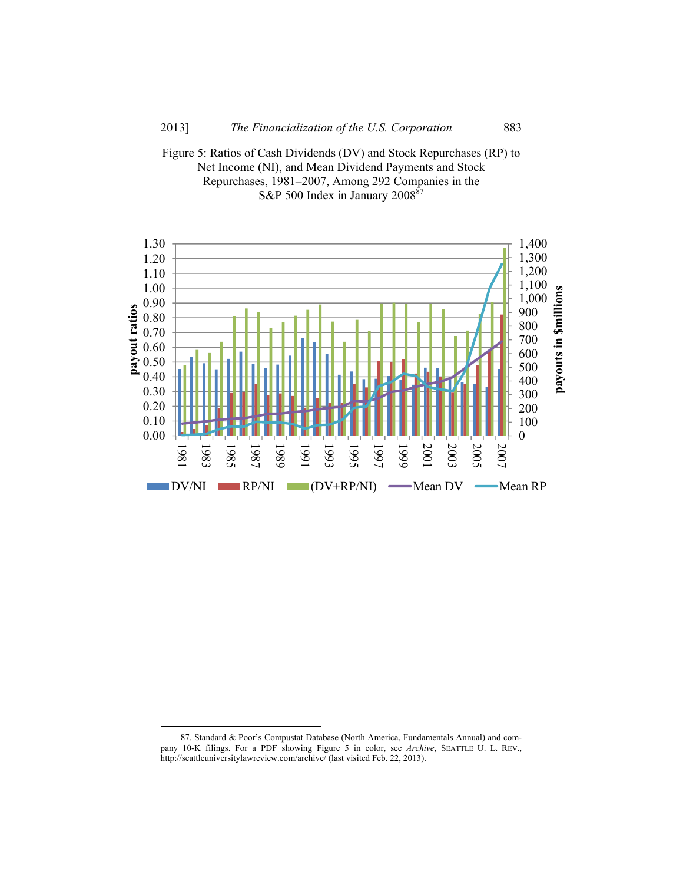



 <sup>87.</sup> Standard & Poor's Compustat Database (North America, Fundamentals Annual) and company 10-K filings. For a PDF showing Figure 5 in color, see *Archive*, SEATTLE U. L. REV., http://seattleuniversitylawreview.com/archive/ (last visited Feb. 22, 2013).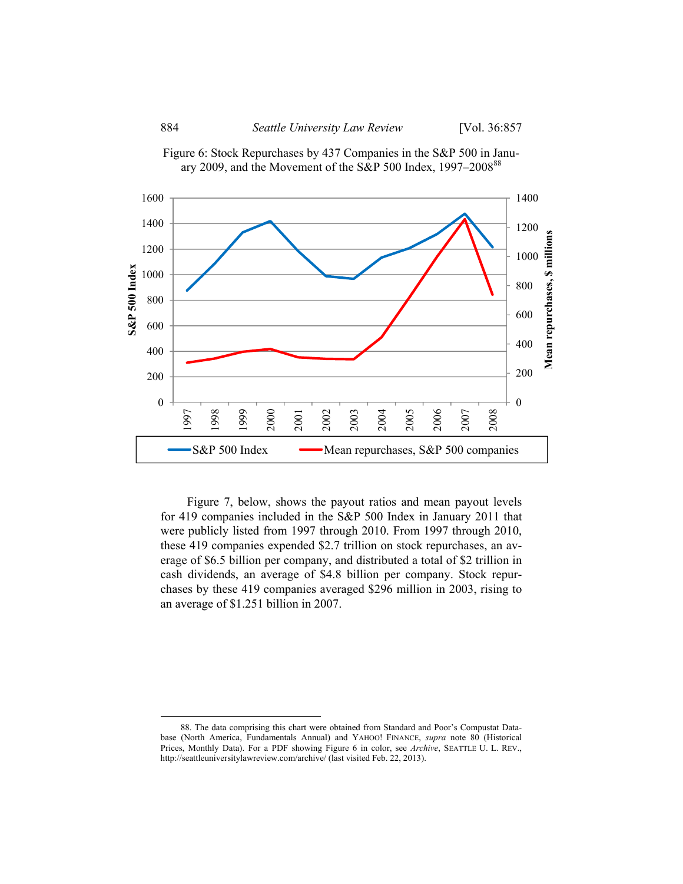





Figure 7, below, shows the payout ratios and mean payout levels for 419 companies included in the S&P 500 Index in January 2011 that were publicly listed from 1997 through 2010. From 1997 through 2010, these 419 companies expended \$2.7 trillion on stock repurchases, an average of \$6.5 billion per company, and distributed a total of \$2 trillion in cash dividends, an average of \$4.8 billion per company. Stock repurchases by these 419 companies averaged \$296 million in 2003, rising to an average of \$1.251 billion in 2007.

 <sup>88.</sup> The data comprising this chart were obtained from Standard and Poor's Compustat Database (North America, Fundamentals Annual) and YAHOO! FINANCE, *supra* note 80 (Historical Prices, Monthly Data). For a PDF showing Figure 6 in color, see *Archive*, SEATTLE U. L. REV., http://seattleuniversitylawreview.com/archive/ (last visited Feb. 22, 2013).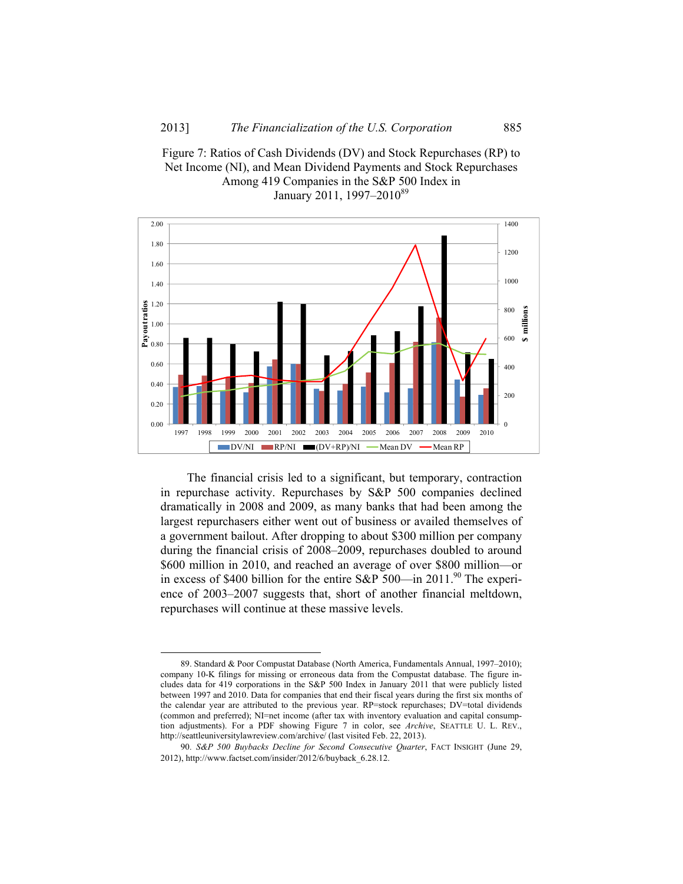



The financial crisis led to a significant, but temporary, contraction in repurchase activity. Repurchases by S&P 500 companies declined dramatically in 2008 and 2009, as many banks that had been among the largest repurchasers either went out of business or availed themselves of a government bailout. After dropping to about \$300 million per company during the financial crisis of 2008–2009, repurchases doubled to around \$600 million in 2010, and reached an average of over \$800 million—or in excess of \$400 billion for the entire S&P 500—in 2011.<sup>90</sup> The experience of 2003–2007 suggests that, short of another financial meltdown, repurchases will continue at these massive levels.

 <sup>89.</sup> Standard & Poor Compustat Database (North America, Fundamentals Annual, 1997–2010); company 10-K filings for missing or erroneous data from the Compustat database. The figure includes data for 419 corporations in the S&P 500 Index in January 2011 that were publicly listed between 1997 and 2010. Data for companies that end their fiscal years during the first six months of the calendar year are attributed to the previous year. RP=stock repurchases; DV=total dividends (common and preferred); NI=net income (after tax with inventory evaluation and capital consumption adjustments). For a PDF showing Figure 7 in color, see *Archive*, SEATTLE U. L. REV., http://seattleuniversitylawreview.com/archive/ (last visited Feb. 22, 2013).

<sup>90</sup>*. S&P 500 Buybacks Decline for Second Consecutive Quarter*, FACT INSIGHT (June 29, 2012), http://www.factset.com/insider/2012/6/buyback\_6.28.12.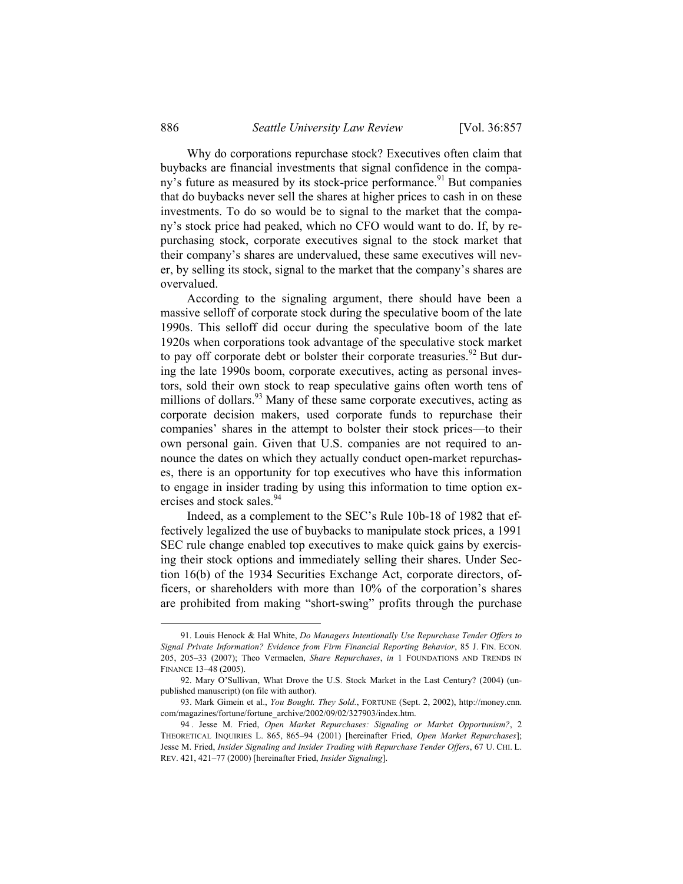Why do corporations repurchase stock? Executives often claim that buybacks are financial investments that signal confidence in the company's future as measured by its stock-price performance.<sup>91</sup> But companies that do buybacks never sell the shares at higher prices to cash in on these investments. To do so would be to signal to the market that the company's stock price had peaked, which no CFO would want to do. If, by repurchasing stock, corporate executives signal to the stock market that their company's shares are undervalued, these same executives will never, by selling its stock, signal to the market that the company's shares are overvalued.

According to the signaling argument, there should have been a massive selloff of corporate stock during the speculative boom of the late 1990s. This selloff did occur during the speculative boom of the late 1920s when corporations took advantage of the speculative stock market to pay off corporate debt or bolster their corporate treasuries.<sup>92</sup> But during the late 1990s boom, corporate executives, acting as personal investors, sold their own stock to reap speculative gains often worth tens of millions of dollars.<sup>93</sup> Many of these same corporate executives, acting as corporate decision makers, used corporate funds to repurchase their companies' shares in the attempt to bolster their stock prices—to their own personal gain. Given that U.S. companies are not required to announce the dates on which they actually conduct open-market repurchases, there is an opportunity for top executives who have this information to engage in insider trading by using this information to time option exercises and stock sales.<sup>94</sup>

Indeed, as a complement to the SEC's Rule 10b-18 of 1982 that effectively legalized the use of buybacks to manipulate stock prices, a 1991 SEC rule change enabled top executives to make quick gains by exercising their stock options and immediately selling their shares. Under Section 16(b) of the 1934 Securities Exchange Act, corporate directors, officers, or shareholders with more than 10% of the corporation's shares are prohibited from making "short-swing" profits through the purchase

 <sup>91.</sup> Louis Henock & Hal White, *Do Managers Intentionally Use Repurchase Tender Offers to Signal Private Information? Evidence from Firm Financial Reporting Behavior*, 85 J. FIN. ECON. 205, 205–33 (2007); Theo Vermaelen, *Share Repurchases*, *in* 1 FOUNDATIONS AND TRENDS IN FINANCE 13–48 (2005).

 <sup>92.</sup> Mary O'Sullivan, What Drove the U.S. Stock Market in the Last Century? (2004) (unpublished manuscript) (on file with author).

 <sup>93.</sup> Mark Gimein et al., *You Bought. They Sold.*, FORTUNE (Sept. 2, 2002), http://money.cnn. com/magazines/fortune/fortune\_archive/2002/09/02/327903/index.htm.

 <sup>94 .</sup> Jesse M. Fried, *Open Market Repurchases: Signaling or Market Opportunism?*, 2 THEORETICAL INQUIRIES L. 865, 865–94 (2001) [hereinafter Fried, *Open Market Repurchases*]; Jesse M. Fried, *Insider Signaling and Insider Trading with Repurchase Tender Offers*, 67 U. CHI. L. REV. 421, 421–77 (2000) [hereinafter Fried, *Insider Signaling*].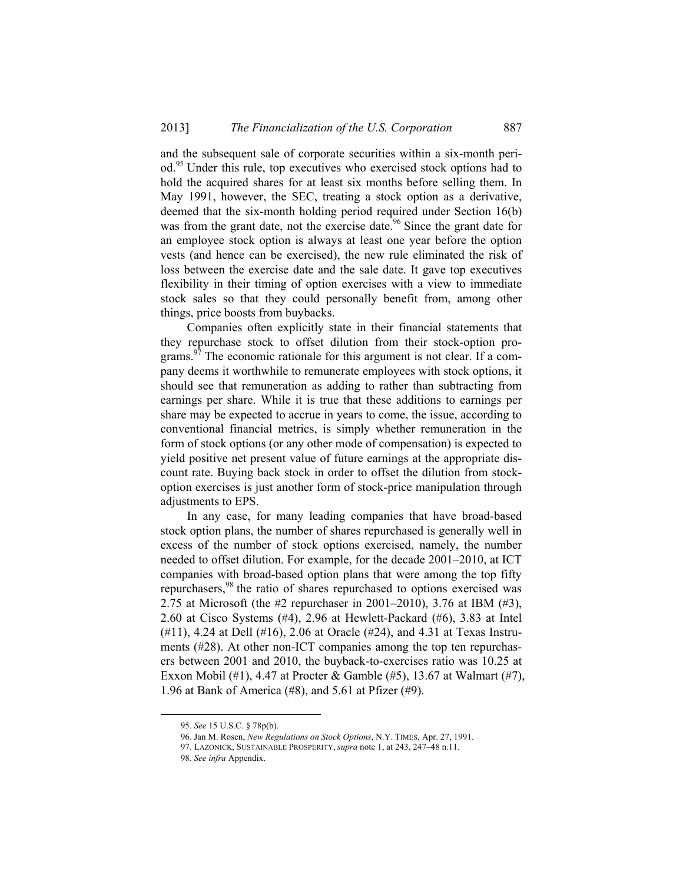and the subsequent sale of corporate securities within a six-month period.95 Under this rule, top executives who exercised stock options had to hold the acquired shares for at least six months before selling them. In May 1991, however, the SEC, treating a stock option as a derivative, deemed that the six-month holding period required under Section 16(b) was from the grant date, not the exercise date.<sup>96</sup> Since the grant date for an employee stock option is always at least one year before the option vests (and hence can be exercised), the new rule eliminated the risk of loss between the exercise date and the sale date. It gave top executives flexibility in their timing of option exercises with a view to immediate stock sales so that they could personally benefit from, among other things, price boosts from buybacks.

Companies often explicitly state in their financial statements that they repurchase stock to offset dilution from their stock-option programs.<sup>97</sup> The economic rationale for this argument is not clear. If a company deems it worthwhile to remunerate employees with stock options, it should see that remuneration as adding to rather than subtracting from earnings per share. While it is true that these additions to earnings per share may be expected to accrue in years to come, the issue, according to conventional financial metrics, is simply whether remuneration in the form of stock options (or any other mode of compensation) is expected to yield positive net present value of future earnings at the appropriate discount rate. Buying back stock in order to offset the dilution from stockoption exercises is just another form of stock-price manipulation through adjustments to EPS.

In any case, for many leading companies that have broad-based stock option plans, the number of shares repurchased is generally well in excess of the number of stock options exercised, namely, the number needed to offset dilution. For example, for the decade 2001–2010, at ICT companies with broad-based option plans that were among the top fifty repurchasers,98 the ratio of shares repurchased to options exercised was 2.75 at Microsoft (the #2 repurchaser in 2001–2010), 3.76 at IBM (#3), 2.60 at Cisco Systems (#4), 2.96 at Hewlett-Packard (#6), 3.83 at Intel (#11), 4.24 at Dell (#16), 2.06 at Oracle (#24), and 4.31 at Texas Instruments (#28). At other non-ICT companies among the top ten repurchasers between 2001 and 2010, the buyback-to-exercises ratio was 10.25 at Exxon Mobil (#1), 4.47 at Procter & Gamble (#5), 13.67 at Walmart (#7), 1.96 at Bank of America (#8), and 5.61 at Pfizer (#9).

 <sup>95.</sup> *See* 15 U.S.C. § 78p(b).

 <sup>96.</sup> Jan M. Rosen, *New Regulations on Stock Options*, N.Y. TIMES, Apr. 27, 1991.

<sup>97.</sup> LAZONICK, SUSTAINABLE PROSPERITY, *supra* note 1, at 243, 247–48 n.11.

<sup>98</sup>*. See infra* Appendix.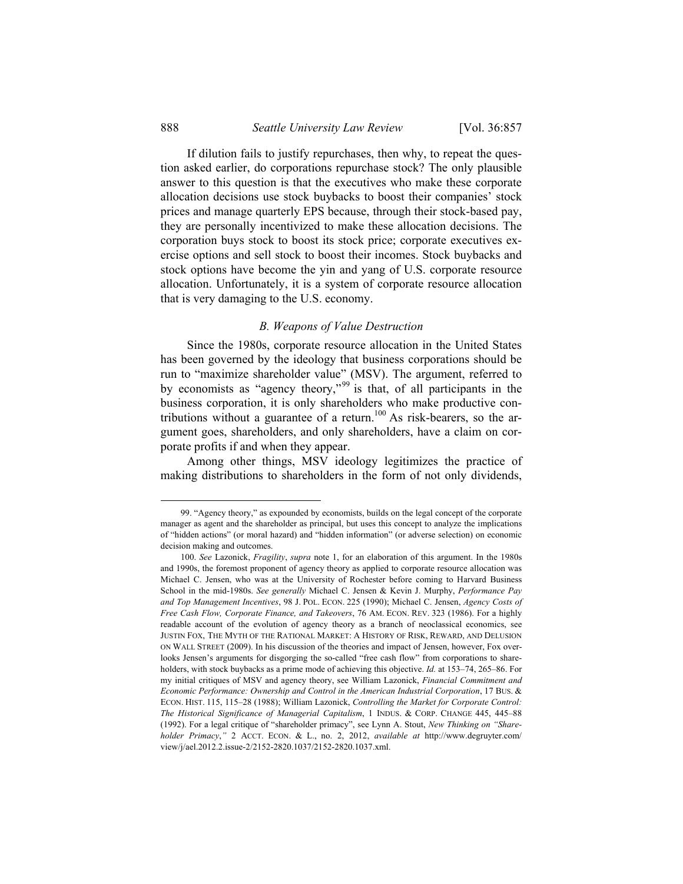If dilution fails to justify repurchases, then why, to repeat the question asked earlier, do corporations repurchase stock? The only plausible answer to this question is that the executives who make these corporate allocation decisions use stock buybacks to boost their companies' stock prices and manage quarterly EPS because, through their stock-based pay, they are personally incentivized to make these allocation decisions. The corporation buys stock to boost its stock price; corporate executives exercise options and sell stock to boost their incomes. Stock buybacks and stock options have become the yin and yang of U.S. corporate resource allocation. Unfortunately, it is a system of corporate resource allocation that is very damaging to the U.S. economy.

#### *B. Weapons of Value Destruction*

Since the 1980s, corporate resource allocation in the United States has been governed by the ideology that business corporations should be run to "maximize shareholder value" (MSV). The argument, referred to by economists as "agency theory,"<sup>99</sup> is that, of all participants in the business corporation, it is only shareholders who make productive contributions without a guarantee of a return.<sup>100</sup> As risk-bearers, so the argument goes, shareholders, and only shareholders, have a claim on corporate profits if and when they appear.

Among other things, MSV ideology legitimizes the practice of making distributions to shareholders in the form of not only dividends,

 <sup>99. &</sup>quot;Agency theory," as expounded by economists, builds on the legal concept of the corporate manager as agent and the shareholder as principal, but uses this concept to analyze the implications of "hidden actions" (or moral hazard) and "hidden information" (or adverse selection) on economic decision making and outcomes.

 <sup>100.</sup> *See* Lazonick, *Fragility*, *supra* note 1, for an elaboration of this argument. In the 1980s and 1990s, the foremost proponent of agency theory as applied to corporate resource allocation was Michael C. Jensen, who was at the University of Rochester before coming to Harvard Business School in the mid-1980s. *See generally* Michael C. Jensen & Kevin J. Murphy, *Performance Pay and Top Management Incentives*, 98 J. POL. ECON. 225 (1990); Michael C. Jensen, *Agency Costs of Free Cash Flow, Corporate Finance, and Takeovers*, 76 AM. ECON. REV. 323 (1986). For a highly readable account of the evolution of agency theory as a branch of neoclassical economics, see JUSTIN FOX, THE MYTH OF THE RATIONAL MARKET: A HISTORY OF RISK, REWARD, AND DELUSION ON WALL STREET (2009). In his discussion of the theories and impact of Jensen, however, Fox overlooks Jensen's arguments for disgorging the so-called "free cash flow" from corporations to shareholders, with stock buybacks as a prime mode of achieving this objective. *Id.* at 153–74, 265–86. For my initial critiques of MSV and agency theory, see William Lazonick, *Financial Commitment and Economic Performance: Ownership and Control in the American Industrial Corporation*, 17 BUS. & ECON. HIST. 115, 115–28 (1988); William Lazonick, *Controlling the Market for Corporate Control: The Historical Significance of Managerial Capitalism*, 1 INDUS. & CORP. CHANGE 445, 445–88 (1992). For a legal critique of "shareholder primacy", see Lynn A. Stout, *New Thinking on "Shareholder Primacy*,*"* 2 ACCT. ECON. & L., no. 2, 2012, *available at* http://www.degruyter.com/ view/j/ael.2012.2.issue-2/2152-2820.1037/2152-2820.1037.xml.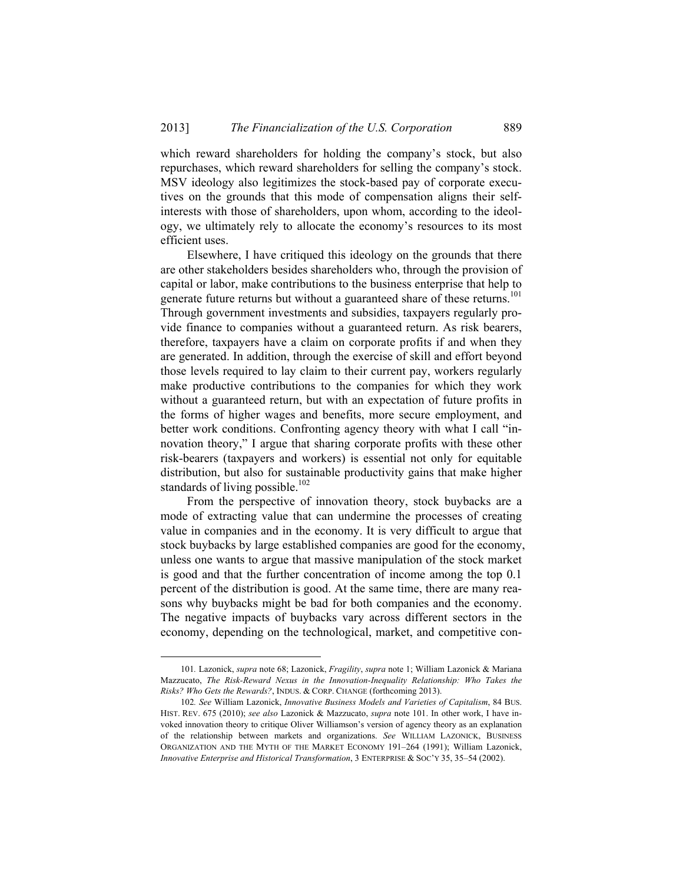which reward shareholders for holding the company's stock, but also repurchases, which reward shareholders for selling the company's stock. MSV ideology also legitimizes the stock-based pay of corporate executives on the grounds that this mode of compensation aligns their selfinterests with those of shareholders, upon whom, according to the ideology, we ultimately rely to allocate the economy's resources to its most efficient uses.

Elsewhere, I have critiqued this ideology on the grounds that there are other stakeholders besides shareholders who, through the provision of capital or labor, make contributions to the business enterprise that help to generate future returns but without a guaranteed share of these returns.<sup>101</sup> Through government investments and subsidies, taxpayers regularly provide finance to companies without a guaranteed return. As risk bearers, therefore, taxpayers have a claim on corporate profits if and when they are generated. In addition, through the exercise of skill and effort beyond those levels required to lay claim to their current pay, workers regularly make productive contributions to the companies for which they work without a guaranteed return, but with an expectation of future profits in the forms of higher wages and benefits, more secure employment, and better work conditions. Confronting agency theory with what I call "innovation theory," I argue that sharing corporate profits with these other risk-bearers (taxpayers and workers) is essential not only for equitable distribution, but also for sustainable productivity gains that make higher standards of living possible.<sup>102</sup>

From the perspective of innovation theory, stock buybacks are a mode of extracting value that can undermine the processes of creating value in companies and in the economy. It is very difficult to argue that stock buybacks by large established companies are good for the economy, unless one wants to argue that massive manipulation of the stock market is good and that the further concentration of income among the top 0.1 percent of the distribution is good. At the same time, there are many reasons why buybacks might be bad for both companies and the economy. The negative impacts of buybacks vary across different sectors in the economy, depending on the technological, market, and competitive con-

 <sup>101</sup>*.* Lazonick, *supra* note 68; Lazonick, *Fragility*, *supra* note 1; William Lazonick & Mariana Mazzucato, *The Risk-Reward Nexus in the Innovation-Inequality Relationship: Who Takes the Risks? Who Gets the Rewards?*, INDUS. & CORP. CHANGE (forthcoming 2013).

<sup>102</sup>*. See* William Lazonick, *Innovative Business Models and Varieties of Capitalism*, 84 BUS. HIST. REV. 675 (2010); *see also* Lazonick & Mazzucato, *supra* note 101. In other work, I have invoked innovation theory to critique Oliver Williamson's version of agency theory as an explanation of the relationship between markets and organizations. *See* WILLIAM LAZONICK, BUSINESS ORGANIZATION AND THE MYTH OF THE MARKET ECONOMY 191–264 (1991); William Lazonick, *Innovative Enterprise and Historical Transformation*, 3 ENTERPRISE & SOC'Y 35, 35–54 (2002).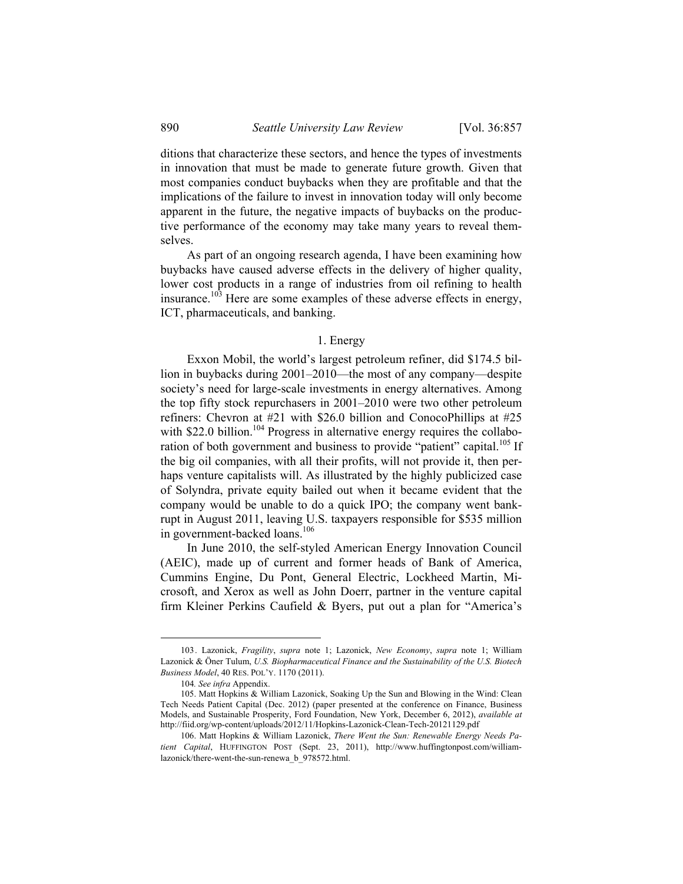ditions that characterize these sectors, and hence the types of investments in innovation that must be made to generate future growth. Given that most companies conduct buybacks when they are profitable and that the implications of the failure to invest in innovation today will only become apparent in the future, the negative impacts of buybacks on the productive performance of the economy may take many years to reveal themselves.

As part of an ongoing research agenda, I have been examining how buybacks have caused adverse effects in the delivery of higher quality, lower cost products in a range of industries from oil refining to health insurance.103 Here are some examples of these adverse effects in energy, ICT, pharmaceuticals, and banking.

#### 1. Energy

Exxon Mobil, the world's largest petroleum refiner, did \$174.5 billion in buybacks during 2001–2010—the most of any company—despite society's need for large-scale investments in energy alternatives. Among the top fifty stock repurchasers in 2001–2010 were two other petroleum refiners: Chevron at #21 with \$26.0 billion and ConocoPhillips at #25 with  $$22.0$  billion.<sup>104</sup> Progress in alternative energy requires the collaboration of both government and business to provide "patient" capital.<sup>105</sup> If the big oil companies, with all their profits, will not provide it, then perhaps venture capitalists will. As illustrated by the highly publicized case of Solyndra, private equity bailed out when it became evident that the company would be unable to do a quick IPO; the company went bankrupt in August 2011, leaving U.S. taxpayers responsible for \$535 million in government-backed loans.<sup>106</sup>

In June 2010, the self-styled American Energy Innovation Council (AEIC), made up of current and former heads of Bank of America, Cummins Engine, Du Pont, General Electric, Lockheed Martin, Microsoft, and Xerox as well as John Doerr, partner in the venture capital firm Kleiner Perkins Caufield & Byers, put out a plan for "America's

 <sup>103.</sup> Lazonick, *Fragility*, *supra* note 1; Lazonick, *New Economy*, *supra* note 1; William Lazonick & Öner Tulum, *U.S. Biopharmaceutical Finance and the Sustainability of the U.S. Biotech Business Model*, 40 RES. POL'Y. 1170 (2011).

<sup>104</sup>*. See infra* Appendix.

<sup>105.</sup> Matt Hopkins & William Lazonick, Soaking Up the Sun and Blowing in the Wind: Clean Tech Needs Patient Capital (Dec. 2012) (paper presented at the conference on Finance, Business Models, and Sustainable Prosperity, Ford Foundation, New York, December 6, 2012), *available at* http://fiid.org/wp-content/uploads/2012/11/Hopkins-Lazonick-Clean-Tech-20121129.pdf

 <sup>106.</sup> Matt Hopkins & William Lazonick, *There Went the Sun: Renewable Energy Needs Patient Capital*, HUFFINGTON POST (Sept. 23, 2011), http://www.huffingtonpost.com/williamlazonick/there-went-the-sun-renewa\_b\_978572.html.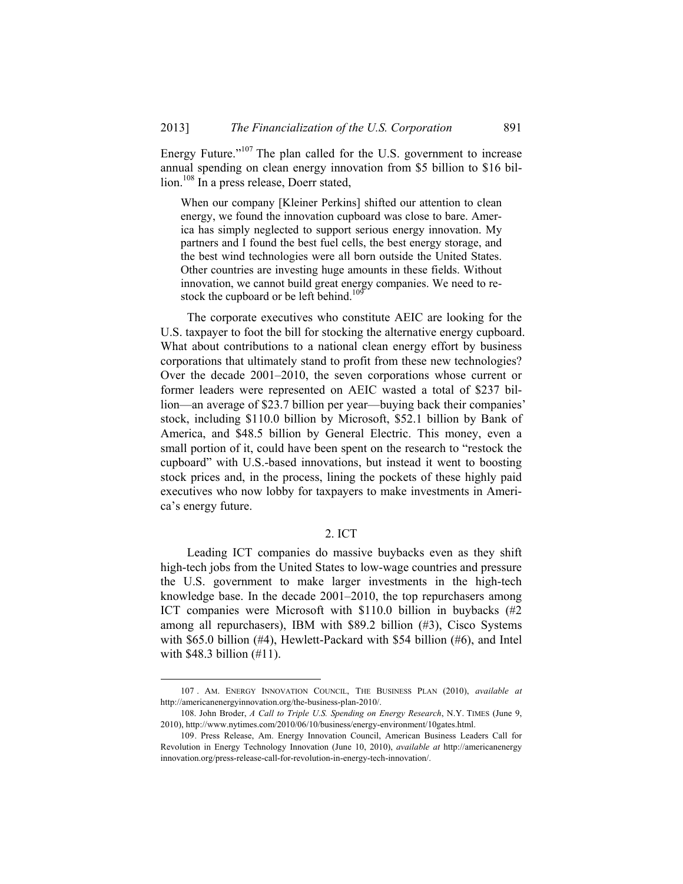Energy Future."<sup>107</sup> The plan called for the U.S. government to increase annual spending on clean energy innovation from \$5 billion to \$16 billion.<sup>108</sup> In a press release, Doerr stated,

When our company [Kleiner Perkins] shifted our attention to clean energy, we found the innovation cupboard was close to bare. America has simply neglected to support serious energy innovation. My partners and I found the best fuel cells, the best energy storage, and the best wind technologies were all born outside the United States. Other countries are investing huge amounts in these fields. Without innovation, we cannot build great energy companies. We need to restock the cupboard or be left behind.<sup>109</sup>

The corporate executives who constitute AEIC are looking for the U.S. taxpayer to foot the bill for stocking the alternative energy cupboard. What about contributions to a national clean energy effort by business corporations that ultimately stand to profit from these new technologies? Over the decade 2001–2010, the seven corporations whose current or former leaders were represented on AEIC wasted a total of \$237 billion—an average of \$23.7 billion per year—buying back their companies' stock, including \$110.0 billion by Microsoft, \$52.1 billion by Bank of America, and \$48.5 billion by General Electric. This money, even a small portion of it, could have been spent on the research to "restock the cupboard" with U.S.-based innovations, but instead it went to boosting stock prices and, in the process, lining the pockets of these highly paid executives who now lobby for taxpayers to make investments in America's energy future.

#### 2. ICT

Leading ICT companies do massive buybacks even as they shift high-tech jobs from the United States to low-wage countries and pressure the U.S. government to make larger investments in the high-tech knowledge base. In the decade 2001–2010, the top repurchasers among ICT companies were Microsoft with \$110.0 billion in buybacks (#2 among all repurchasers), IBM with \$89.2 billion (#3), Cisco Systems with \$65.0 billion (#4), Hewlett-Packard with \$54 billion (#6), and Intel with \$48.3 billion (#11).

 <sup>107 .</sup> AM. ENERGY INNOVATION COUNCIL, THE BUSINESS PLAN (2010), *available at*  http://americanenergyinnovation.org/the-business-plan-2010/.

 <sup>108.</sup> John Broder, *A Call to Triple U.S. Spending on Energy Research*, N.Y. TIMES (June 9, 2010), http://www.nytimes.com/2010/06/10/business/energy-environment/10gates.html.

 <sup>109.</sup> Press Release, Am. Energy Innovation Council, American Business Leaders Call for Revolution in Energy Technology Innovation (June 10, 2010), *available at* http://americanenergy innovation.org/press-release-call-for-revolution-in-energy-tech-innovation/.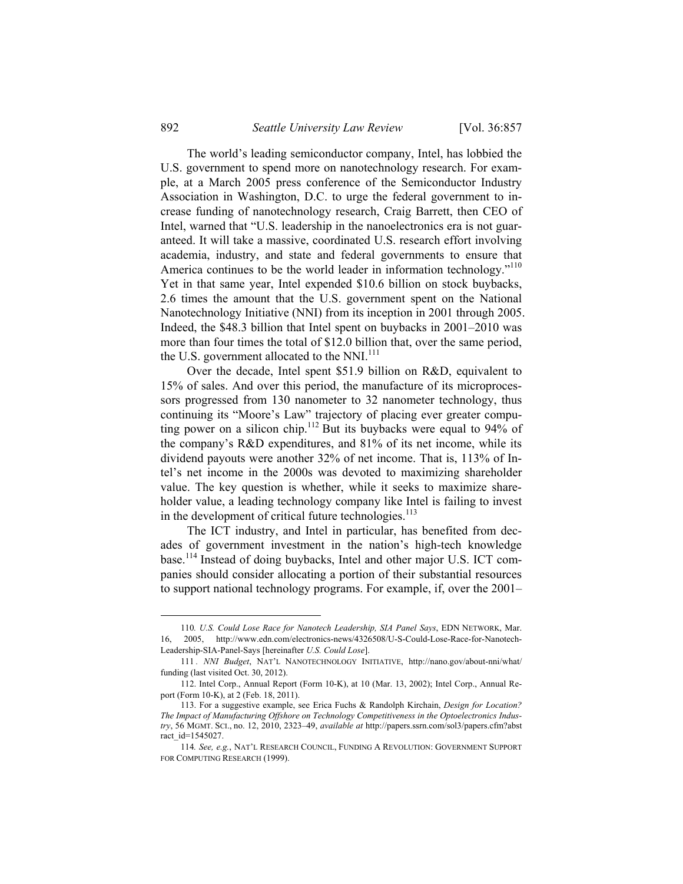The world's leading semiconductor company, Intel, has lobbied the U.S. government to spend more on nanotechnology research. For example, at a March 2005 press conference of the Semiconductor Industry Association in Washington, D.C. to urge the federal government to increase funding of nanotechnology research, Craig Barrett, then CEO of Intel, warned that "U.S. leadership in the nanoelectronics era is not guaranteed. It will take a massive, coordinated U.S. research effort involving academia, industry, and state and federal governments to ensure that America continues to be the world leader in information technology."<sup>110</sup> Yet in that same year, Intel expended \$10.6 billion on stock buybacks, 2.6 times the amount that the U.S. government spent on the National Nanotechnology Initiative (NNI) from its inception in 2001 through 2005. Indeed, the \$48.3 billion that Intel spent on buybacks in 2001–2010 was more than four times the total of \$12.0 billion that, over the same period, the U.S. government allocated to the NNI.<sup>111</sup>

Over the decade, Intel spent \$51.9 billion on R&D, equivalent to 15% of sales. And over this period, the manufacture of its microprocessors progressed from 130 nanometer to 32 nanometer technology, thus continuing its "Moore's Law" trajectory of placing ever greater computing power on a silicon chip.<sup>112</sup> But its buybacks were equal to 94% of the company's R&D expenditures, and 81% of its net income, while its dividend payouts were another 32% of net income. That is, 113% of Intel's net income in the 2000s was devoted to maximizing shareholder value. The key question is whether, while it seeks to maximize shareholder value, a leading technology company like Intel is failing to invest in the development of critical future technologies. $113$ 

The ICT industry, and Intel in particular, has benefited from decades of government investment in the nation's high-tech knowledge base.<sup>114</sup> Instead of doing buybacks, Intel and other major U.S. ICT companies should consider allocating a portion of their substantial resources to support national technology programs. For example, if, over the 2001–

 <sup>110</sup>*. U.S. Could Lose Race for Nanotech Leadership, SIA Panel Says*, EDN NETWORK, Mar. 16, 2005, http://www.edn.com/electronics-news/4326508/U-S-Could-Lose-Race-for-Nanotech-Leadership-SIA-Panel-Says [hereinafter *U.S. Could Lose*].

<sup>111</sup> *. NNI Budget*, NAT'L NANOTECHNOLOGY INITIATIVE, http://nano.gov/about-nni/what/ funding (last visited Oct. 30, 2012).

 <sup>112.</sup> Intel Corp., Annual Report (Form 10-K), at 10 (Mar. 13, 2002); Intel Corp., Annual Report (Form 10-K), at 2 (Feb. 18, 2011).

<sup>113.</sup> For a suggestive example, see Erica Fuchs & Randolph Kirchain, *Design for Location? The Impact of Manufacturing Offshore on Technology Competitiveness in the Optoelectronics Industry*, 56 MGMT. SCI., no. 12, 2010, 2323–49, *available at* http://papers.ssrn.com/sol3/papers.cfm?abst ract\_id=1545027.

<sup>114</sup>*. See, e.g.*, NAT'L RESEARCH COUNCIL, FUNDING A REVOLUTION: GOVERNMENT SUPPORT FOR COMPUTING RESEARCH (1999).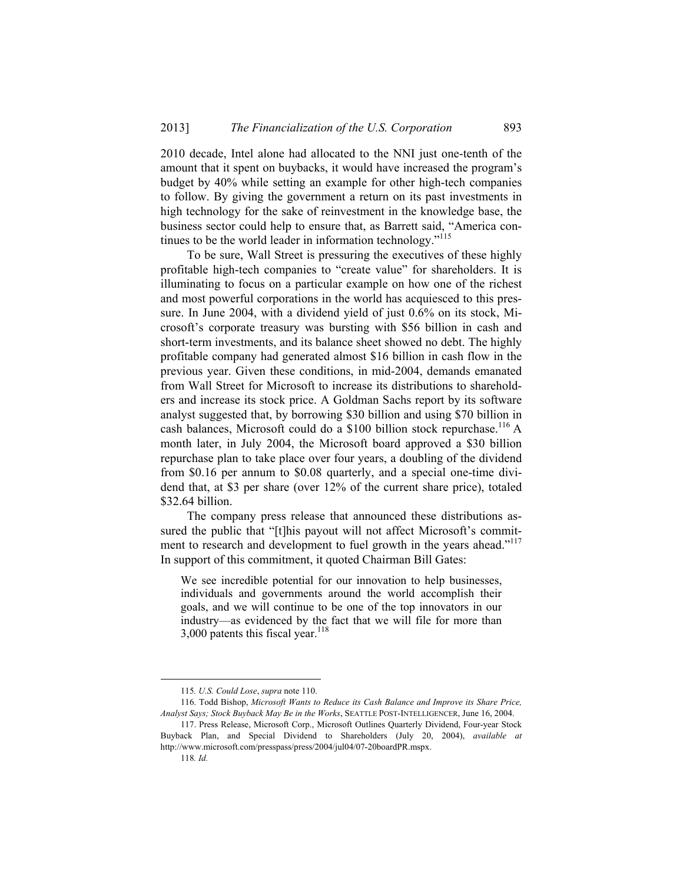2010 decade, Intel alone had allocated to the NNI just one-tenth of the amount that it spent on buybacks, it would have increased the program's budget by 40% while setting an example for other high-tech companies to follow. By giving the government a return on its past investments in high technology for the sake of reinvestment in the knowledge base, the business sector could help to ensure that, as Barrett said, "America continues to be the world leader in information technology."115

To be sure, Wall Street is pressuring the executives of these highly profitable high-tech companies to "create value" for shareholders. It is illuminating to focus on a particular example on how one of the richest and most powerful corporations in the world has acquiesced to this pressure. In June 2004, with a dividend yield of just 0.6% on its stock, Microsoft's corporate treasury was bursting with \$56 billion in cash and short-term investments, and its balance sheet showed no debt. The highly profitable company had generated almost \$16 billion in cash flow in the previous year. Given these conditions, in mid-2004, demands emanated from Wall Street for Microsoft to increase its distributions to shareholders and increase its stock price. A Goldman Sachs report by its software analyst suggested that, by borrowing \$30 billion and using \$70 billion in cash balances, Microsoft could do a \$100 billion stock repurchase.<sup>116</sup> A month later, in July 2004, the Microsoft board approved a \$30 billion repurchase plan to take place over four years, a doubling of the dividend from \$0.16 per annum to \$0.08 quarterly, and a special one-time dividend that, at \$3 per share (over 12% of the current share price), totaled \$32.64 billion.

The company press release that announced these distributions assured the public that "[t]his payout will not affect Microsoft's commitment to research and development to fuel growth in the years ahead."<sup>117</sup> In support of this commitment, it quoted Chairman Bill Gates:

We see incredible potential for our innovation to help businesses, individuals and governments around the world accomplish their goals, and we will continue to be one of the top innovators in our industry—as evidenced by the fact that we will file for more than 3,000 patents this fiscal year. $118$ 

 <sup>115</sup>*. U.S. Could Lose*, *supra* note 110.

 <sup>116.</sup> Todd Bishop, *Microsoft Wants to Reduce its Cash Balance and Improve its Share Price, Analyst Says; Stock Buyback May Be in the Works*, SEATTLE POST-INTELLIGENCER, June 16, 2004.

 <sup>117.</sup> Press Release, Microsoft Corp., Microsoft Outlines Quarterly Dividend, Four-year Stock Buyback Plan, and Special Dividend to Shareholders (July 20, 2004), *available at* http://www.microsoft.com/presspass/press/2004/jul04/07-20boardPR.mspx.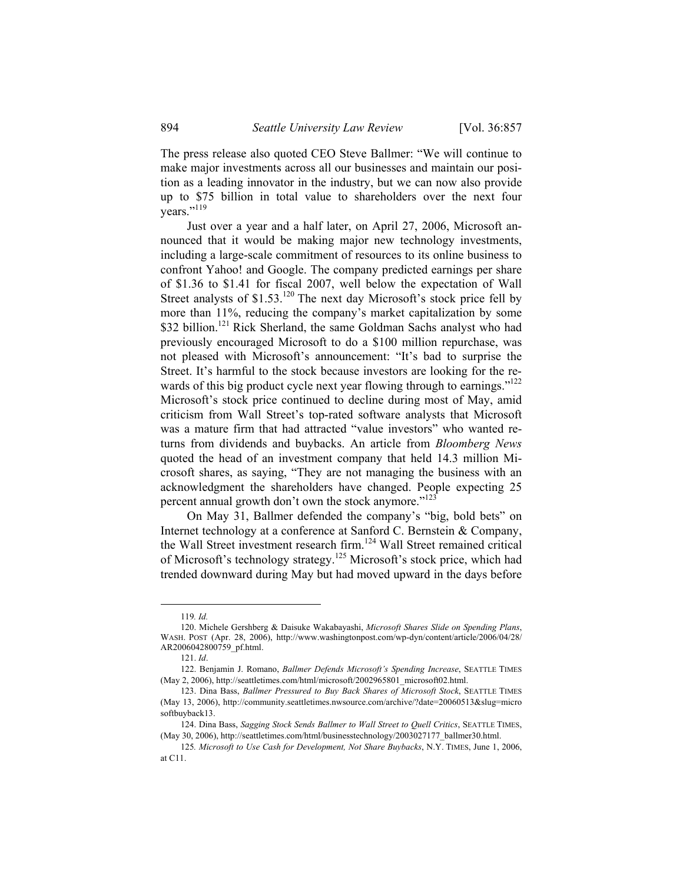The press release also quoted CEO Steve Ballmer: "We will continue to make major investments across all our businesses and maintain our position as a leading innovator in the industry, but we can now also provide up to \$75 billion in total value to shareholders over the next four vears."<sup>119</sup>

Just over a year and a half later, on April 27, 2006, Microsoft announced that it would be making major new technology investments, including a large-scale commitment of resources to its online business to confront Yahoo! and Google. The company predicted earnings per share of \$1.36 to \$1.41 for fiscal 2007, well below the expectation of Wall Street analysts of \$1.53.<sup>120</sup> The next day Microsoft's stock price fell by more than 11%, reducing the company's market capitalization by some \$32 billion.<sup>121</sup> Rick Sherland, the same Goldman Sachs analyst who had previously encouraged Microsoft to do a \$100 million repurchase, was not pleased with Microsoft's announcement: "It's bad to surprise the Street. It's harmful to the stock because investors are looking for the rewards of this big product cycle next year flowing through to earnings."<sup>122</sup> Microsoft's stock price continued to decline during most of May, amid criticism from Wall Street's top-rated software analysts that Microsoft was a mature firm that had attracted "value investors" who wanted returns from dividends and buybacks. An article from *Bloomberg News* quoted the head of an investment company that held 14.3 million Microsoft shares, as saying, "They are not managing the business with an acknowledgment the shareholders have changed. People expecting 25 percent annual growth don't own the stock anymore."<sup>123</sup>

On May 31, Ballmer defended the company's "big, bold bets" on Internet technology at a conference at Sanford C. Bernstein & Company, the Wall Street investment research firm.<sup>124</sup> Wall Street remained critical of Microsoft's technology strategy.<sup>125</sup> Microsoft's stock price, which had trended downward during May but had moved upward in the days before

 <sup>119</sup>*. Id.*

<sup>120.</sup> Michele Gershberg & Daisuke Wakabayashi, *Microsoft Shares Slide on Spending Plans*, WASH. POST (Apr. 28, 2006), http://www.washingtonpost.com/wp-dyn/content/article/2006/04/28/ AR2006042800759\_pf.html.

<sup>121.</sup> *Id*.

 <sup>122.</sup> Benjamin J. Romano, *Ballmer Defends Microsoft's Spending Increase*, SEATTLE TIMES (May 2, 2006), http://seattletimes.com/html/microsoft/2002965801\_microsoft02.html.

 <sup>123.</sup> Dina Bass, *Ballmer Pressured to Buy Back Shares of Microsoft Stock*, SEATTLE TIMES (May 13, 2006), http://community.seattletimes.nwsource.com/archive/?date=20060513&slug=micro softbuyback13.

 <sup>124.</sup> Dina Bass, *Sagging Stock Sends Ballmer to Wall Street to Quell Critics*, SEATTLE TIMES, (May 30, 2006), http://seattletimes.com/html/businesstechnology/2003027177\_ballmer30.html.

<sup>125</sup>*. Microsoft to Use Cash for Development, Not Share Buybacks*, N.Y. TIMES, June 1, 2006, at C11.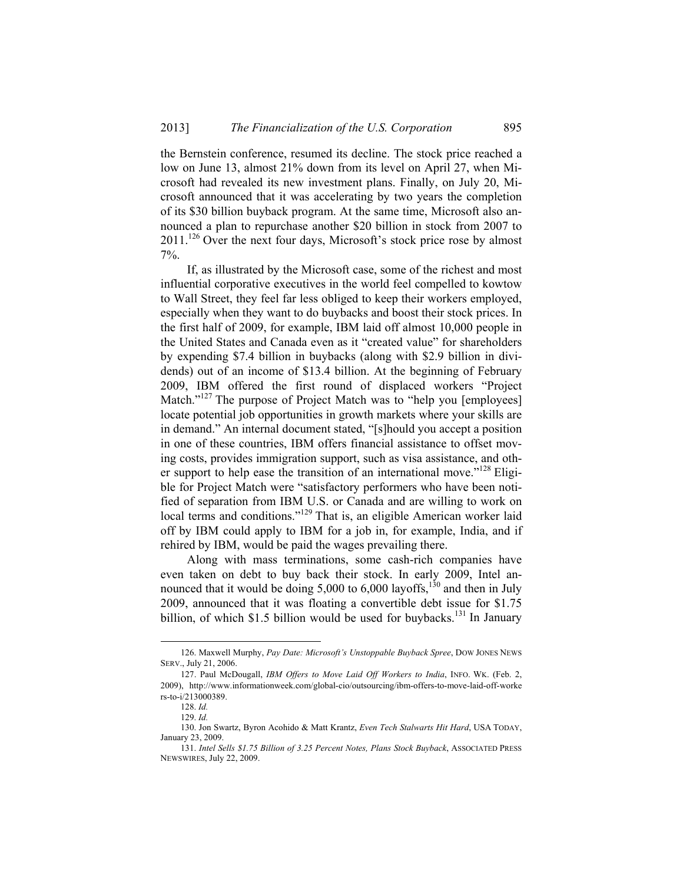the Bernstein conference, resumed its decline. The stock price reached a low on June 13, almost 21% down from its level on April 27, when Microsoft had revealed its new investment plans. Finally, on July 20, Microsoft announced that it was accelerating by two years the completion of its \$30 billion buyback program. At the same time, Microsoft also announced a plan to repurchase another \$20 billion in stock from 2007 to  $2011$ <sup>126</sup> Over the next four days, Microsoft's stock price rose by almost 7%.

If, as illustrated by the Microsoft case, some of the richest and most influential corporative executives in the world feel compelled to kowtow to Wall Street, they feel far less obliged to keep their workers employed, especially when they want to do buybacks and boost their stock prices. In the first half of 2009, for example, IBM laid off almost 10,000 people in the United States and Canada even as it "created value" for shareholders by expending \$7.4 billion in buybacks (along with \$2.9 billion in dividends) out of an income of \$13.4 billion. At the beginning of February 2009, IBM offered the first round of displaced workers "Project Match."<sup>127</sup> The purpose of Project Match was to "help you [employees] locate potential job opportunities in growth markets where your skills are in demand." An internal document stated, "[s]hould you accept a position in one of these countries, IBM offers financial assistance to offset moving costs, provides immigration support, such as visa assistance, and other support to help ease the transition of an international move."<sup>128</sup> Eligible for Project Match were "satisfactory performers who have been notified of separation from IBM U.S. or Canada and are willing to work on local terms and conditions."<sup>129</sup> That is, an eligible American worker laid off by IBM could apply to IBM for a job in, for example, India, and if rehired by IBM, would be paid the wages prevailing there.

Along with mass terminations, some cash-rich companies have even taken on debt to buy back their stock. In early 2009, Intel announced that it would be doing  $5,000$  to  $6,000$  layoffs,<sup>130</sup> and then in July 2009, announced that it was floating a convertible debt issue for \$1.75 billion, of which \$1.5 billion would be used for buybacks.<sup>131</sup> In January

 <sup>126.</sup> Maxwell Murphy, *Pay Date: Microsoft's Unstoppable Buyback Spree*, DOW JONES NEWS SERV., July 21, 2006.

 <sup>127.</sup> Paul McDougall, *IBM Offers to Move Laid Off Workers to India*, INFO. WK. (Feb. 2, 2009), http://www.informationweek.com/global-cio/outsourcing/ibm-offers-to-move-laid-off-worke rs-to-i/213000389.

<sup>128.</sup> *Id.* 129. *Id.*

<sup>130.</sup> Jon Swartz, Byron Acohido & Matt Krantz, *Even Tech Stalwarts Hit Hard*, USA TODAY, January 23, 2009.

<sup>131.</sup> *Intel Sells \$1.75 Billion of 3.25 Percent Notes, Plans Stock Buyback*, ASSOCIATED PRESS NEWSWIRES, July 22, 2009.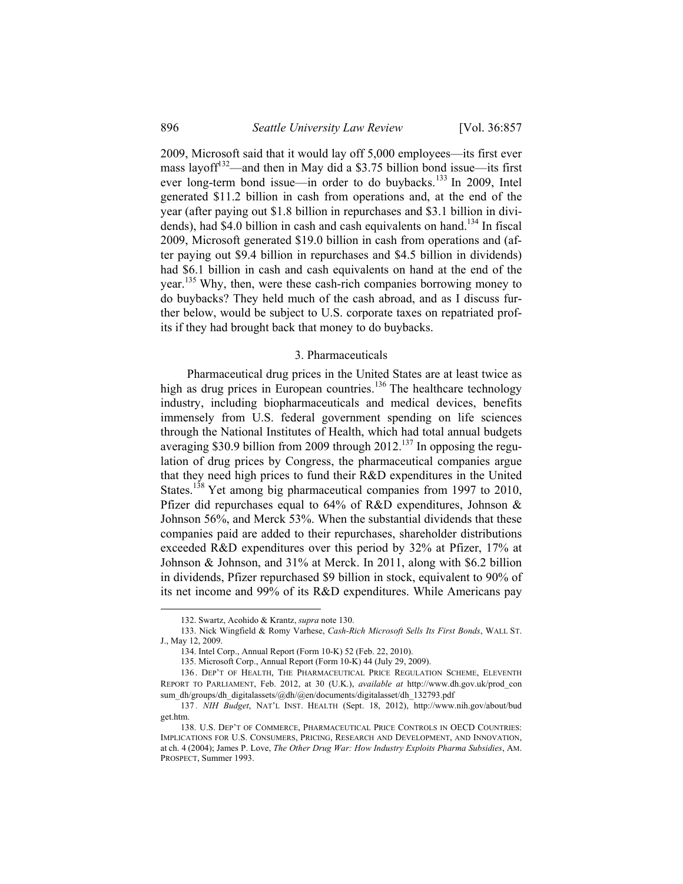2009, Microsoft said that it would lay off 5,000 employees—its first ever mass layoff<sup>132</sup>—and then in May did a \$3.75 billion bond issue—its first ever long-term bond issue—in order to do buybacks.<sup>133</sup> In 2009, Intel generated \$11.2 billion in cash from operations and, at the end of the year (after paying out \$1.8 billion in repurchases and \$3.1 billion in dividends), had \$4.0 billion in cash and cash equivalents on hand.<sup>134</sup> In fiscal 2009, Microsoft generated \$19.0 billion in cash from operations and (after paying out \$9.4 billion in repurchases and \$4.5 billion in dividends) had \$6.1 billion in cash and cash equivalents on hand at the end of the year.135 Why, then, were these cash-rich companies borrowing money to do buybacks? They held much of the cash abroad, and as I discuss further below, would be subject to U.S. corporate taxes on repatriated profits if they had brought back that money to do buybacks.

#### 3. Pharmaceuticals

Pharmaceutical drug prices in the United States are at least twice as high as drug prices in European countries.<sup>136</sup> The healthcare technology industry, including biopharmaceuticals and medical devices, benefits immensely from U.S. federal government spending on life sciences through the National Institutes of Health, which had total annual budgets averaging \$30.9 billion from 2009 through  $2012$ <sup>137</sup> In opposing the regulation of drug prices by Congress, the pharmaceutical companies argue that they need high prices to fund their R&D expenditures in the United States.<sup>138</sup> Yet among big pharmaceutical companies from 1997 to 2010, Pfizer did repurchases equal to 64% of R&D expenditures, Johnson & Johnson 56%, and Merck 53%. When the substantial dividends that these companies paid are added to their repurchases, shareholder distributions exceeded R&D expenditures over this period by 32% at Pfizer, 17% at Johnson & Johnson, and 31% at Merck. In 2011, along with \$6.2 billion in dividends, Pfizer repurchased \$9 billion in stock, equivalent to 90% of its net income and 99% of its R&D expenditures. While Americans pay

 <sup>132.</sup> Swartz, Acohido & Krantz, *supra* note 130.

<sup>133.</sup> Nick Wingfield & Romy Varhese, *Cash-Rich Microsoft Sells Its First Bonds*, WALL ST. J., May 12, 2009.

<sup>134.</sup> Intel Corp., Annual Report (Form 10-K) 52 (Feb. 22, 2010).

<sup>135.</sup> Microsoft Corp., Annual Report (Form 10-K) 44 (July 29, 2009).

 <sup>136 .</sup> DEP'T OF HEALTH, THE PHARMACEUTICAL PRICE REGULATION SCHEME, ELEVENTH REPORT TO PARLIAMENT, Feb. 2012, at 30 (U.K.), *available at* http://www.dh.gov.uk/prod\_con sum\_dh/groups/dh\_digitalassets/@dh/@en/documents/digitalasset/dh\_132793.pdf

<sup>137</sup> *. NIH Budget*, NAT'L INST. HEALTH (Sept. 18, 2012), http://www.nih.gov/about/bud get.htm.

<sup>138.</sup> U.S. DEP'T OF COMMERCE, PHARMACEUTICAL PRICE CONTROLS IN OECD COUNTRIES: IMPLICATIONS FOR U.S. CONSUMERS, PRICING, RESEARCH AND DEVELOPMENT, AND INNOVATION, at ch. 4 (2004); James P. Love, *The Other Drug War: How Industry Exploits Pharma Subsidies*, AM. PROSPECT, Summer 1993.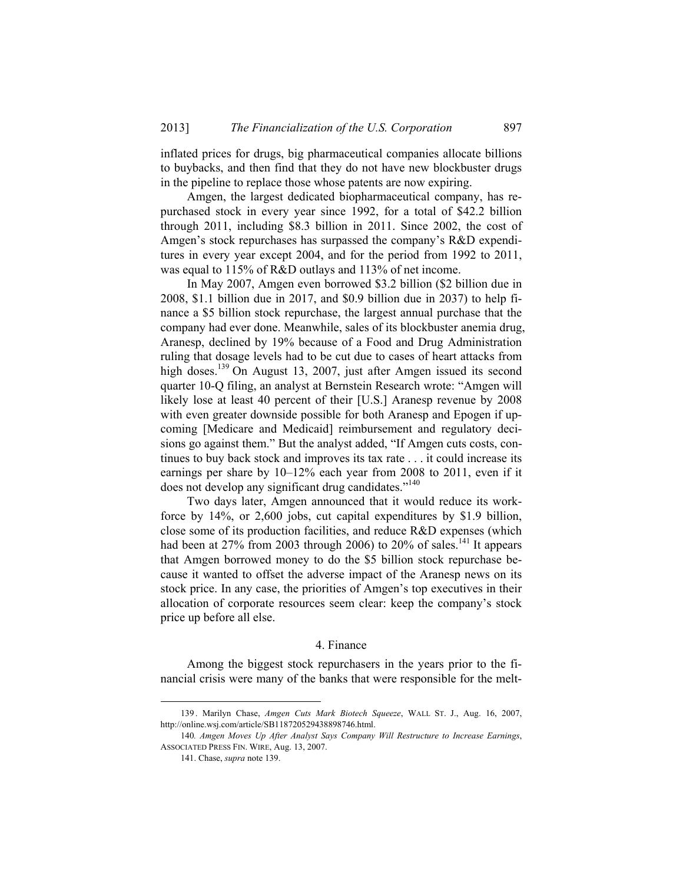inflated prices for drugs, big pharmaceutical companies allocate billions to buybacks, and then find that they do not have new blockbuster drugs in the pipeline to replace those whose patents are now expiring.

Amgen, the largest dedicated biopharmaceutical company, has repurchased stock in every year since 1992, for a total of \$42.2 billion through 2011, including \$8.3 billion in 2011. Since 2002, the cost of Amgen's stock repurchases has surpassed the company's R&D expenditures in every year except 2004, and for the period from 1992 to 2011, was equal to 115% of R&D outlays and 113% of net income.

In May 2007, Amgen even borrowed \$3.2 billion (\$2 billion due in 2008, \$1.1 billion due in 2017, and \$0.9 billion due in 2037) to help finance a \$5 billion stock repurchase, the largest annual purchase that the company had ever done. Meanwhile, sales of its blockbuster anemia drug, Aranesp, declined by 19% because of a Food and Drug Administration ruling that dosage levels had to be cut due to cases of heart attacks from high doses.<sup>139</sup> On August 13, 2007, just after Amgen issued its second quarter 10-Q filing, an analyst at Bernstein Research wrote: "Amgen will likely lose at least 40 percent of their [U.S.] Aranesp revenue by 2008 with even greater downside possible for both Aranesp and Epogen if upcoming [Medicare and Medicaid] reimbursement and regulatory decisions go against them." But the analyst added, "If Amgen cuts costs, continues to buy back stock and improves its tax rate . . . it could increase its earnings per share by 10–12% each year from 2008 to 2011, even if it does not develop any significant drug candidates."<sup>140</sup>

Two days later, Amgen announced that it would reduce its workforce by 14%, or 2,600 jobs, cut capital expenditures by \$1.9 billion, close some of its production facilities, and reduce R&D expenses (which had been at 27% from 2003 through 2006) to 20% of sales.<sup>141</sup> It appears that Amgen borrowed money to do the \$5 billion stock repurchase because it wanted to offset the adverse impact of the Aranesp news on its stock price. In any case, the priorities of Amgen's top executives in their allocation of corporate resources seem clear: keep the company's stock price up before all else.

#### 4. Finance

Among the biggest stock repurchasers in the years prior to the financial crisis were many of the banks that were responsible for the melt-

 <sup>139 .</sup> Marilyn Chase, *Amgen Cuts Mark Biotech Squeeze*, WALL ST. J., Aug. 16, 2007, http://online.wsj.com/article/SB118720529438898746.html.

<sup>140</sup>*. Amgen Moves Up After Analyst Says Company Will Restructure to Increase Earnings*, ASSOCIATED PRESS FIN. WIRE, Aug. 13, 2007.

 <sup>141.</sup> Chase, *supra* note 139.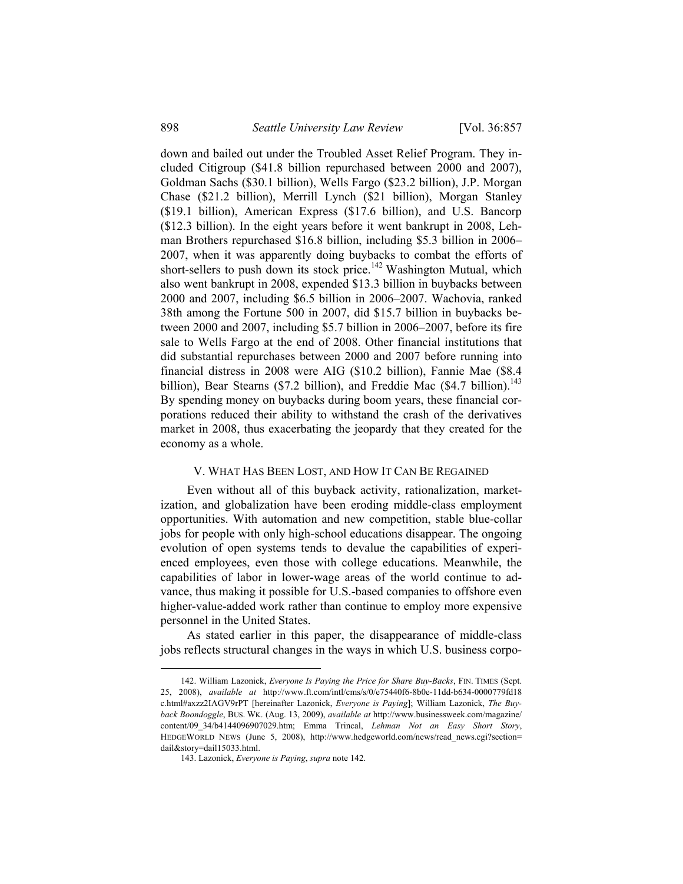down and bailed out under the Troubled Asset Relief Program. They included Citigroup (\$41.8 billion repurchased between 2000 and 2007), Goldman Sachs (\$30.1 billion), Wells Fargo (\$23.2 billion), J.P. Morgan Chase (\$21.2 billion), Merrill Lynch (\$21 billion), Morgan Stanley (\$19.1 billion), American Express (\$17.6 billion), and U.S. Bancorp (\$12.3 billion). In the eight years before it went bankrupt in 2008, Lehman Brothers repurchased \$16.8 billion, including \$5.3 billion in 2006– 2007, when it was apparently doing buybacks to combat the efforts of short-sellers to push down its stock price.<sup>142</sup> Washington Mutual, which also went bankrupt in 2008, expended \$13.3 billion in buybacks between 2000 and 2007, including \$6.5 billion in 2006–2007. Wachovia, ranked 38th among the Fortune 500 in 2007, did \$15.7 billion in buybacks between 2000 and 2007, including \$5.7 billion in 2006–2007, before its fire sale to Wells Fargo at the end of 2008. Other financial institutions that did substantial repurchases between 2000 and 2007 before running into financial distress in 2008 were AIG (\$10.2 billion), Fannie Mae (\$8.4 billion), Bear Stearns (\$7.2 billion), and Freddie Mac (\$4.7 billion).<sup>143</sup> By spending money on buybacks during boom years, these financial corporations reduced their ability to withstand the crash of the derivatives market in 2008, thus exacerbating the jeopardy that they created for the economy as a whole.

#### V. WHAT HAS BEEN LOST, AND HOW IT CAN BE REGAINED

Even without all of this buyback activity, rationalization, marketization, and globalization have been eroding middle-class employment opportunities. With automation and new competition, stable blue-collar jobs for people with only high-school educations disappear. The ongoing evolution of open systems tends to devalue the capabilities of experienced employees, even those with college educations. Meanwhile, the capabilities of labor in lower-wage areas of the world continue to advance, thus making it possible for U.S.-based companies to offshore even higher-value-added work rather than continue to employ more expensive personnel in the United States.

As stated earlier in this paper, the disappearance of middle-class jobs reflects structural changes in the ways in which U.S. business corpo-

 <sup>142.</sup> William Lazonick, *Everyone Is Paying the Price for Share Buy-Backs*, FIN. TIMES (Sept. 25, 2008), *available at* http://www.ft.com/intl/cms/s/0/e75440f6-8b0e-11dd-b634-0000779fd18 c.html#axzz2IAGV9rPT [hereinafter Lazonick, *Everyone is Paying*]; William Lazonick, *The Buyback Boondoggle*, BUS. WK. (Aug. 13, 2009), *available at* http://www.businessweek.com/magazine/ content/09\_34/b4144096907029.htm; Emma Trincal, *Lehman Not an Easy Short Story*, HEDGEWORLD NEWS (June 5, 2008), http://www.hedgeworld.com/news/read\_news.cgi?section= dail&story=dail15033.html.

<sup>143.</sup> Lazonick, *Everyone is Paying*, *supra* note 142.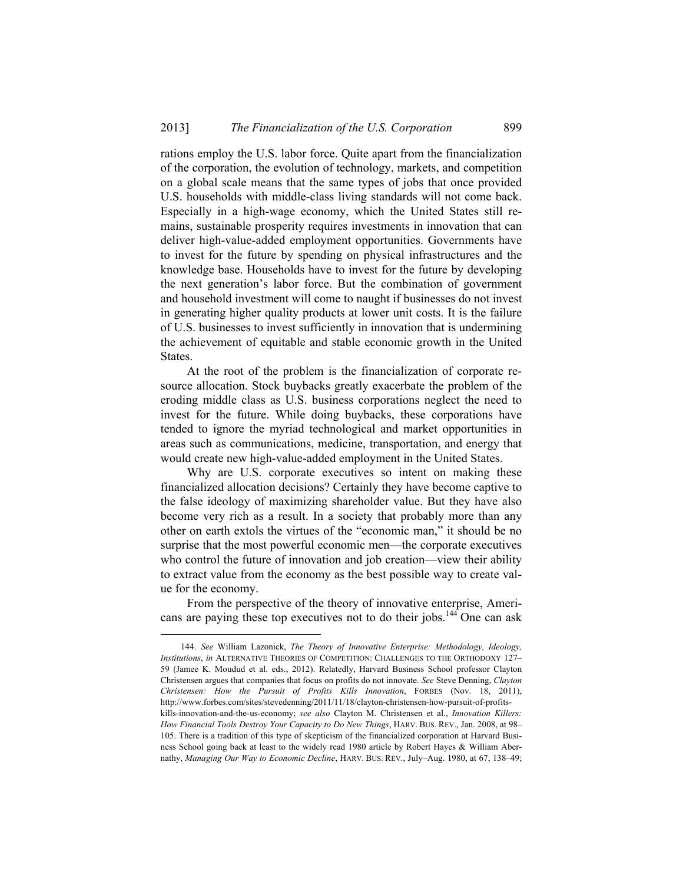rations employ the U.S. labor force. Quite apart from the financialization of the corporation, the evolution of technology, markets, and competition on a global scale means that the same types of jobs that once provided U.S. households with middle-class living standards will not come back. Especially in a high-wage economy, which the United States still remains, sustainable prosperity requires investments in innovation that can deliver high-value-added employment opportunities. Governments have to invest for the future by spending on physical infrastructures and the knowledge base. Households have to invest for the future by developing the next generation's labor force. But the combination of government and household investment will come to naught if businesses do not invest in generating higher quality products at lower unit costs. It is the failure of U.S. businesses to invest sufficiently in innovation that is undermining the achievement of equitable and stable economic growth in the United States.

At the root of the problem is the financialization of corporate resource allocation. Stock buybacks greatly exacerbate the problem of the eroding middle class as U.S. business corporations neglect the need to invest for the future. While doing buybacks, these corporations have tended to ignore the myriad technological and market opportunities in areas such as communications, medicine, transportation, and energy that would create new high-value-added employment in the United States.

Why are U.S. corporate executives so intent on making these financialized allocation decisions? Certainly they have become captive to the false ideology of maximizing shareholder value. But they have also become very rich as a result. In a society that probably more than any other on earth extols the virtues of the "economic man," it should be no surprise that the most powerful economic men—the corporate executives who control the future of innovation and job creation—view their ability to extract value from the economy as the best possible way to create value for the economy.

From the perspective of the theory of innovative enterprise, Americans are paying these top executives not to do their jobs.<sup>144</sup> One can ask

 <sup>144</sup>*. See* William Lazonick, *The Theory of Innovative Enterprise: Methodology, Ideology, Institutions*, *in* ALTERNATIVE THEORIES OF COMPETITION: CHALLENGES TO THE ORTHODOXY 127– 59 (Jamee K. Moudud et al. eds., 2012). Relatedly, Harvard Business School professor Clayton Christensen argues that companies that focus on profits do not innovate. *See* Steve Denning, *Clayton Christensen: How the Pursuit of Profits Kills Innovation*, FORBES (Nov. 18, 2011), http://www.forbes.com/sites/stevedenning/2011/11/18/clayton-christensen-how-pursuit-of-profitskills-innovation-and-the-us-economy; *see also* Clayton M. Christensen et al., *Innovation Killers: How Financial Tools Destroy Your Capacity to Do New Things*, HARV. BUS. REV., Jan. 2008, at 98– 105. There is a tradition of this type of skepticism of the financialized corporation at Harvard Busi-

ness School going back at least to the widely read 1980 article by Robert Hayes & William Abernathy, *Managing Our Way to Economic Decline*, HARV. BUS. REV., July–Aug. 1980, at 67, 138–49;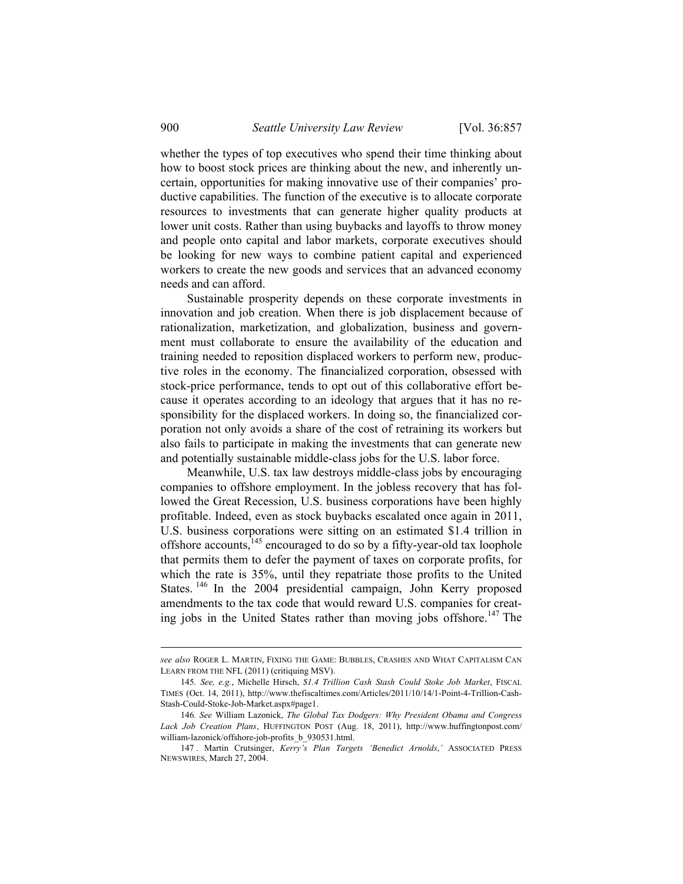whether the types of top executives who spend their time thinking about how to boost stock prices are thinking about the new, and inherently uncertain, opportunities for making innovative use of their companies' productive capabilities. The function of the executive is to allocate corporate resources to investments that can generate higher quality products at lower unit costs. Rather than using buybacks and layoffs to throw money and people onto capital and labor markets, corporate executives should be looking for new ways to combine patient capital and experienced workers to create the new goods and services that an advanced economy needs and can afford.

Sustainable prosperity depends on these corporate investments in innovation and job creation. When there is job displacement because of rationalization, marketization, and globalization, business and government must collaborate to ensure the availability of the education and training needed to reposition displaced workers to perform new, productive roles in the economy. The financialized corporation, obsessed with stock-price performance, tends to opt out of this collaborative effort because it operates according to an ideology that argues that it has no responsibility for the displaced workers. In doing so, the financialized corporation not only avoids a share of the cost of retraining its workers but also fails to participate in making the investments that can generate new and potentially sustainable middle-class jobs for the U.S. labor force.

Meanwhile, U.S. tax law destroys middle-class jobs by encouraging companies to offshore employment. In the jobless recovery that has followed the Great Recession, U.S. business corporations have been highly profitable. Indeed, even as stock buybacks escalated once again in 2011, U.S. business corporations were sitting on an estimated \$1.4 trillion in offshore accounts,<sup>145</sup> encouraged to do so by a fifty-year-old tax loophole that permits them to defer the payment of taxes on corporate profits, for which the rate is 35%, until they repatriate those profits to the United States.<sup>146</sup> In the 2004 presidential campaign, John Kerry proposed amendments to the tax code that would reward U.S. companies for creating jobs in the United States rather than moving jobs offshore.<sup>147</sup> The

*see also* ROGER L. MARTIN, FIXING THE GAME: BUBBLES, CRASHES AND WHAT CAPITALISM CAN LEARN FROM THE NFL (2011) (critiquing MSV).

<sup>145</sup>*. See, e.g.*, Michelle Hirsch, *\$1.4 Trillion Cash Stash Could Stoke Job Market*, FISCAL TIMES (Oct. 14, 2011), http://www.thefiscaltimes.com/Articles/2011/10/14/1-Point-4-Trillion-Cash-Stash-Could-Stoke-Job-Market.aspx#page1.

<sup>146</sup>*. See* William Lazonick, *The Global Tax Dodgers: Why President Obama and Congress Lack Job Creation Plans*, HUFFINGTON POST (Aug. 18, 2011), http://www.huffingtonpost.com/ william-lazonick/offshore-job-profits\_b\_930531.html.

<sup>147 .</sup> Martin Crutsinger, *Kerry's Plan Targets 'Benedict Arnolds*,*'* ASSOCIATED PRESS NEWSWIRES, March 27, 2004.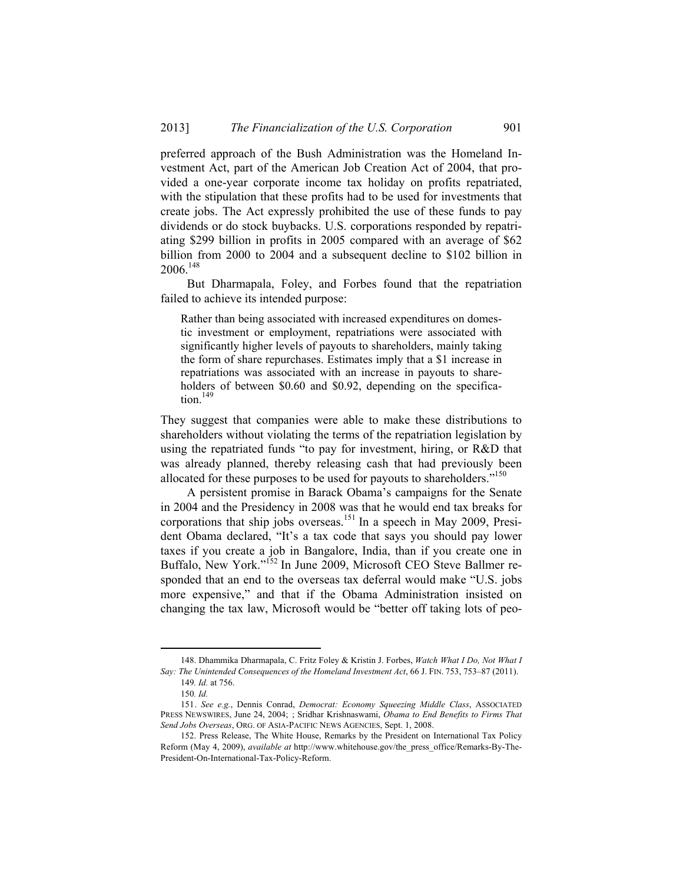preferred approach of the Bush Administration was the Homeland Investment Act, part of the American Job Creation Act of 2004, that provided a one-year corporate income tax holiday on profits repatriated, with the stipulation that these profits had to be used for investments that create jobs. The Act expressly prohibited the use of these funds to pay dividends or do stock buybacks. U.S. corporations responded by repatriating \$299 billion in profits in 2005 compared with an average of \$62 billion from 2000 to 2004 and a subsequent decline to \$102 billion in 2006.148

But Dharmapala, Foley, and Forbes found that the repatriation failed to achieve its intended purpose:

Rather than being associated with increased expenditures on domestic investment or employment, repatriations were associated with significantly higher levels of payouts to shareholders, mainly taking the form of share repurchases. Estimates imply that a \$1 increase in repatriations was associated with an increase in payouts to shareholders of between \$0.60 and \$0.92, depending on the specifica $tion.<sup>149</sup>$ 

They suggest that companies were able to make these distributions to shareholders without violating the terms of the repatriation legislation by using the repatriated funds "to pay for investment, hiring, or R&D that was already planned, thereby releasing cash that had previously been allocated for these purposes to be used for payouts to shareholders."<sup>150</sup>

A persistent promise in Barack Obama's campaigns for the Senate in 2004 and the Presidency in 2008 was that he would end tax breaks for corporations that ship jobs overseas.<sup>151</sup> In a speech in May 2009, President Obama declared, "It's a tax code that says you should pay lower taxes if you create a job in Bangalore, India, than if you create one in Buffalo, New York."152 In June 2009, Microsoft CEO Steve Ballmer responded that an end to the overseas tax deferral would make "U.S. jobs more expensive," and that if the Obama Administration insisted on changing the tax law, Microsoft would be "better off taking lots of peo-

 <sup>148.</sup> Dhammika Dharmapala, C. Fritz Foley & Kristin J. Forbes, *Watch What I Do, Not What I Say: The Unintended Consequences of the Homeland Investment Act*, 66 J. FIN. 753, 753–87 (2011).

<sup>149</sup>*. Id.* at 756. 150*. Id.*

<sup>151.</sup> *See e.g.*, Dennis Conrad, *Democrat: Economy Squeezing Middle Class*, ASSOCIATED PRESS NEWSWIRES, June 24, 2004; ; Sridhar Krishnaswami, *Obama to End Benefits to Firms That Send Jobs Overseas*, ORG. OF ASIA-PACIFIC NEWS AGENCIES, Sept. 1, 2008.

 <sup>152.</sup> Press Release, The White House, Remarks by the President on International Tax Policy Reform (May 4, 2009), *available at* http://www.whitehouse.gov/the\_press\_office/Remarks-By-The-President-On-International-Tax-Policy-Reform.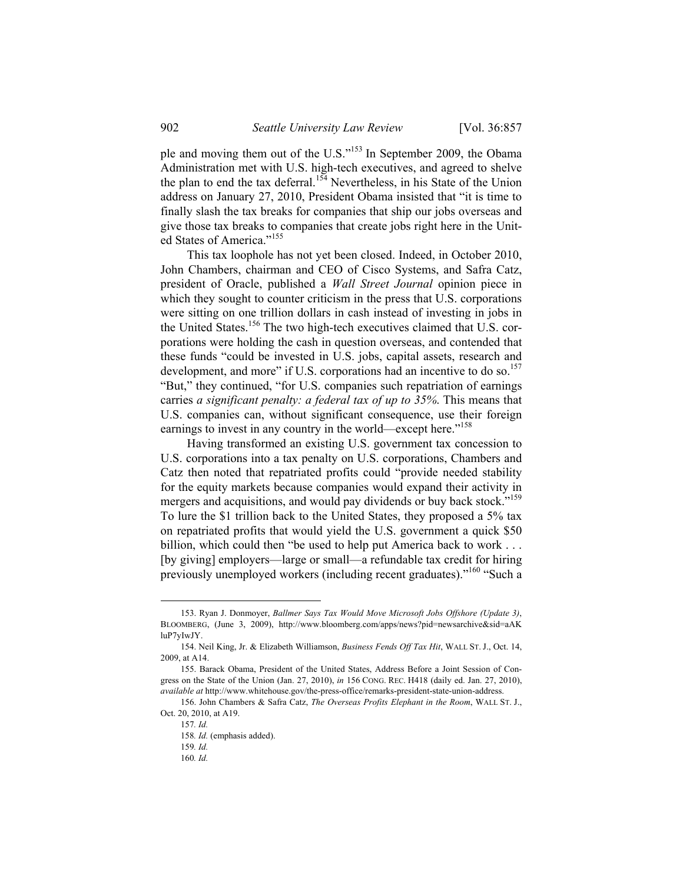ple and moving them out of the U.S."153 In September 2009, the Obama Administration met with U.S. high-tech executives, and agreed to shelve the plan to end the tax deferral.<sup>154</sup> Nevertheless, in his State of the Union address on January 27, 2010, President Obama insisted that "it is time to finally slash the tax breaks for companies that ship our jobs overseas and give those tax breaks to companies that create jobs right here in the United States of America."<sup>155</sup>

This tax loophole has not yet been closed. Indeed, in October 2010, John Chambers, chairman and CEO of Cisco Systems, and Safra Catz, president of Oracle, published a *Wall Street Journal* opinion piece in which they sought to counter criticism in the press that U.S. corporations were sitting on one trillion dollars in cash instead of investing in jobs in the United States.<sup>156</sup> The two high-tech executives claimed that U.S. corporations were holding the cash in question overseas, and contended that these funds "could be invested in U.S. jobs, capital assets, research and development, and more" if U.S. corporations had an incentive to do so.<sup>157</sup> "But," they continued, "for U.S. companies such repatriation of earnings carries *a significant penalty: a federal tax of up to 35%*. This means that U.S. companies can, without significant consequence, use their foreign earnings to invest in any country in the world—except here."<sup>158</sup>

Having transformed an existing U.S. government tax concession to U.S. corporations into a tax penalty on U.S. corporations, Chambers and Catz then noted that repatriated profits could "provide needed stability for the equity markets because companies would expand their activity in mergers and acquisitions, and would pay dividends or buy back stock."<sup>159</sup> To lure the \$1 trillion back to the United States, they proposed a 5% tax on repatriated profits that would yield the U.S. government a quick \$50 billion, which could then "be used to help put America back to work . . . [by giving] employers—large or small—a refundable tax credit for hiring previously unemployed workers (including recent graduates)."160 "Such a

 <sup>153.</sup> Ryan J. Donmoyer, *Ballmer Says Tax Would Move Microsoft Jobs Offshore (Update 3)*, BLOOMBERG, (June 3, 2009), http://www.bloomberg.com/apps/news?pid=newsarchive&sid=aAK luP7yIwJY.

 <sup>154.</sup> Neil King, Jr. & Elizabeth Williamson, *Business Fends Off Tax Hit*, WALL ST. J., Oct. 14, 2009, at A14.

 <sup>155.</sup> Barack Obama, President of the United States, Address Before a Joint Session of Congress on the State of the Union (Jan. 27, 2010), *in* 156 CONG. REC. H418 (daily ed. Jan. 27, 2010), *available at* http://www.whitehouse.gov/the-press-office/remarks-president-state-union-address.

 <sup>156.</sup> John Chambers & Safra Catz, *The Overseas Profits Elephant in the Room*, WALL ST. J., Oct. 20, 2010, at A19.

<sup>157</sup>*. Id.*

<sup>158</sup>*. Id.* (emphasis added).

<sup>159</sup>*. Id.*

<sup>160</sup>*. Id.*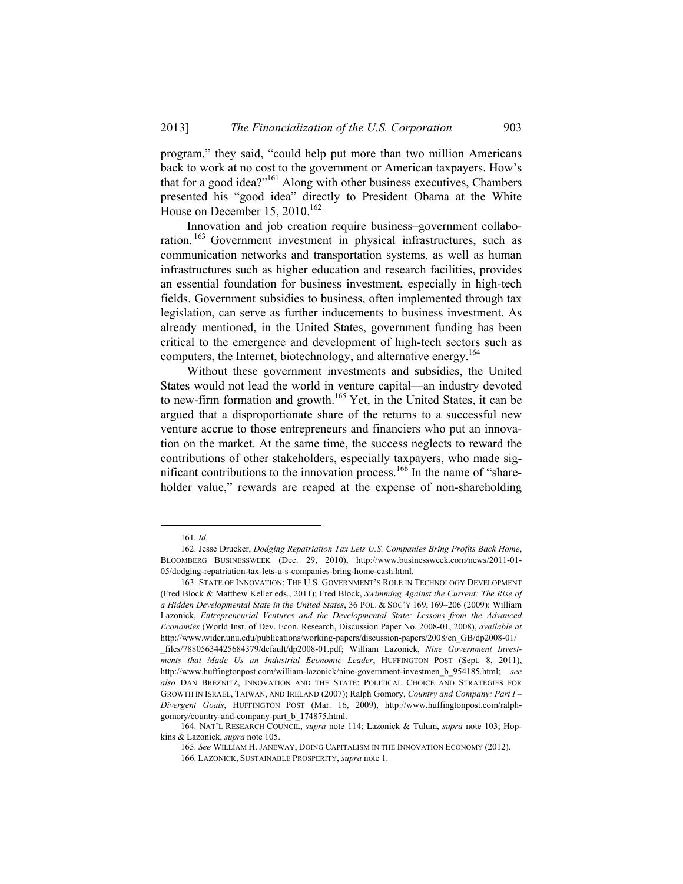program," they said, "could help put more than two million Americans back to work at no cost to the government or American taxpayers. How's that for a good idea?"161 Along with other business executives, Chambers presented his "good idea" directly to President Obama at the White House on December 15,  $2010.<sup>162</sup>$ 

Innovation and job creation require business–government collaboration. 163 Government investment in physical infrastructures, such as communication networks and transportation systems, as well as human infrastructures such as higher education and research facilities, provides an essential foundation for business investment, especially in high-tech fields. Government subsidies to business, often implemented through tax legislation, can serve as further inducements to business investment. As already mentioned, in the United States, government funding has been critical to the emergence and development of high-tech sectors such as computers, the Internet, biotechnology, and alternative energy.164

Without these government investments and subsidies, the United States would not lead the world in venture capital—an industry devoted to new-firm formation and growth.<sup>165</sup> Yet, in the United States, it can be argued that a disproportionate share of the returns to a successful new venture accrue to those entrepreneurs and financiers who put an innovation on the market. At the same time, the success neglects to reward the contributions of other stakeholders, especially taxpayers, who made significant contributions to the innovation process.<sup>166</sup> In the name of "shareholder value," rewards are reaped at the expense of non-shareholding

 <sup>161</sup>*. Id.*

 <sup>162.</sup> Jesse Drucker, *Dodging Repatriation Tax Lets U.S. Companies Bring Profits Back Home*, BLOOMBERG BUSINESSWEEK (Dec. 29, 2010), http://www.businessweek.com/news/2011-01- 05/dodging-repatriation-tax-lets-u-s-companies-bring-home-cash.html.

 <sup>163.</sup> STATE OF INNOVATION: THE U.S. GOVERNMENT'S ROLE IN TECHNOLOGY DEVELOPMENT (Fred Block & Matthew Keller eds., 2011); Fred Block, *Swimming Against the Current: The Rise of a Hidden Developmental State in the United States*, 36 POL. & SOC'Y 169, 169–206 (2009); William Lazonick, *Entrepreneurial Ventures and the Developmental State: Lessons from the Advanced Economies* (World Inst. of Dev. Econ. Research, Discussion Paper No. 2008-01, 2008), *available at* http://www.wider.unu.edu/publications/working-papers/discussion-papers/2008/en\_GB/dp2008-01/

\_files/78805634425684379/default/dp2008-01.pdf; William Lazonick, *Nine Government Investments that Made Us an Industrial Economic Leader*, HUFFINGTON POST (Sept. 8, 2011), http://www.huffingtonpost.com/william-lazonick/nine-government-investmen\_b\_954185.html; *see also* DAN BREZNITZ, INNOVATION AND THE STATE: POLITICAL CHOICE AND STRATEGIES FOR GROWTH IN ISRAEL, TAIWAN, AND IRELAND (2007); Ralph Gomory, *Country and Company: Part I – Divergent Goals*, HUFFINGTON POST (Mar. 16, 2009), http://www.huffingtonpost.com/ralphgomory/country-and-company-part\_b\_174875.html.

<sup>164.</sup> NAT'L RESEARCH COUNCIL, *supra* note 114; Lazonick & Tulum, *supra* note 103; Hopkins & Lazonick, *supra* note 105.

<sup>165.</sup> *See* WILLIAM H. JANEWAY, DOING CAPITALISM IN THE INNOVATION ECONOMY (2012).

 <sup>166.</sup> LAZONICK, SUSTAINABLE PROSPERITY, *supra* note 1.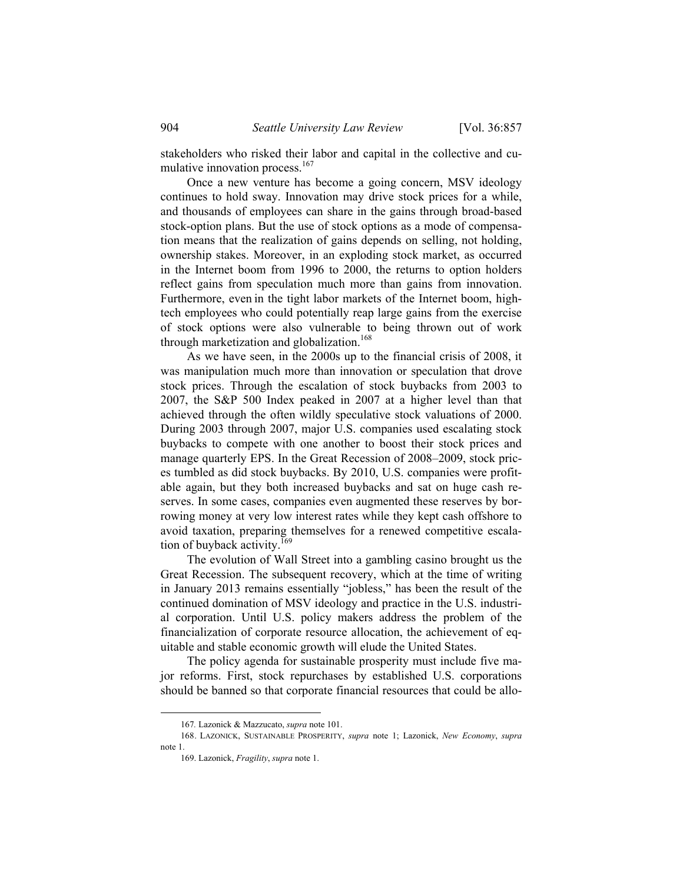stakeholders who risked their labor and capital in the collective and cumulative innovation process.<sup>167</sup>

Once a new venture has become a going concern, MSV ideology continues to hold sway. Innovation may drive stock prices for a while, and thousands of employees can share in the gains through broad-based stock-option plans. But the use of stock options as a mode of compensation means that the realization of gains depends on selling, not holding, ownership stakes. Moreover, in an exploding stock market, as occurred in the Internet boom from 1996 to 2000, the returns to option holders reflect gains from speculation much more than gains from innovation. Furthermore, even in the tight labor markets of the Internet boom, hightech employees who could potentially reap large gains from the exercise of stock options were also vulnerable to being thrown out of work through marketization and globalization.<sup>168</sup>

As we have seen, in the 2000s up to the financial crisis of 2008, it was manipulation much more than innovation or speculation that drove stock prices. Through the escalation of stock buybacks from 2003 to 2007, the S&P 500 Index peaked in 2007 at a higher level than that achieved through the often wildly speculative stock valuations of 2000. During 2003 through 2007, major U.S. companies used escalating stock buybacks to compete with one another to boost their stock prices and manage quarterly EPS. In the Great Recession of 2008–2009, stock prices tumbled as did stock buybacks. By 2010, U.S. companies were profitable again, but they both increased buybacks and sat on huge cash reserves. In some cases, companies even augmented these reserves by borrowing money at very low interest rates while they kept cash offshore to avoid taxation, preparing themselves for a renewed competitive escalation of buyback activity.<sup>169</sup>

The evolution of Wall Street into a gambling casino brought us the Great Recession. The subsequent recovery, which at the time of writing in January 2013 remains essentially "jobless," has been the result of the continued domination of MSV ideology and practice in the U.S. industrial corporation. Until U.S. policy makers address the problem of the financialization of corporate resource allocation, the achievement of equitable and stable economic growth will elude the United States.

The policy agenda for sustainable prosperity must include five major reforms. First, stock repurchases by established U.S. corporations should be banned so that corporate financial resources that could be allo-

 <sup>167</sup>*.* Lazonick & Mazzucato, *supra* note 101.

 <sup>168.</sup> LAZONICK, SUSTAINABLE PROSPERITY, *supra* note 1; Lazonick, *New Economy*, *supra* note 1.

 <sup>169.</sup> Lazonick, *Fragility*, *supra* note 1.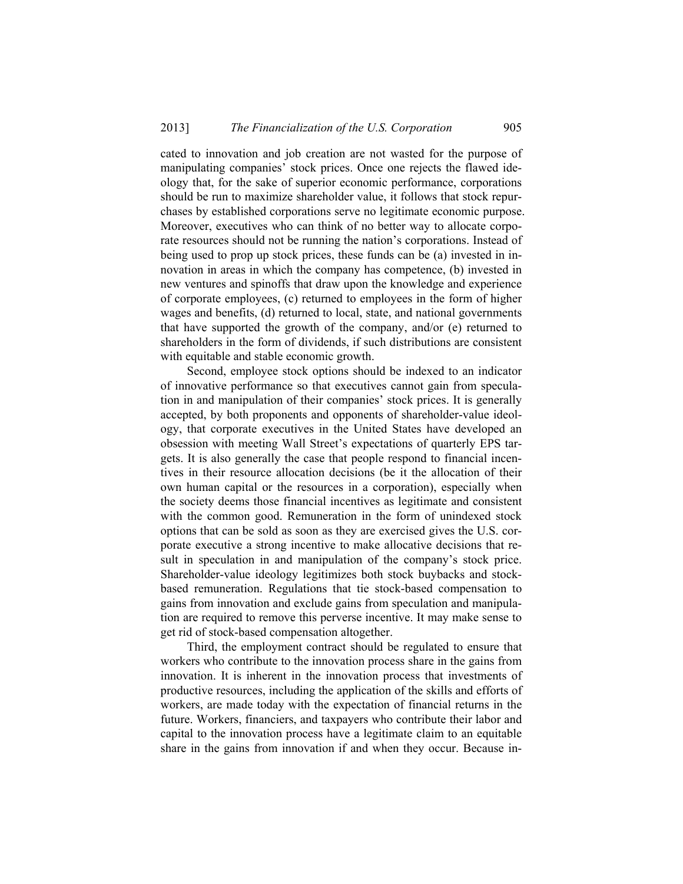cated to innovation and job creation are not wasted for the purpose of manipulating companies' stock prices. Once one rejects the flawed ideology that, for the sake of superior economic performance, corporations should be run to maximize shareholder value, it follows that stock repurchases by established corporations serve no legitimate economic purpose. Moreover, executives who can think of no better way to allocate corporate resources should not be running the nation's corporations. Instead of being used to prop up stock prices, these funds can be (a) invested in innovation in areas in which the company has competence, (b) invested in new ventures and spinoffs that draw upon the knowledge and experience of corporate employees, (c) returned to employees in the form of higher wages and benefits, (d) returned to local, state, and national governments that have supported the growth of the company, and/or (e) returned to shareholders in the form of dividends, if such distributions are consistent with equitable and stable economic growth.

Second, employee stock options should be indexed to an indicator of innovative performance so that executives cannot gain from speculation in and manipulation of their companies' stock prices. It is generally accepted, by both proponents and opponents of shareholder-value ideology, that corporate executives in the United States have developed an obsession with meeting Wall Street's expectations of quarterly EPS targets. It is also generally the case that people respond to financial incentives in their resource allocation decisions (be it the allocation of their own human capital or the resources in a corporation), especially when the society deems those financial incentives as legitimate and consistent with the common good. Remuneration in the form of unindexed stock options that can be sold as soon as they are exercised gives the U.S. corporate executive a strong incentive to make allocative decisions that result in speculation in and manipulation of the company's stock price. Shareholder-value ideology legitimizes both stock buybacks and stockbased remuneration. Regulations that tie stock-based compensation to gains from innovation and exclude gains from speculation and manipulation are required to remove this perverse incentive. It may make sense to get rid of stock-based compensation altogether.

Third, the employment contract should be regulated to ensure that workers who contribute to the innovation process share in the gains from innovation. It is inherent in the innovation process that investments of productive resources, including the application of the skills and efforts of workers, are made today with the expectation of financial returns in the future. Workers, financiers, and taxpayers who contribute their labor and capital to the innovation process have a legitimate claim to an equitable share in the gains from innovation if and when they occur. Because in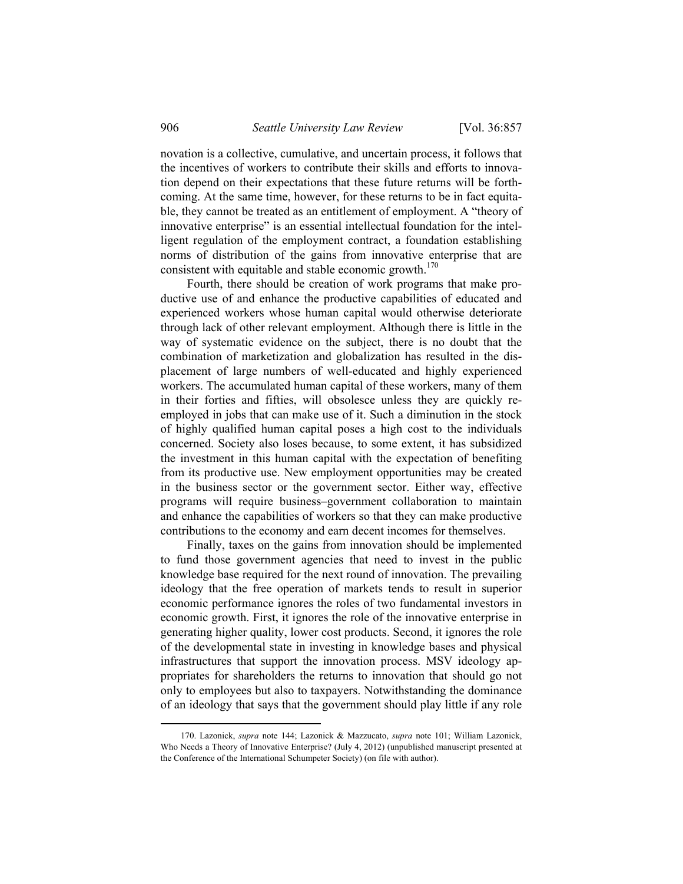novation is a collective, cumulative, and uncertain process, it follows that the incentives of workers to contribute their skills and efforts to innovation depend on their expectations that these future returns will be forthcoming. At the same time, however, for these returns to be in fact equitable, they cannot be treated as an entitlement of employment. A "theory of innovative enterprise" is an essential intellectual foundation for the intelligent regulation of the employment contract, a foundation establishing norms of distribution of the gains from innovative enterprise that are consistent with equitable and stable economic growth. $170$ 

Fourth, there should be creation of work programs that make productive use of and enhance the productive capabilities of educated and experienced workers whose human capital would otherwise deteriorate through lack of other relevant employment. Although there is little in the way of systematic evidence on the subject, there is no doubt that the combination of marketization and globalization has resulted in the displacement of large numbers of well-educated and highly experienced workers. The accumulated human capital of these workers, many of them in their forties and fifties, will obsolesce unless they are quickly reemployed in jobs that can make use of it. Such a diminution in the stock of highly qualified human capital poses a high cost to the individuals concerned. Society also loses because, to some extent, it has subsidized the investment in this human capital with the expectation of benefiting from its productive use. New employment opportunities may be created in the business sector or the government sector. Either way, effective programs will require business–government collaboration to maintain and enhance the capabilities of workers so that they can make productive contributions to the economy and earn decent incomes for themselves.

Finally, taxes on the gains from innovation should be implemented to fund those government agencies that need to invest in the public knowledge base required for the next round of innovation. The prevailing ideology that the free operation of markets tends to result in superior economic performance ignores the roles of two fundamental investors in economic growth. First, it ignores the role of the innovative enterprise in generating higher quality, lower cost products. Second, it ignores the role of the developmental state in investing in knowledge bases and physical infrastructures that support the innovation process. MSV ideology appropriates for shareholders the returns to innovation that should go not only to employees but also to taxpayers. Notwithstanding the dominance of an ideology that says that the government should play little if any role

 <sup>170.</sup> Lazonick, *supra* note 144; Lazonick & Mazzucato, *supra* note 101; William Lazonick, Who Needs a Theory of Innovative Enterprise? (July 4, 2012) (unpublished manuscript presented at the Conference of the International Schumpeter Society) (on file with author).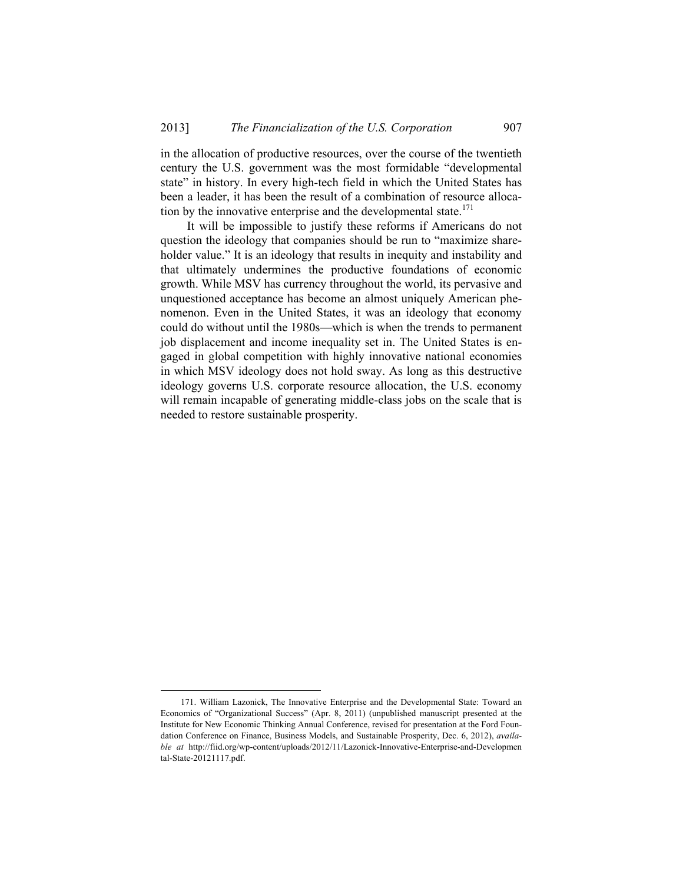in the allocation of productive resources, over the course of the twentieth century the U.S. government was the most formidable "developmental state" in history. In every high-tech field in which the United States has been a leader, it has been the result of a combination of resource allocation by the innovative enterprise and the developmental state. $171$ 

It will be impossible to justify these reforms if Americans do not question the ideology that companies should be run to "maximize shareholder value." It is an ideology that results in inequity and instability and that ultimately undermines the productive foundations of economic growth. While MSV has currency throughout the world, its pervasive and unquestioned acceptance has become an almost uniquely American phenomenon. Even in the United States, it was an ideology that economy could do without until the 1980s—which is when the trends to permanent job displacement and income inequality set in. The United States is engaged in global competition with highly innovative national economies in which MSV ideology does not hold sway. As long as this destructive ideology governs U.S. corporate resource allocation, the U.S. economy will remain incapable of generating middle-class jobs on the scale that is needed to restore sustainable prosperity.

 <sup>171.</sup> William Lazonick, The Innovative Enterprise and the Developmental State: Toward an Economics of "Organizational Success" (Apr. 8, 2011) (unpublished manuscript presented at the Institute for New Economic Thinking Annual Conference, revised for presentation at the Ford Foundation Conference on Finance, Business Models, and Sustainable Prosperity, Dec. 6, 2012), *available at* http://fiid.org/wp-content/uploads/2012/11/Lazonick-Innovative-Enterprise-and-Developmen tal-State-20121117.pdf.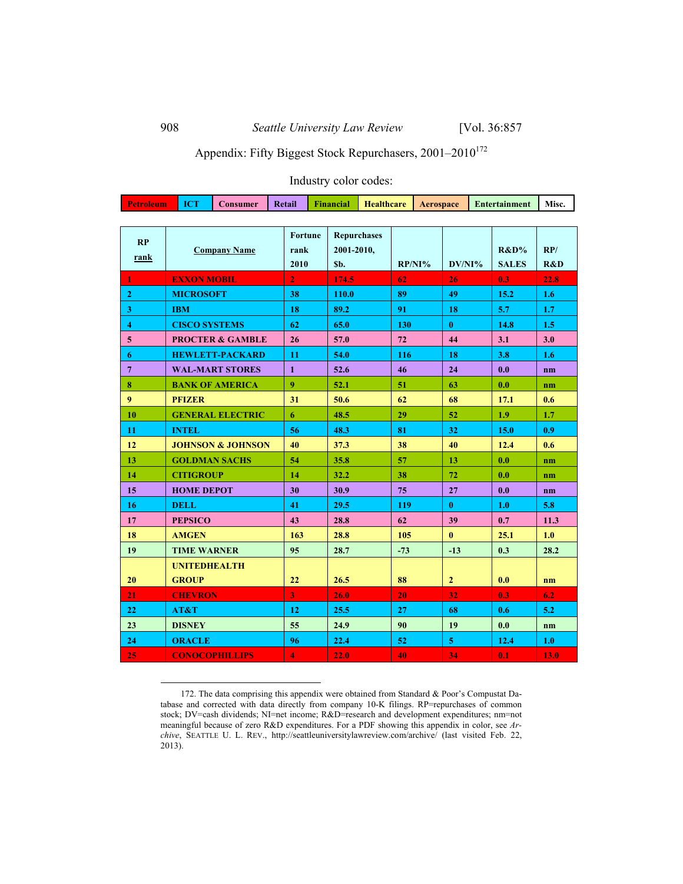# Appendix: Fifty Biggest Stock Repurchasers,  $2001-2010^{172}$

# Industry color codes:

| <b>Petroleum</b>   | <b>ICT</b>                  | <b>Consumer</b>              | <b>Retail</b>           |                | Financial          | <b>Healthcare</b> | Aerospace |     |                         |  | <b>Entertainment</b> | Misc.          |
|--------------------|-----------------------------|------------------------------|-------------------------|----------------|--------------------|-------------------|-----------|-----|-------------------------|--|----------------------|----------------|
|                    |                             |                              |                         |                |                    |                   |           |     |                         |  |                      |                |
| RP                 | <b>Company Name</b>         |                              |                         | <b>Fortune</b> | <b>Repurchases</b> |                   |           |     |                         |  |                      |                |
| rank               |                             |                              |                         | rank           | 2001-2010,<br>Sb.  |                   | $RP/NI\%$ |     | DV/NI%                  |  | $R&D\%$              | RP/            |
|                    |                             |                              |                         |                |                    |                   |           |     |                         |  | <b>SALES</b>         | R&D            |
| 1                  | <b>EXXON MOBIL</b>          |                              | $\overline{2}$          |                | 174.5              |                   | 62        |     | 26                      |  | 0.3                  | 22.8           |
| $\mathbf{2}$       | <b>MICROSOFT</b>            |                              | 38                      |                | 110.0              |                   | 89        |     | 49                      |  | 15.2                 | 1.6            |
| 3                  | <b>IBM</b>                  |                              |                         | 18             |                    | 89.2              |           | 91  |                         |  | 5.7                  | 1.7            |
| $\overline{\bf 4}$ | <b>CISCO SYSTEMS</b>        |                              |                         | 62             |                    | 65.0              |           | 130 |                         |  | 14.8                 | 1.5            |
| 5                  | <b>PROCTER &amp; GAMBLE</b> |                              |                         | 26             |                    | 57.0              |           | 72  |                         |  | 3.1                  | 3.0            |
| 6                  | <b>HEWLETT-PACKARD</b>      |                              |                         |                | 54.0               |                   | 116       |     | 18                      |  | 3.8                  | 1.6            |
| $\overline{7}$     |                             | <b>WAL-MART STORES</b>       | $\mathbf{1}$            |                | 52.6               |                   | 46        |     | 24                      |  | 0.0                  | n <sub>m</sub> |
| 8                  |                             | <b>BANK OF AMERICA</b>       | 9                       |                | 52.1               |                   | 51        |     | 63                      |  | 0.0                  | nm             |
| 9                  | <b>PFIZER</b>               |                              | 31                      |                | 50.6               |                   | 62        |     | 68                      |  | 17.1                 | 0.6            |
| 10                 |                             | <b>GENERAL ELECTRIC</b>      | 6                       |                | 48.5               |                   | 29        |     | 52                      |  | 1.9                  | 1.7            |
| 11                 | <b>INTEL</b>                |                              | 56                      |                | 48.3               |                   | 81        |     | 32                      |  | 15.0                 | 0.9            |
| 12                 |                             | <b>JOHNSON &amp; JOHNSON</b> | 40                      |                | 37.3               |                   | 38        |     | 40                      |  | 12.4                 | 0.6            |
| 13                 |                             | <b>GOLDMAN SACHS</b>         | 54                      |                | 35.8               |                   | 57        |     | 13                      |  | 0.0                  | n <sub>m</sub> |
| 14                 | <b>CITIGROUP</b>            |                              | 14                      |                | 32.2               |                   | 38        |     | 72                      |  | 0.0                  | n <sub>m</sub> |
| 15                 | <b>HOME DEPOT</b>           |                              | 30                      |                | 30.9               |                   | 75        |     | 27                      |  | 0.0                  | n <sub>m</sub> |
| 16                 | <b>DELL</b>                 |                              | 41                      |                | 29.5               |                   | 119       |     | $\bf{0}$                |  | 1.0                  | 5.8            |
| 17                 | <b>PEPSICO</b>              |                              | 43                      |                | 28.8               |                   | 62        |     | 39                      |  | 0.7                  | 11.3           |
| 18                 | <b>AMGEN</b>                |                              | 163                     |                | 28.8               |                   | 105       |     | $\mathbf{0}$            |  | 25.1                 | 1.0            |
| 19                 | <b>TIME WARNER</b>          |                              | 95                      |                | 28.7               |                   | $-73$     |     | $-13$                   |  | 0.3                  | 28.2           |
|                    | <b>UNITEDHEALTH</b>         |                              |                         |                |                    |                   |           |     |                         |  |                      |                |
| 20                 | <b>GROUP</b>                |                              | 22                      |                | 26.5               |                   | 88        |     | $\overline{2}$          |  | 0.0                  | nm             |
| 21                 | <b>CHEVRON</b>              |                              | $\overline{3}$          |                | 26.0               |                   | 20        |     | 32                      |  | 0.3                  | 6.2            |
| 22                 | AT&T                        |                              | 12                      |                | 25.5               |                   | 27        |     | 68                      |  | 0.6                  | 5.2            |
| 23                 | <b>DISNEY</b>               |                              | 55                      |                | 24.9               |                   | 90        |     | 19                      |  | 0.0                  | nm             |
| 24                 | <b>ORACLE</b>               |                              | 96                      |                | 22.4               |                   | 52        |     | $\overline{\mathbf{5}}$ |  | 12.4                 | 1.0            |
| 25                 |                             | <b>CONOCOPHILLIPS</b>        | $\overline{\mathbf{4}}$ |                | 22.0               |                   | 40        |     | 34                      |  | 0.1                  | 13.0           |

 <sup>172.</sup> The data comprising this appendix were obtained from Standard & Poor's Compustat Database and corrected with data directly from company 10-K filings. RP=repurchases of common stock; DV=cash dividends; NI=net income; R&D=research and development expenditures; nm=not meaningful because of zero R&D expenditures. For a PDF showing this appendix in color, see *Archive*, SEATTLE U. L. REV., http://seattleuniversitylawreview.com/archive/ (last visited Feb. 22, 2013).